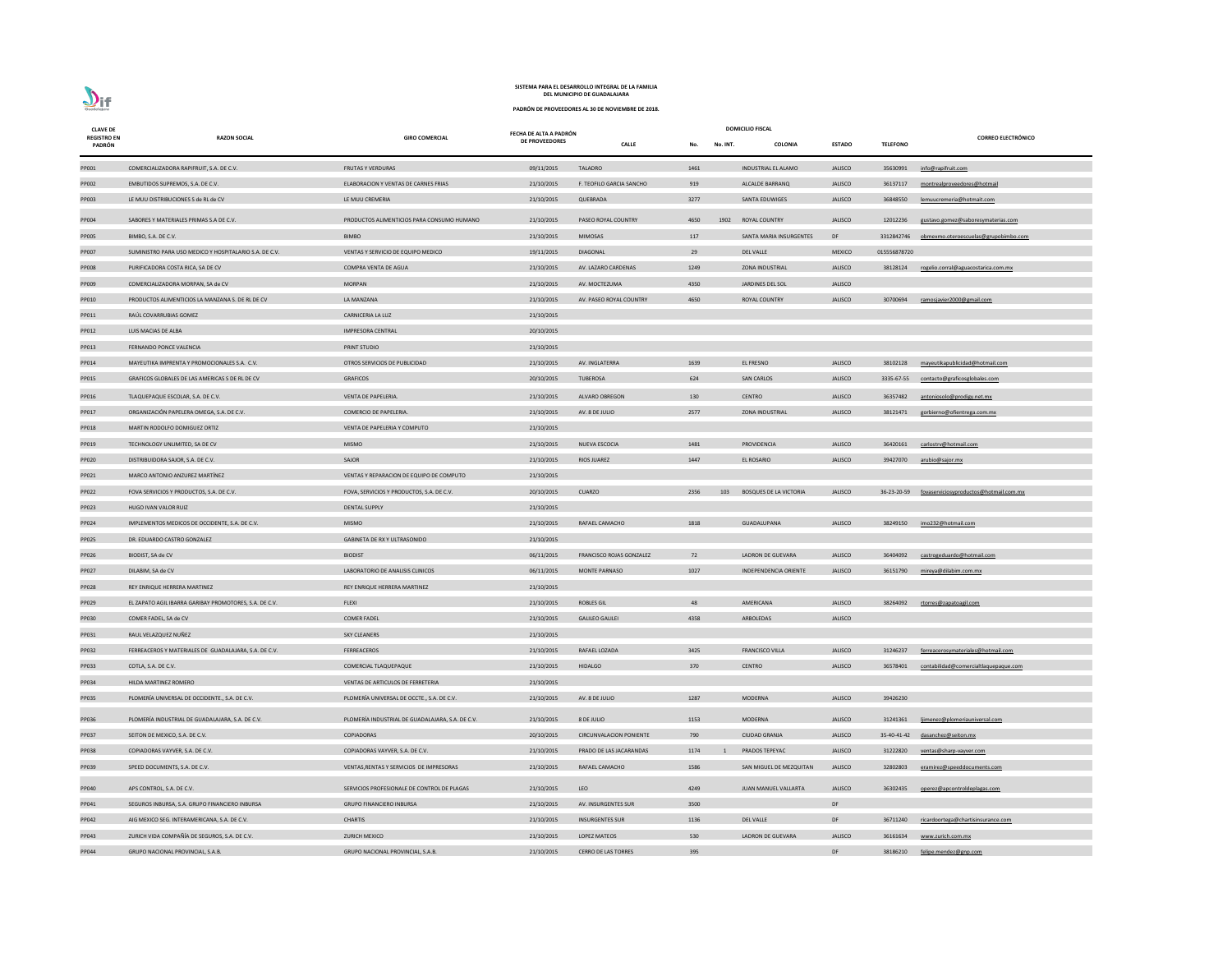| <b>CLAVE DE</b>              |                                                        |                                                  | FECHA DE ALTA A PADRÓN |                                 | <b>DOMICILIO FISCAL</b> |                |                               |                |                 |                                                    |
|------------------------------|--------------------------------------------------------|--------------------------------------------------|------------------------|---------------------------------|-------------------------|----------------|-------------------------------|----------------|-----------------|----------------------------------------------------|
| <b>REGISTRO EN</b><br>PADRÓN | <b>RAZON SOCIAL</b>                                    | <b>GIRO COMERCIAL</b>                            | DE PROVEEDORES         | <b>CALLE</b>                    | No.                     | No. INT.       | <b>COLONIA</b>                | <b>ESTADO</b>  | <b>TELEFONO</b> | <b>CORREO ELECTRÓNICO</b>                          |
|                              |                                                        |                                                  |                        |                                 |                         |                |                               |                |                 |                                                    |
| PP001                        | COMERCIALIZADORA RAPIFRUIT, S.A. DE C.V.               | <b>FRUTAS Y VERDURAS</b>                         | 09/11/2015             | TALADRO                         | 1461                    |                | <b>INDUSTRIAL EL ALAMO</b>    | <b>JALISCO</b> | 35630991        | info@rapifruit.com                                 |
| PP002                        | EMBUTIDOS SUPREMOS, S.A. DE C.V.                       | ELABORACION Y VENTAS DE CARNES FRIAS             | 21/10/2015             | F. TEOFILO GARCIA SANCHO        | 919                     |                | ALCALDE BARRANQ               | <b>JALISCO</b> | 36137117        | montrealproveedores@hotmail                        |
| PP003                        | LE MUU DISTRIBUCIONES S de RL de CV                    | LE MUU CREMERIA                                  | 21/10/2015             | QUEBRADA                        | 3277                    |                | SANTA EDUWIGES                | JALISCO        | 36848550        | lemuucremeria@hotmait.com                          |
| PP004                        | SABORES Y MATERIALES PRIMAS S.A DE C.V.                | PRODUCTOS ALIMENTICIOS PARA CONSUMO HUMANO       | 21/10/2015             | PASEO ROYAL COUNTRY             | 4650                    | 1902           | <b>ROYAL COUNTRY</b>          | <b>JALISCO</b> | 12012236        | gustavo.gomez@saboresymaterias.com                 |
| PP005                        | BIMBO, S.A. DE C.V.                                    | <b>BIMBO</b>                                     | 21/10/2015             | MIMOSAS                         | 117                     |                | SANTA MARIA INSURGENTES       | DF             |                 | 3312842746 obmexmo.oteroescuelas@grupobimbo.com    |
| PP007                        | SUMINISTRO PARA USO MEDICO Y HOSPITALARIO S.A. DE C.V. | VENTAS Y SERVICIO DE EQUIPO MEDICO               | 19/11/2015             | <b>DIAGONAL</b>                 | 29                      |                | <b>DEL VALLE</b>              | <b>MEXICO</b>  | 015556878720    |                                                    |
| <b>PP008</b>                 | PURIFICADORA COSTA RICA, SA DE CV                      | COMPRA VENTA DE AGUA                             | 21/10/2015             | AV. LAZARO CARDENAS             | 1249                    |                | <b>ZONA INDUSTRIAL</b>        | <b>JALISCO</b> |                 | 38128124 rogelio.corral@aguacostarica.com.mx       |
| PP009                        | COMERCIALIZADORA MORPAN, SA de CV                      | <b>MORPAN</b>                                    | 21/10/2015             | AV. MOCTEZUMA                   | 4350                    |                | JARDINES DEL SOL              | <b>JALISCO</b> |                 |                                                    |
| PP010                        | PRODUCTOS ALIMENTICIOS LA MANZANA S. DE RL DE CV       | LA MANZANA                                       | 21/10/2015             | AV. PASEO ROYAL COUNTRY         | 4650                    |                | ROYAL COUNTRY                 | <b>JALISCO</b> | 30700694        | ramosjavier2000@gmail.com                          |
| PP011                        | RAÚL COVARRUBIAS GOMEZ                                 | CARNICERIA LA LUZ                                | 21/10/2015             |                                 |                         |                |                               |                |                 |                                                    |
| PP012                        | LUIS MACIAS DE ALBA                                    | <b>IMPRESORA CENTRAL</b>                         | 20/10/2015             |                                 |                         |                |                               |                |                 |                                                    |
| PP013                        | FERNANDO PONCE VALENCIA                                | PRINT STUDIO                                     | 21/10/2015             |                                 |                         |                |                               |                |                 |                                                    |
| PP014                        | MAYEUTIKA IMPRENTA Y PROMOCIONALES S.A. C.V.           | OTROS SERVICIOS DE PUBLICIDAD                    | 21/10/2015             | AV. INGLATERRA                  | 1639                    |                | EL FRESNO                     | <b>JALISCO</b> | 38102128        | mayeutikapublicidad@hotmail.com                    |
| PP015                        | GRAFICOS GLOBALES DE LAS AMERICAS S DE RL DE CV        | <b>GRAFICOS</b>                                  | 20/10/2015             | TUBEROSA                        | 624                     |                | <b>SAN CARLOS</b>             | JALISCO        | 3335-67-55      | contacto@graficosglobales.com                      |
| PP016                        | TLAQUEPAQUE ESCOLAR, S.A. DE C.V.                      | VENTA DE PAPELERIA.                              | 21/10/2015             | <b>ALVARO OBREGON</b>           | 130                     |                | <b>CENTRO</b>                 | <b>JALISCO</b> | 36357482        | antoniosolo@prodigy.net.mx                         |
| PP017                        | ORGANIZACIÓN PAPELERA OMEGA, S.A. DE C.V.              | COMERCIO DE PAPELERIA.                           | 21/10/2015             | AV. 8 DE JULIO                  | 2577                    |                | <b>ZONA INDUSTRIAL</b>        | <b>JALISCO</b> | 38121471        | gorbierno@ofientrega.com.mx                        |
| PP018                        | MARTIN RODOLFO DOMIGUEZ ORTIZ                          | VENTA DE PAPELERIA Y COMPUTO                     | 21/10/2015             |                                 |                         |                |                               |                |                 |                                                    |
| PP019                        | TECHNOLOGY UNLIMITED, SA DE CV                         | <b>MISMO</b>                                     | 21/10/2015             | NUEVA ESCOCIA                   | 1481                    |                | PROVIDENCIA                   | <b>JALISCO</b> | 36420161        | carlostrv@hotmail.com                              |
| PP020                        | DISTRIBUIDORA SAJOR, S.A. DE C.V.                      | SAJOR                                            | 21/10/2015             | RIOS JUAREZ                     | 1447                    |                | EL ROSARIO                    | <b>JALISCO</b> | 39427070        | <u>arubio@sajor.mx</u>                             |
| PP021                        | MARCO ANTONIO ANZUREZ MARTÍNEZ                         | VENTAS Y REPARACION DE EQUIPO DE COMPUTO         | 21/10/2015             |                                 |                         |                |                               |                |                 |                                                    |
| PP022                        | FOVA SERVICIOS Y PRODUCTOS, S.A. DE C.V.               | FOVA, SERVICIOS Y PRODUCTOS, S.A. DE C.V.        | 20/10/2015             | CUARZO                          | 2356                    | 103            | <b>BOSQUES DE LA VICTORIA</b> | <b>JALISCO</b> |                 | 36-23-20-59 fovaserviciosyproductos@hotmail.com.mx |
| PP023                        | HUGO IVAN VALOR RUIZ                                   | <b>DENTAL SUPPLY</b>                             | 21/10/2015             |                                 |                         |                |                               |                |                 |                                                    |
| PP024                        | IMPLEMENTOS MEDICOS DE OCCIDENTE, S.A. DE C.V.         | <b>MISMO</b>                                     | 21/10/2015             | RAFAEL CAMACHO                  | 1818                    |                | <b>GUADALUPANA</b>            | <b>JALISCO</b> | 38249150        | imo232@hotmail.com                                 |
| PP025                        | DR. EDUARDO CASTRO GONZALEZ                            | <b>GABINETA DE RX Y ULTRASONIDO</b>              | 21/10/2015             |                                 |                         |                |                               |                |                 |                                                    |
| PP026                        | BIODIST, SA de CV                                      | <b>BIODIST</b>                                   | 06/11/2015             | <b>FRANCISCO ROJAS GONZALEZ</b> | 72                      |                | <b>LADRON DE GUEVARA</b>      | <b>JALISCO</b> | 36404092        | castrogeduardo@hotmail.com                         |
| PP027                        | DILABIM, SA de CV                                      | LABORATORIO DE ANALISIS CLINICOS                 | 06/11/2015             | MONTE PARNASO                   | 1027                    |                | INDEPENDENCIA ORIENTE         | <b>JALISCO</b> | 36151790        | mireya@dilabim.com.mx                              |
| PP028                        | REY ENRIQUE HERRERA MARTINEZ                           | REY ENRIQUE HERRERA MARTINEZ                     | 21/10/2015             |                                 |                         |                |                               |                |                 |                                                    |
| PP029                        | EL ZAPATO AGIL IBARRA GARIBAY PROMOTORES, S.A. DE C.V. | <b>FLEXI</b>                                     | 21/10/2015             | <b>ROBLES GIL</b>               | 48                      |                | AMERICANA                     | <b>JALISCO</b> | 38264092        | rtorres@zapatoagil.com                             |
| PP030                        | COMER FADEL, SA de CV                                  | <b>COMER FADEL</b>                               | 21/10/2015             | <b>GALILEO GALILEI</b>          | 4358                    |                | ARBOLEDAS                     | <b>JALISCO</b> |                 |                                                    |
| PP031                        | RAUL VELAZQUEZ NUÑEZ                                   | <b>SKY CLEANERS</b>                              | 21/10/2015             |                                 |                         |                |                               |                |                 |                                                    |
| PP032                        | FERREACEROS Y MATERIALES DE GUADALAJARA, S.A. DE C.V.  | FERREACEROS                                      | 21/10/2015             | RAFAEL LOZADA                   | 3425                    |                | <b>FRANCISCO VILLA</b>        | <b>JALISCO</b> | 31246237        | ferreacerosymateriales@hotmail.com                 |
| PP033                        | COTLA, S.A. DE C.V.                                    | COMERCIAL TLAQUEPAQUE                            | 21/10/2015             | <b>HIDALGO</b>                  | 370                     |                | <b>CENTRO</b>                 | <b>JALISCO</b> | 36578401        | contabilidad@comercialtlaquepaque.com              |
| PP034                        | HILDA MARTINEZ ROMERO                                  | VENTAS DE ARTICULOS DE FERRETERIA                | 21/10/2015             |                                 |                         |                |                               |                |                 |                                                    |
| PP035                        | PLOMERÍA UNIVERSAL DE OCCIDENTE., S.A. DE C.V.         | PLOMERÍA UNIVERSAL DE OCCTE., S.A. DE C.V.       | 21/10/2015             | AV. 8 DE JULIO                  | 1287                    |                | <b>MODERNA</b>                | <b>JALISCO</b> | 39426230        |                                                    |
| PP036                        | PLOMERÍA INDUSTRIAL DE GUADALAJARA, S.A. DE C.V.       | PLOMERÍA INDUSTRIAL DE GUADALAJARA, S.A. DE C.V. | 21/10/2015             | 8 DE JULIO                      | 1153                    |                | <b>MODERNA</b>                | <b>JALISCO</b> | 31241361        | lijmenez@plomeriauniversal.com                     |
| PP037                        | SEITON DE MEXICO, S.A. DE C.V.                         | COPIADORAS                                       | 20/10/2015             | <b>CIRCUNVALACION PONIENTE</b>  | 790                     |                | <b>CIUDAD GRANJA</b>          | <b>JALISCO</b> | 35-40-41-42     | dasanchez@seiton.mx                                |
| PP038                        | COPIADORAS VAYVER, S.A. DE C.V.                        | COPIADORAS VAYVER, S.A. DE C.V.                  | 21/10/2015             | PRADO DE LAS JACARANDAS         | 1174                    | $\overline{1}$ | PRADOS TEPEYAC                | <b>JALISCO</b> | 31222820        | ventas@sharp-vayver.com                            |
| PP039                        | SPEED DOCUMENTS, S.A. DE C.V.                          | VENTAS, RENTAS Y SERVICIOS DE IMPRESORAS         | 21/10/2015             | RAFAEL CAMACHO                  | 1586                    |                | SAN MIGUEL DE MEZQUITAN       | <b>JALISCO</b> | 32802803        | eramirez@speeddocuments.com                        |
|                              |                                                        |                                                  |                        |                                 |                         |                |                               |                |                 |                                                    |
| PP040                        | APS CONTROL, S.A. DE C.V.                              | SERVICIOS PROFESIONALE DE CONTROL DE PLAGAS      | 21/10/2015             | LEO                             | 4249                    |                | <b>JUAN MANUEL VALLARTA</b>   | <b>JALISCO</b> | 36302435        | operez@apcontroldeplagas.com                       |
| PP041                        | SEGUROS INBURSA, S.A. GRUPO FINANCIERO INBURSA         | <b>GRUPO FINANCIERO INBURSA</b>                  | 21/10/2015             | AV. INSURGENTES SUR             | 3500                    |                |                               | DF             |                 |                                                    |
| PP042                        | AIG MEXICO SEG. INTERAMERICANA, S.A. DE C.V.           | <b>CHARTIS</b>                                   | 21/10/2015             | <b>INSURGENTES SUR</b>          | 1136                    |                | <b>DEL VALLE</b>              | DF             | 36711240        | ricardoortega@chartisinsurance.com                 |
| PP043                        | ZURICH VIDA COMPAÑÍA DE SEGUROS, S.A. DE C.V.          | <b>ZURICH MEXICO</b>                             | 21/10/2015             | LOPEZ MATEOS                    | 530                     |                | LADRON DE GUEVARA             | <b>JALISCO</b> | 36161634        | www.zurich.com.mx                                  |
| PP044                        | GRUPO NACIONAL PROVINCIAL, S.A.B.                      | GRUPO NACIONAL PROVINCIAL, S.A.B.                | 21/10/2015             | <b>CERRO DE LAS TORRES</b>      | 395                     |                |                               | DF             | 38186210        | felipe.mendez@gnp.com                              |

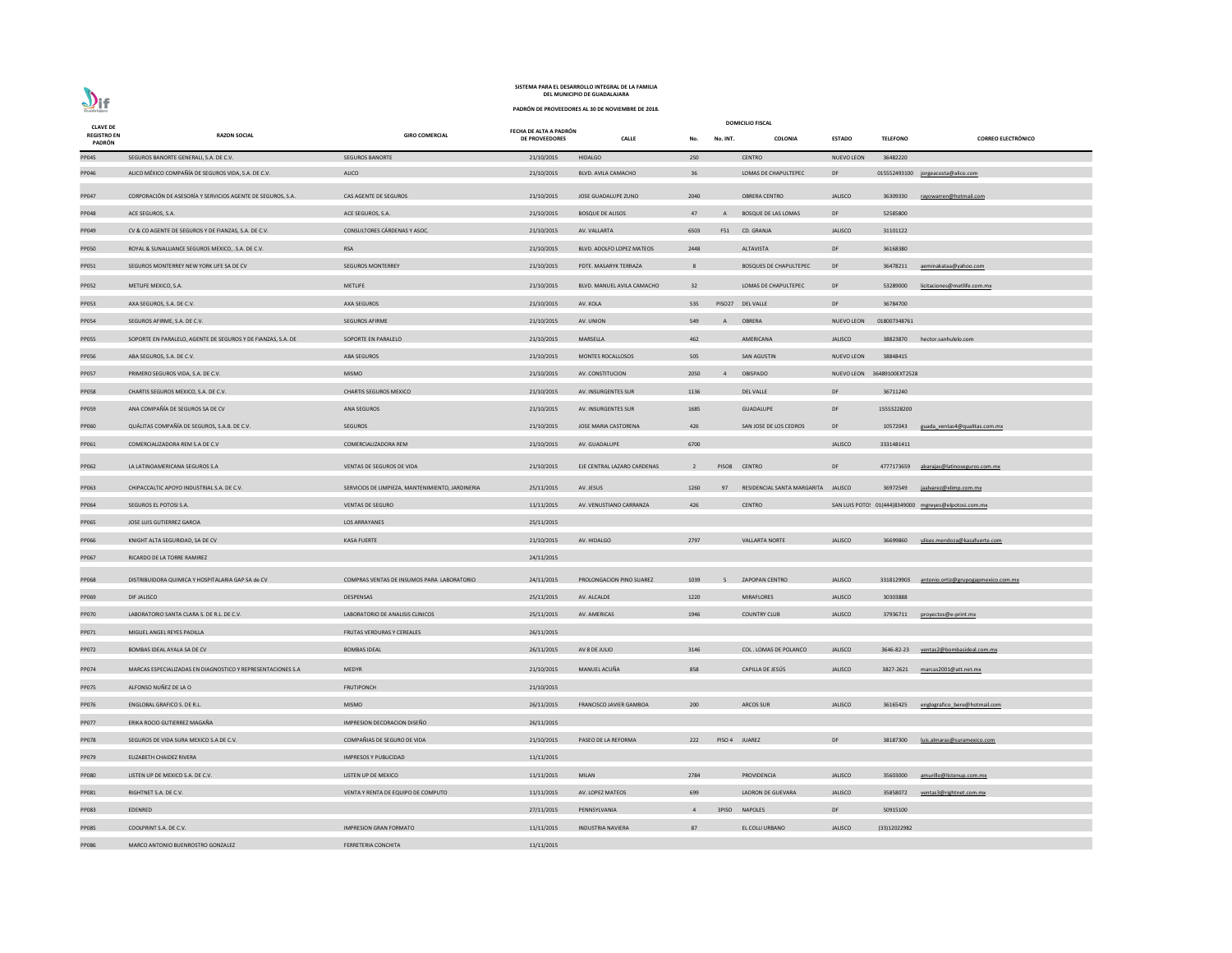| <b>CLAVE DE</b>              |                                                              |                                                  |                                                 |                             |                |                | <b>DOMICILIO FISCAL</b>             |                            |                 |                                                       |
|------------------------------|--------------------------------------------------------------|--------------------------------------------------|-------------------------------------------------|-----------------------------|----------------|----------------|-------------------------------------|----------------------------|-----------------|-------------------------------------------------------|
| <b>REGISTRO EN</b><br>PADRÓN | <b>RAZON SOCIAL</b>                                          | <b>GIRO COMERCIAL</b>                            | FECHA DE ALTA A PADRÓN<br><b>DE PROVEEDORES</b> | <b>CALLE</b>                | No.            | No. INT.       | COLONIA                             | <b>ESTADO</b>              | <b>TELEFONO</b> | <b>CORREO ELECTRÓNICO</b>                             |
| PP045                        | SEGUROS BANORTE GENERALI, S.A. DE C.V.                       | <b>SEGUROS BANORTE</b>                           | 21/10/2015                                      | <b>HIDALGO</b>              | 250            |                | <b>CENTRO</b>                       | <b>NUEVO LEON</b>          | 36482220        |                                                       |
| PP046                        | ALICO MÉXICO COMPAÑÍA DE SEGUROS VIDA, S.A. DE C.V.          | ALICO                                            | 21/10/2015                                      | BLVD. AVILA CAMACHO         | 36             |                | LOMAS DE CHAPULTEPEC                | DF                         |                 | 015552493100 jorgeacosta@alico.com                    |
| PP047                        | CORPORACIÓN DE ASESORÍA Y SERVICIOS AGENTE DE SEGUROS, S.A.  | CAS AGENTE DE SEGUROS                            | 21/10/2015                                      | JOSE GUADALUPE ZUNO         | 2040           |                | OBRERA CENTRO                       | <b>JALISCO</b>             | 36309330        | rayowarren@hotmail.com                                |
| PP048                        | ACE SEGUROS, S.A.                                            | ACE SEGUROS, S.A.                                | 21/10/2015                                      | <b>BOSQUE DE ALISOS</b>     | 47             | $\mathsf{A}$   | <b>BOSQUE DE LAS LOMAS</b>          | DF                         | 52585800        |                                                       |
| PP049                        | CV & CO AGENTE DE SEGUROS Y DE FIANZAS, S.A. DE C.V.         | CONSULTORES CÁRDENAS Y ASOC.                     | 21/10/2015                                      | AV. VALLARTA                | 6503           |                | F51 CD. GRANJA                      | <b>JALISCO</b>             | 31101122        |                                                       |
| <b>PP050</b>                 | ROYAL & SUNALLIANCE SEGUROS MEXICO, .S.A. DE C.V.            | <b>RSA</b>                                       | 21/10/2015                                      | BLVD. ADOLFO LOPEZ MATEOS   | 2448           |                | ALTAVISTA                           | DF                         | 36168380        |                                                       |
| PP051                        | SEGUROS MONTERREY NEW YORK LIFE SA DE CV                     | <b>SEGUROS MONTERREY</b>                         | 21/10/2015                                      | PDTE. MASARYK TERRAZA       | -8             |                | <b>BOSQUES DE CHAPULTEPEC</b>       | DF                         | 36478211        | aeminakataa@yahoo.com                                 |
| PP052                        | METLIFE MEXICO, S.A.                                         | <b>METLIFE</b>                                   | 21/10/2015                                      | BLVD. MANUEL AVILA CAMACHO  | 32             |                | LOMAS DE CHAPULTEPEC                | DF                         | 53289000        | licitaciones@metlife.com.mx                           |
| PP053                        | AXA SEGUROS, S.A. DE C.V.                                    | AXA SEGUROS                                      | 21/10/2015                                      | AV. XOLA                    | 535            |                | PISO27 DEL VALLE                    | DF                         | 36784700        |                                                       |
| PP054                        | SEGUROS AFIRME, S.A. DE C.V.                                 | <b>SEGUROS AFIRME</b>                            | 21/10/2015                                      | AV. UNION                   | 549            | A              | OBRERA                              | <b>NUEVO LEON</b>          | 018007348761    |                                                       |
| <b>PP055</b>                 | SOPORTE EN PARALELO, AGENTE DE SEGUROS Y DE FIANZAS, S.A. DE | SOPORTE EN PARALELO                              | 21/10/2015                                      | MARSELLA                    | 462            |                | AMERICANA                           | <b>JALISCO</b>             |                 | 38823870 hector.sanhulelo.com                         |
| PP056                        | ABA SEGUROS, S.A. DE C.V.                                    | ABA SEGUROS                                      | 21/10/2015                                      | MONTES ROCALLOSOS           | 505            |                | <b>SAN AGUSTIN</b>                  | <b>NUEVO LEON</b>          | 38848415        |                                                       |
| PP057                        | PRIMERO SEGUROS VIDA, S.A. DE C.V.                           | <b>MISMO</b>                                     | 21/10/2015                                      | AV. CONSTITUCION            | 2050           | $\overline{4}$ | OBISPADO                            | NUEVO LEON 36489100EXT2528 |                 |                                                       |
| <b>PP058</b>                 | CHARTIS SEGUROS MEXICO, S.A. DE C.V.                         | <b>CHARTIS SEGUROS MEXICO</b>                    | 21/10/2015                                      | AV. INSURGENTES SUR         | 1136           |                | <b>DEL VALLE</b>                    | DF                         | 36711240        |                                                       |
| PP059                        | ANA COMPAÑÍA DE SEGUROS SA DE CV                             | <b>ANA SEGUROS</b>                               | 21/10/2015                                      | AV. INSURGENTES SUR         | 1685           |                | <b>GUADALUPE</b>                    | DF                         | 15553228200     |                                                       |
| PP060                        | QUÁLITAS COMPAÑÍA DE SEGUROS, S.A.B. DE C.V.                 | <b>SEGUROS</b>                                   | 21/10/2015                                      | JOSE MARIA CASTORENA        | 426            |                | SAN JOSE DE LOS CEDROS              | DF                         | 10572043        | guada ventas4@qualitas.com.mx                         |
| PP061                        | COMERCIALIZADORA REM S.A DE C.V                              | COMERCIALIZADORA REM                             | 21/10/2015                                      | AV. GUADALUPE               | 6700           |                |                                     | <b>JALISCO</b>             | 3331481411      |                                                       |
| PP062                        | LA LATINOAMERICANA SEGUROS S.A                               | VENTAS DE SEGUROS DE VIDA                        | 21/10/2015                                      | EJE CENTRAL LAZARO CARDENAS | 2              |                | PISO8 CENTRO                        | DF                         |                 | 4777173659 abarajas@latinoseguros.com.mx              |
| PP063                        | CHIPACCALTIC APOYO INDUSTRIAL S.A. DE C.V.                   | SERVICIOS DE LIMPIEZA, MANTENIMIENTO, JARDINERIA | 25/11/2015                                      | AV. JESUS                   | 1260           | 97             | RESIDENCIAL SANTA MARGARITA JALISCO |                            | 36972549        | jaalvarez@xlimp.com.mx                                |
| PP064                        | SEGUROS EL POTOSI S.A.                                       | VENTAS DE SEGURO                                 | 11/11/2015                                      | AV. VENUSTIANO CARRANZA     | 426            |                | <b>CENTRO</b>                       |                            |                 | SAN LUIS POTO: 01(444)8349000 mgreyes@elpotosi.com.mx |
| PP065                        | JOSE LUIS GUTIERREZ GARCIA                                   | LOS ARRAYANES                                    | 25/11/2015                                      |                             |                |                |                                     |                            |                 |                                                       |
| PP066                        | KNIGHT ALTA SEGURIDAD, SA DE CV                              | <b>KASA FUERTE</b>                               | 21/10/2015                                      | AV. HIDALGO                 | 2797           |                | <b>VALLARTA NORTE</b>               | <b>JALISCO</b>             | 36699860        | ulises.mendoza@kasafuerte.com                         |
| PP067                        | RICARDO DE LA TORRE RAMIREZ                                  |                                                  | 24/11/2015                                      |                             |                |                |                                     |                            |                 |                                                       |
| PP068                        | DISTRIBUIDORA QUIMICA Y HOSPITALARIA GAP SA de CV            | COMPRAS VENTAS DE INSUMOS PARA LABORATORIO       | 24/11/2015                                      | PROLONGACION PINO SUAREZ    | 1039           | 5 <sup>7</sup> | <b>ZAPOPAN CENTRO</b>               | <b>JALISCO</b>             |                 | 3318129903 antonio.ortiz@grupogapmexico.com.mx        |
| PP069                        | <b>DIF JALISCO</b>                                           | DESPENSAS                                        | 25/11/2015                                      | AV. ALCALDE                 | 1220           |                | <b>MIRAFLORES</b>                   | <b>JALISCO</b>             | 30303888        |                                                       |
| <b>PP070</b>                 | LABORATORIO SANTA CLARA S. DE R.L. DE C.V.                   | LABORATORIO DE ANALISIS CLINICOS                 | 25/11/2015                                      | AV. AMERICAS                | 1946           |                | <b>COUNTRY CLUB</b>                 | <b>JALISCO</b>             | 37936711        | proyectos@e-print.mx                                  |
| PP071                        | MIGUEL ANGEL REYES PADILLA                                   | FRUTAS VERDURAS Y CEREALES                       | 26/11/2015                                      |                             |                |                |                                     |                            |                 |                                                       |
| PP072                        | BOMBAS IDEAL AYALA SA DE CV                                  | <b>BOMBAS IDEAL</b>                              | 26/11/2015                                      | AV 8 DE JULIO               | 3146           |                | COL. LOMAS DE POLANCO               | <b>JALISCO</b>             |                 | 3646-82-23 ventas2@bombasideal.com.mx                 |
| PP074                        | MARCAS ESPECIALIZADAS EN DIAGNOSTICO Y REPRESENTACIONES S.A  | <b>MEDYR</b>                                     | 21/10/2015                                      | MANUEL ACUÑA                | 858            |                | CAPILLA DE JESÚS                    | <b>JALISCO</b>             |                 | 3827-2621 marcas2001@att.net.mx                       |
| PP075                        | ALFONSO NUÑEZ DE LA O                                        | <b>FRUTIPONCH</b>                                | 21/10/2015                                      |                             |                |                |                                     |                            |                 |                                                       |
| PP076                        | <b>ENGLOBAL GRAFICO S. DE R.L.</b>                           | <b>MISMO</b>                                     | 26/11/2015                                      | FRANCISCO JAVIER GAMBOA     | 200            |                | <b>ARCOS SUR</b>                    | <b>JALISCO</b>             | 36165425        | englografico bere@hotmail.com                         |
| PP077                        | ERIKA ROCIO GUTIERREZ MAGAÑA                                 | IMPRESION DECORACION DISEÑO                      | 26/11/2015                                      |                             |                |                |                                     |                            |                 |                                                       |
| <b>PP078</b>                 | SEGUROS DE VIDA SURA MEXICO S.A DE C.V.                      | COMPAÑIAS DE SEGURO DE VIDA                      | 21/10/2015                                      | PASEO DE LA REFORMA         | 222            |                | PISO 4 JUAREZ                       | DF                         | 38187300        | luis.almaras@suramexico.com                           |
| PP079                        | ELIZABETH CHAIDEZ RIVERA                                     | <b>IMPRESOS Y PUBLICIDAD</b>                     | 11/11/2015                                      |                             |                |                |                                     |                            |                 |                                                       |
| <b>PP080</b>                 | LISTEN UP DE MEXICO S.A. DE C.V.                             | LISTEN UP DE MEXICO                              | 11/11/2015                                      | <b>MILAN</b>                | 2784           |                | PROVIDENCIA                         | <b>JALISCO</b>             | 35603000        | amurillo@listenup.com.mx                              |
| PP081                        | RIGHTNET S.A. DE C.V.                                        | VENTA Y RENTA DE EQUIPO DE COMPUTO               | 11/11/2015                                      | AV. LOPEZ MATEOS            | 699            |                | LADRON DE GUEVARA                   | <b>JALISCO</b>             | 35858072        | ventas3@rightnet.com.mx                               |
| PP083                        | EDENRED                                                      |                                                  | 27/11/2015                                      | PENNSYLVANIA                | $\overline{4}$ | 3PISO          | <b>NAPOLES</b>                      | DF                         | 50915100        |                                                       |
| <b>PP085</b>                 | COOLPRINT S.A. DE C.V.                                       | <b>IMPRESION GRAN FORMATO</b>                    | 11/11/2015                                      | <b>INDUSTRIA NAVIERA</b>    | 87             |                | EL COLLI URBANO                     | <b>JALISCO</b>             | (33)12022982    |                                                       |
| <b>PP086</b>                 | MARCO ANTONIO BUENROSTRO GONZALEZ                            | <b>FERRETERIA CONCHITA</b>                       | 11/11/2015                                      |                             |                |                |                                     |                            |                 |                                                       |

**PADRÓN DE PROVEEDORES AL 30 DE NOVIEMBRE DE 2018.**



### **SISTEMA PARA EL DESARROLLO INTEGRAL DE LA FAMILIA DEL MUNICIPIO DE GUADALAJARA**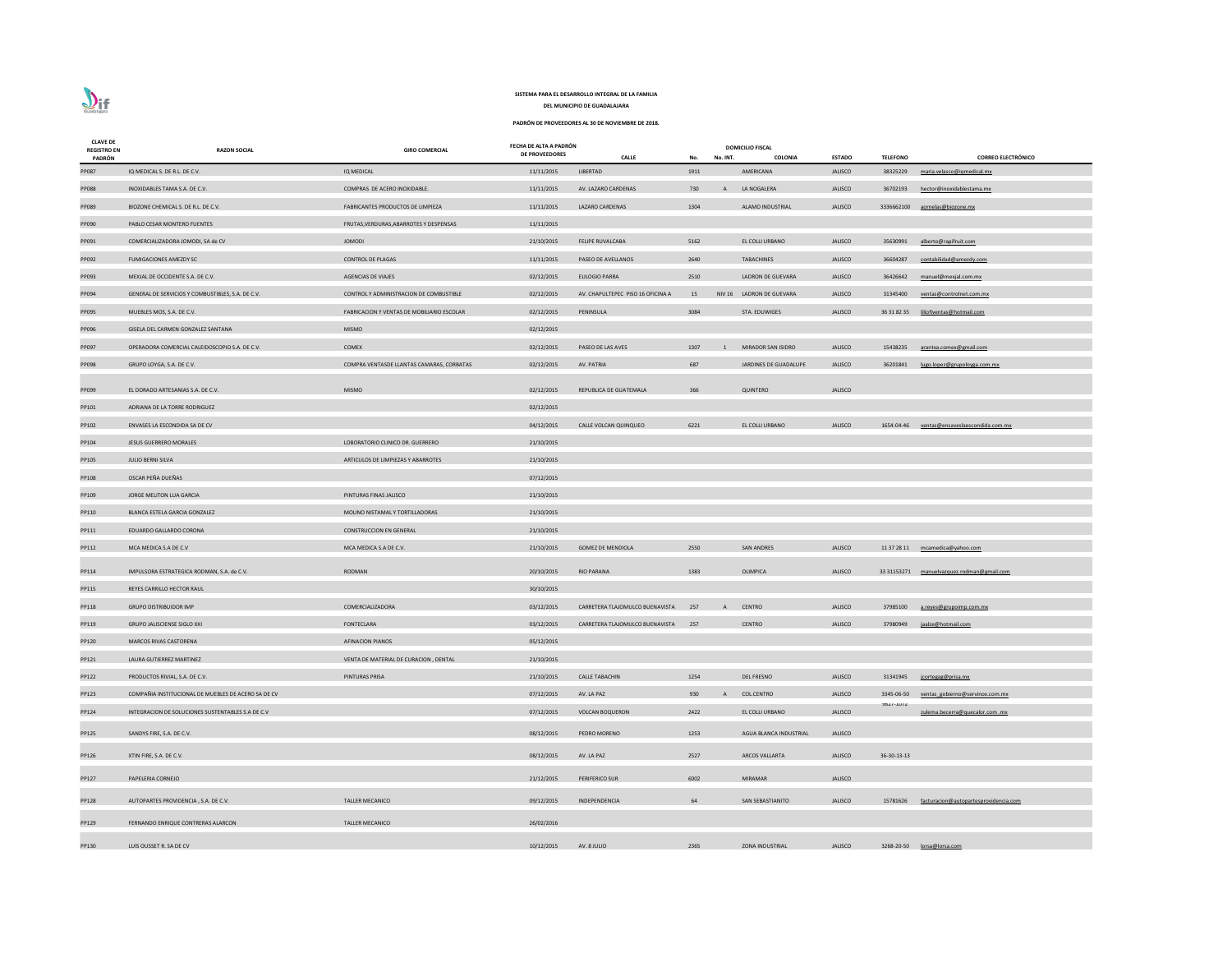| <b>CLAVE DE</b><br><b>REGISTRO EN</b><br>PADRÓN | <b>RAZON SOCIAL</b>                                 | <b>GIRO COMERCIAL</b>                             | FECHA DE ALTA A PADRÓN<br><b>DE PROVEEDORES</b> | <b>CALLE</b>                      | No.  | No. INT.       | <b>DOMICILIO FISCAL</b><br>COLONIA | <b>ESTADO</b>  | <b>TELEFONO</b>               | <b>CORREO ELECTRÓNICO</b>                  |
|-------------------------------------------------|-----------------------------------------------------|---------------------------------------------------|-------------------------------------------------|-----------------------------------|------|----------------|------------------------------------|----------------|-------------------------------|--------------------------------------------|
| PP087                                           | IQ MEDICAL S. DE R.L. DE C.V.                       | IQ MEDICAL                                        | 11/11/2015                                      | LIBERTAD                          | 1911 |                | AMERICANA                          | <b>JALISCO</b> | 38325229                      | maria.velasco@igmedical.mx                 |
| <b>PP088</b>                                    | INOXIDABLES TAMA S.A. DE C.V.                       | COMPRAS DE ACERO INOXIDABLE.                      | 11/11/2015                                      | AV. LAZARO CARDENAS               | 730  | $\overline{A}$ | LA NOGALERA                        | <b>JALISCO</b> | 36702193                      | hector@inoxidablestama.mx                  |
| PP089                                           | BIOZONE CHEMICAL S. DE R.L. DE C.V.                 | FABRICANTES PRODUCTOS DE LIMPIEZA                 | 11/11/2015                                      | LAZARO CARDENAS                   | 1304 |                | ALAMO INDUSTRIAL                   | <b>JALISCO</b> | 3336662100                    | aornelas@biozone.mx                        |
| PP090                                           | PABLO CESAR MONTERO FUENTES                         | FRUTAS, VERDURAS, ABARROTES Y DESPENSAS           | 11/11/2015                                      |                                   |      |                |                                    |                |                               |                                            |
| PP091                                           | COMERCIALIZADORA JOMODI, SA de CV                   | <b>JOMODI</b>                                     | 21/10/2015                                      | FELIPE RUVALCABA                  | 5162 |                | EL COLLI URBANO                    | <b>JALISCO</b> | 35630991                      | alberto@rapifruit.com                      |
| PP092                                           | <b>FUMIGACIONES AMEZDY SC</b>                       | <b>CONTROL DE PLAGAS</b>                          | 11/11/2015                                      | PASEO DE AVELLANOS                | 2640 |                | <b>TABACHINES</b>                  | <b>JALISCO</b> | 36604287                      | contabilidad@amezdy.com                    |
| PP093                                           | MEXJAL DE OCCIDENTE S.A. DE C.V.                    | <b>AGENCIAS DE VIAJES</b>                         | 02/12/2015                                      | <b>EULOGIO PARRA</b>              | 2510 |                | LADRON DE GUEVARA                  | <b>JALISCO</b> | 36426642                      | manuel@mexjal.com.mx                       |
| PP094                                           | GENERAL DE SERVICIOS Y COMBUSTIBLES, S.A. DE C.V.   | CONTROL Y ADMINISTRACION DE COMBUSTIBLE           | 02/12/2015                                      | AV. CHAPULTEPEC PISO 16 OFICINA A | 15   |                | NIV 16 LADRON DE GUEVARA           | <b>JALISCO</b> | 31345400                      | ventas@controlnet.com.mx                   |
| PP095                                           | MUEBLES MOS, S.A. DE C.V.                           | <b>FABRICACION Y VENTAS DE MOBILIARIO ESCOLAR</b> | 02/12/2015                                      | PENINSULA                         | 3084 |                | STA. EDUWIGES                      | <b>JALISCO</b> |                               | 36 31 82 35 liliofiventas@hotmail.com      |
| PP096                                           | GISELA DEL CARMEN GONZALEZ SANTANA                  | <b>MISMO</b>                                      | 02/12/2015                                      |                                   |      |                |                                    |                |                               |                                            |
| PP097                                           | OPERADORA COMERCIAL CALEIDOSCOPIO S.A. DE C.V.      | COMEX                                             | 02/12/2015                                      | PASEO DE LAS AVES                 | 1307 | $\overline{1}$ | MIRADOR SAN ISIDRO                 | <b>JALISCO</b> | 15438235                      | arantxa.comex@gmail.com                    |
| PP098                                           | GRUPO LOYGA, S.A. DE C.V.                           | COMPRA VENTASDE LLANTAS CAMARAS, CORBATAS         | 02/12/2015                                      | AV. PATRIA                        | 687  |                | JARDINES DE GUADALUPE              | <b>JALISCO</b> | 36201841                      | lugo.lopez@grupoloyga.com.mx               |
|                                                 | EL DORADO ARTESANIAS S.A. DE C.V.                   | <b>MISMO</b>                                      | 02/12/2015                                      |                                   | 366  |                | QUINTERO                           | <b>JALISCO</b> |                               |                                            |
| PP099                                           | ADRIANA DE LA TORRE RODRIGUEZ                       |                                                   | 02/12/2015                                      | REPUBLICA DE GUATEMALA            |      |                |                                    |                |                               |                                            |
| PP101                                           | ENVASES LA ESCONDIDA SA DE CV                       |                                                   |                                                 | CALLE VOLCAN QUINQUEO             | 6221 |                | EL COLLI URBANO                    | <b>JALISCO</b> | 1654-04-46                    |                                            |
| PP102<br>PP104                                  | JESUS GUERRERO MORALES                              | LOBORATORIO CLINICO DR. GUERRERO                  | 04/12/2015<br>21/10/2015                        |                                   |      |                |                                    |                |                               | ventas@ensaveslaescondida.com.mx           |
|                                                 | JULIO BERNI SILVA                                   | ARTICULOS DE LIMPIEZAS Y ABARROTES                | 21/10/2015                                      |                                   |      |                |                                    |                |                               |                                            |
| PP105<br>PP108                                  | OSCAR PEÑA DUEÑAS                                   |                                                   |                                                 |                                   |      |                |                                    |                |                               |                                            |
| PP109                                           | JORGE MELITON LUA GARCIA                            | PINTURAS FINAS JALISCO                            | 07/12/2015<br>21/10/2015                        |                                   |      |                |                                    |                |                               |                                            |
| PP110                                           | BLANCA ESTELA GARCIA GONZALEZ                       | MOLINO NISTAMAL Y TORTILLADORAS                   | 21/10/2015                                      |                                   |      |                |                                    |                |                               |                                            |
| PP111                                           | EDUARDO GALLARDO CORONA                             | <b>CONSTRUCCION EN GENERAL</b>                    | 21/10/2015                                      |                                   |      |                |                                    |                |                               |                                            |
| PP112                                           | MCA MEDICA S.A DE C.V                               | MCA MEDICA S.A DE C.V.                            | 21/10/2015                                      | <b>GOMEZ DE MENDIOLA</b>          | 2550 |                | <b>SAN ANDRES</b>                  | <b>JALISCO</b> |                               | 11 37 28 11 mcamedica@yahoo.com            |
|                                                 |                                                     |                                                   |                                                 |                                   |      |                |                                    |                |                               |                                            |
| PP114                                           | IMPULSORA ESTRATEGICA RODMAN, S.A. de C.V.          | <b>RODMAN</b>                                     | 20/10/2015                                      | <b>RIO PARANA</b>                 | 1383 |                | OLIMPICA                           | <b>JALISCO</b> |                               | 33 31153271 manuelvazquez.rodman@gmail.com |
| PP115                                           | REYES CARRILLO HECTOR RAUL                          |                                                   | 30/10/2015                                      |                                   |      |                |                                    |                |                               |                                            |
| PP118                                           | <b>GRUPO DISTRIBUIDOR IMP</b>                       | COMERCIALIZADORA                                  | 03/12/2015                                      | CARRETERA TLAJOMULCO BUENAVISTA   | 257  | $\mathsf{A}$   | <b>CENTRO</b>                      | <b>JALISCO</b> | 37985100                      | a.reyes@grupoimp.com.mx                    |
| PP119                                           | <b>GRUPO JALISCIENSE SIGLO XXI</b>                  | FONTECLARA                                        | 03/12/2015                                      | CARRETERA TLAJOMULCO BUENAVISTA   | 257  |                | <b>CENTRO</b>                      | <b>JALISCO</b> | 37980949                      | jaalze@hotmail.com                         |
| PP120                                           | <b>MARCOS RIVAS CASTORENA</b>                       | <b>AFINACION PIANOS</b>                           | 05/12/2015                                      |                                   |      |                |                                    |                |                               |                                            |
| PP121                                           | LAURA GUTIERREZ MARTINEZ                            | VENTA DE MATERIAL DE CURACION, DENTAL             | 21/10/2015                                      |                                   |      |                |                                    |                |                               |                                            |
| PP122                                           | PRODUCTOS RIVIAL, S.A. DE C.V.                      | PINTURAS PRISA                                    | 21/10/2015                                      | <b>CALLE TABACHIN</b>             | 1254 |                | <b>DEL FRESNO</b>                  | <b>JALISCO</b> | 31341945                      | jcortegag@prisa.mx                         |
| PP123                                           | COMPAÑIA INSTITUCIONAL DE MUEBLES DE ACERO SA DE CV |                                                   | 07/12/2015                                      | AV. LA PAZ                        | 930  |                | <b>COL.CENTRO</b>                  | <b>JALISCO</b> | 3345-06-50<br><b>7071-TOI</b> | ventas gobierno@servinox.com.mx            |
| PP124                                           | INTEGRACION DE SOLUCIONES SUSTENTABLES S.A DE C.V   |                                                   | 07/12/2015                                      | <b>VOLCAN BOQUERON</b>            | 2422 |                | EL COLLI URBANO                    | <b>JALISCO</b> |                               | zulema.becerra@quecalor.com .mx            |
| PP125                                           | SANDYS FIRE, S.A. DE C.V.                           |                                                   | 08/12/2015                                      | PEDRO MORENO                      | 1253 |                | AGUA BLANCA INDUSTRIAL             | <b>JALISCO</b> |                               |                                            |
| PP126                                           | XTIN FIRE, S.A. DE C.V.                             |                                                   | 08/12/2015                                      | AV. LA PAZ                        | 2527 |                | <b>ARCOS VALLARTA</b>              | <b>JALISCO</b> | 36-30-13-13                   |                                            |
| PP127                                           | PAPELERIA CORNEJO                                   |                                                   | 21/12/2015                                      | <b>PERIFERICO SUR</b>             | 6002 |                | <b>MIRAMAR</b>                     | <b>JALISCO</b> |                               |                                            |
| PP128                                           | AUTOPARTES PROVIDENCIA, S.A. DE C.V.                | <b>TALLER MECANICO</b>                            | 09/12/2015                                      | INDEPENDENCIA                     | 64   |                | SAN SEBASTIANITO                   | <b>JALISCO</b> | 15781626                      | facturacion@autopartesprovidencia.com      |
| PP129                                           | FERNANDO ENRIQUE CONTRERAS ALARCON                  | <b>TALLER MECANICO</b>                            | 26/02/2016                                      |                                   |      |                |                                    |                |                               |                                            |
|                                                 |                                                     |                                                   |                                                 |                                   |      |                |                                    |                |                               |                                            |
| PP130                                           | LUIS OUSSET R. SA DE CV                             |                                                   | 10/12/2015                                      | AV. 8 JULIO                       | 2365 |                | <b>ZONA INDUSTRIAL</b>             | <b>JALISCO</b> |                               | 3268-20-50 lorsa@lorsa.com                 |

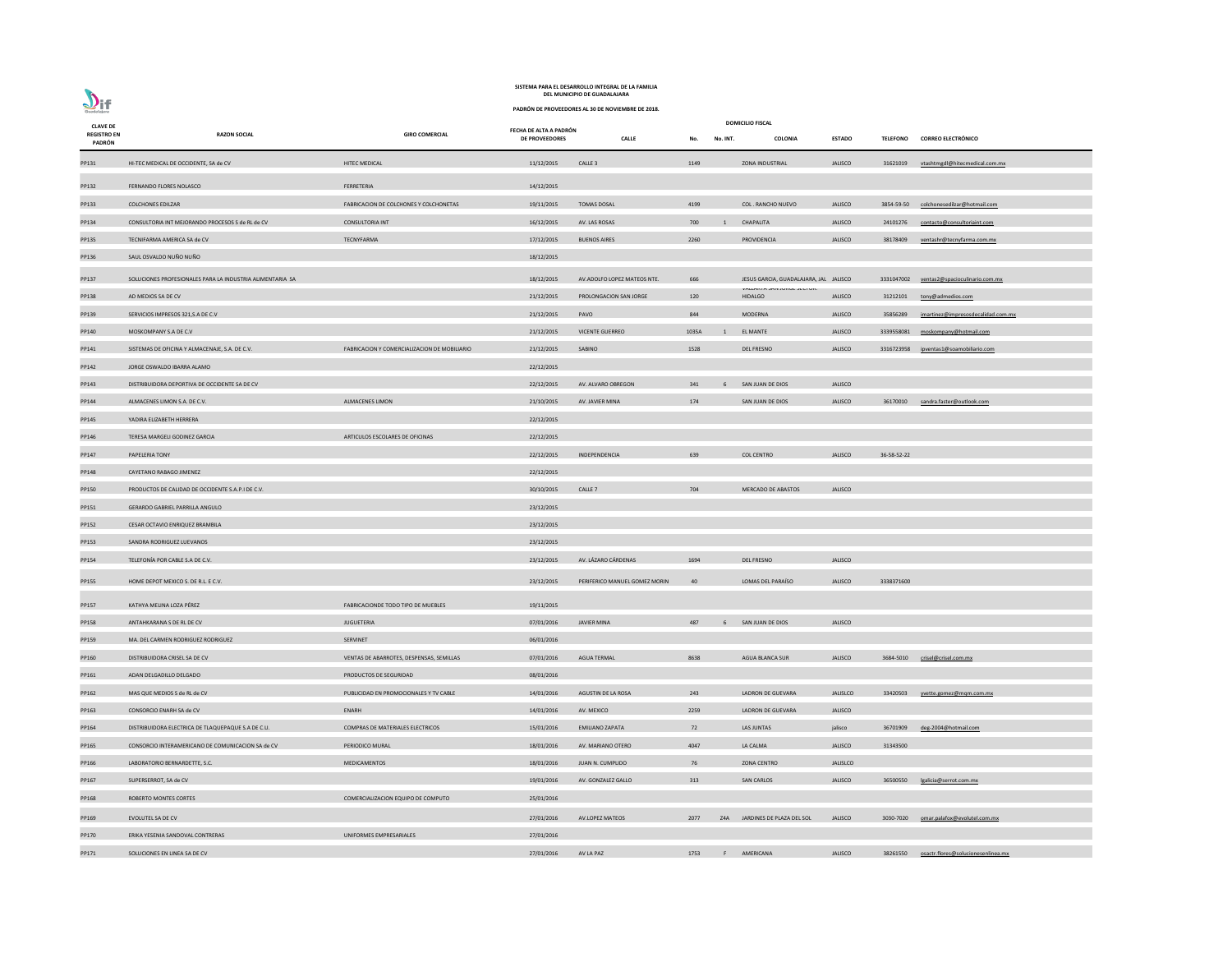

| <b>CLAVE DE</b><br><b>REGISTRO EN</b> | <b>RAZON SOCIAL</b>                                       | <b>GIRO COMERCIAL</b>                        | FECHA DE ALTA A PADRÓN<br><b>DE PROVEEDORES</b> | <b>CALLE</b>                  | No.   | No. INT.       | <b>DOMICILIO FISCAL</b><br>COLONIA            | <b>ESTADO</b>   |             | TELEFONO CORREO ELECTRÓNICO               |
|---------------------------------------|-----------------------------------------------------------|----------------------------------------------|-------------------------------------------------|-------------------------------|-------|----------------|-----------------------------------------------|-----------------|-------------|-------------------------------------------|
| PADRÓN                                |                                                           |                                              |                                                 |                               |       |                |                                               |                 |             |                                           |
| PP131                                 | HI-TEC MEDICAL DE OCCIDENTE, SA de CV                     | <b>HITEC MEDICAL</b>                         | 11/12/2015                                      | CALLE <sub>3</sub>            | 1149  |                | <b>ZONA INDUSTRIAL</b>                        | <b>JALISCO</b>  | 31621019    | vtashtmgdl@hitecmedical.com.mx            |
| PP132                                 | FERNANDO FLORES NOLASCO                                   | FERRETERIA                                   | 14/12/2015                                      |                               |       |                |                                               |                 |             |                                           |
| PP133                                 | <b>COLCHONES EDILZAR</b>                                  | FABRICACION DE COLCHONES Y COLCHONETAS       | 19/11/2015                                      | TOMAS DOSAL                   | 4199  |                | <b>COL. RANCHO NUEVO</b>                      | <b>JALISCO</b>  |             | 3854-59-50 colchonesedilzar@hotmail.com   |
| PP134                                 | CONSULTORIA INT MEJORANDO PROCESOS S de RL de CV          | <b>CONSULTORIA INT</b>                       | 16/12/2015                                      | AV. LAS ROSAS                 | 700   | $\overline{1}$ | CHAPALITA                                     | <b>JALISCO</b>  | 24101276    | contacto@consultoriaint.com               |
| PP135                                 | TECNIFARMA AMERICA SA de CV                               | TECNYFARMA                                   | 17/12/2015                                      | <b>BUENOS AIRES</b>           | 2260  |                | PROVIDENCIA                                   | <b>JALISCO</b>  | 38178409    | ventashr@tecnyfarma.com.mx                |
| PP136                                 | SAUL OSVALDO NUÑO NUÑO                                    |                                              | 18/12/2015                                      |                               |       |                |                                               |                 |             |                                           |
| PP137                                 | SOLUCIONES PROFESIONALES PARA LA INDUSTRIA ALIMENTARIA SA |                                              | 18/12/2015                                      | AV.ADOLFO LOPEZ MATEOS NTE.   | 666   |                | JESUS GARCIA, GUADALAJARA, JAL JALISCO        |                 |             | 3331047002 ventas2@spacioculinario.com.mx |
| PP138                                 | AD MEDIOS SA DE CV                                        |                                              | 21/12/2015                                      | PROLONGACION SAN JORGE        | 120   |                | VALLANTA JAIN JUNGE JEUTUN.<br><b>HIDALGO</b> | <b>JALISCO</b>  |             | 31212101 tony@admedios.com                |
| PP139                                 | SERVICIOS IMPRESOS 321, S.A DE C.V                        |                                              | 21/12/2015                                      | PAVO                          | 844   |                | MODERNA                                       | <b>JALISCO</b>  | 35856289    | imartinez@impresosdecalidad.com.mx        |
| PP140                                 | MOSKOMPANY S.A DE C.V                                     |                                              | 21/12/2015                                      | <b>VICENTE GUERREO</b>        | 1035A | $\mathbf{1}$   | <b>EL MANTE</b>                               | <b>JALISCO</b>  |             | 3339558081 moskompany@hotmail.com         |
| PP141                                 | SISTEMAS DE OFICINA Y ALMACENAJE, S.A. DE C.V.            | FABRICACION Y COMERCIALIZACION DE MOBILIARIO | 21/12/2015                                      | SABINO                        | 1528  |                | <b>DEL FRESNO</b>                             | <b>JALISCO</b>  |             | 3316723958 ipventas1@soamobiliario.com    |
| PP142                                 | JORGE OSWALDO IBARRA ALAMO                                |                                              | 22/12/2015                                      |                               |       |                |                                               |                 |             |                                           |
| PP143                                 | DISTRIBUIDORA DEPORTIVA DE OCCIDENTE SA DE CV             |                                              | 22/12/2015                                      | AV. ALVARO OBREGON            | 341   | 6              | SAN JUAN DE DIOS                              | <b>JALISCO</b>  |             |                                           |
| PP144                                 | ALMACENES LIMON S.A. DE C.V.                              | <b>ALMACENES LIMON</b>                       | 21/10/2015                                      | AV. JAVIER MINA               | 174   |                | SAN JUAN DE DIOS                              | <b>JALISCO</b>  | 36170010    | sandra.faster@outlook.com                 |
| PP145                                 | YADIRA ELIZABETH HERRERA                                  |                                              | 22/12/2015                                      |                               |       |                |                                               |                 |             |                                           |
| PP146                                 | TERESA MARGELI GODINEZ GARCIA                             | ARTICULOS ESCOLARES DE OFICINAS              | 22/12/2015                                      |                               |       |                |                                               |                 |             |                                           |
| PP147                                 | PAPELERIA TONY                                            |                                              | 22/12/2015                                      | INDEPENDENCIA                 | 639   |                | <b>COL CENTRO</b>                             | <b>JALISCO</b>  | 36-58-52-22 |                                           |
| PP148                                 | CAYETANO RABAGO JIMENEZ                                   |                                              | 22/12/2015                                      |                               |       |                |                                               |                 |             |                                           |
| PP150                                 | PRODUCTOS DE CALIDAD DE OCCIDENTE S.A.P.I DE C.V.         |                                              | 30/10/2015                                      | CALLE <sub>7</sub>            | 704   |                | MERCADO DE ABASTOS                            | <b>JALISCO</b>  |             |                                           |
| PP151                                 | GERARDO GABRIEL PARRILLA ANGULO                           |                                              | 23/12/2015                                      |                               |       |                |                                               |                 |             |                                           |
| PP152                                 | CESAR OCTAVIO ENRIQUEZ BRAMBILA                           |                                              | 23/12/2015                                      |                               |       |                |                                               |                 |             |                                           |
| PP153                                 | SANDRA RODRIGUEZ LUEVANOS                                 |                                              | 23/12/2015                                      |                               |       |                |                                               |                 |             |                                           |
| PP154                                 | TELEFONÍA POR CABLE S.A DE C.V.                           |                                              | 23/12/2015                                      | AV. LÁZARO CÁRDENAS           | 1694  |                | <b>DEL FRESNO</b>                             | <b>JALISCO</b>  |             |                                           |
| PP155                                 | HOME DEPOT MEXICO S. DE R.L. E C.V.                       |                                              | 23/12/2015                                      | PERIFERICO MANUEL GOMEZ MORIN | 40    |                | LOMAS DEL PARAÍSO                             | <b>JALISCO</b>  | 3338371600  |                                           |
| PP157                                 | KATHYA MELINA LOZA PÉREZ                                  | FABRICACIONDE TODO TIPO DE MUEBLES           | 19/11/2015                                      |                               |       |                |                                               |                 |             |                                           |
| PP158                                 | ANTAHKARANA S DE RL DE CV                                 | JUGUETERIA                                   | 07/01/2016                                      | <b>JAVIER MINA</b>            | 487   | -6             | SAN JUAN DE DIOS                              | <b>JALISCO</b>  |             |                                           |
| PP159                                 | MA. DEL CARMEN RODRIGUEZ RODRIGUEZ                        | SERVINET                                     | 06/01/2016                                      |                               |       |                |                                               |                 |             |                                           |
| PP160                                 | DISTRIBUIDORA CRISEL SA DE CV                             | VENTAS DE ABARROTES, DESPENSAS, SEMILLAS     | 07/01/2016                                      | <b>AGUA TERMAL</b>            | 8638  |                | <b>AGUA BLANCA SUR</b>                        | <b>JALISCO</b>  | 3684-5010   | crisel@crisel.com.mx                      |
| PP161                                 | ADAN DELGADILLO DELGADO                                   | PRODUCTOS DE SEGURIDAD                       | 08/01/2016                                      |                               |       |                |                                               |                 |             |                                           |
| PP162                                 | MAS QUE MEDIOS S de RL de CV                              | PUBLICIDAD EN PROMOCIONALES Y TV CABLE       | 14/01/2016                                      | AGUSTIN DE LA ROSA            | 243   |                | LADRON DE GUEVARA                             | JALISLCO        | 33420503    | yvette.gomez@mqm.com.mx                   |
| PP163                                 | CONSORCIO ENARH SA de CV                                  | ENARH                                        | 14/01/2016                                      | AV. MEXICO                    | 2259  |                | LADRON DE GUEVARA                             | <b>JALISCO</b>  |             |                                           |
| PP164                                 | DISTRIBUIDORA ELECTRICA DE TLAQUEPAQUE S.A DE C.U.        | COMPRAS DE MATERIALES ELECTRICOS             | 15/01/2016                                      | <b>EMILIANO ZAPATA</b>        | 72    |                | LAS JUNTAS                                    | jalisco         | 36701909    | deg-2004@hotmail.com                      |
| PP165                                 | CONSORCIO INTERAMERICANO DE COMUNICACION SA de CV         | PERIODICO MURAL                              | 18/01/2016                                      | AV. MARIANO OTERO             | 4047  |                | LA CALMA                                      | <b>JALISCO</b>  | 31343500    |                                           |
| PP166                                 | LABORATORIO BERNARDETTE, S.C.                             | <b>MEDICAMENTOS</b>                          | 18/01/2016                                      | JUAN N. CUMPLIDO              | 76    |                | <b>ZONA CENTRO</b>                            | <b>JALISLCO</b> |             |                                           |
| PP167                                 | SUPERSERROT, SA de CV                                     |                                              | 19/01/2016                                      | AV. GONZALEZ GALLO            | 313   |                | <b>SAN CARLOS</b>                             | <b>JALISCO</b>  | 36500550    | lgalicia@serrot.com.mx                    |
| PP168                                 | ROBERTO MONTES CORTES                                     | COMERCIALIZACION EQUIPO DE COMPUTO           | 25/01/2016                                      |                               |       |                |                                               |                 |             |                                           |
| PP169                                 | EVOLUTEL SA DE CV                                         |                                              | 27/01/2016                                      | AV.LOPEZ MATEOS               | 2077  | Z4A            | JARDINES DE PLAZA DEL SOL                     | <b>JALISCO</b>  | 3030-7020   | omar.palafox@evolutel.com.mx              |
| PP170                                 | ERIKA YESENIA SANDOVAL CONTRERAS                          | UNIFORMES EMPRESARIALES                      | 27/01/2016                                      |                               |       |                |                                               |                 |             |                                           |
| PP171                                 | SOLUCIONES EN LINEA SA DE CV                              |                                              | 27/01/2016                                      | AV LA PAZ                     | 1753  |                | F AMERICANA                                   | <b>JALISCO</b>  | 38261550    | osactr.flores@solucionesenlinea.mx        |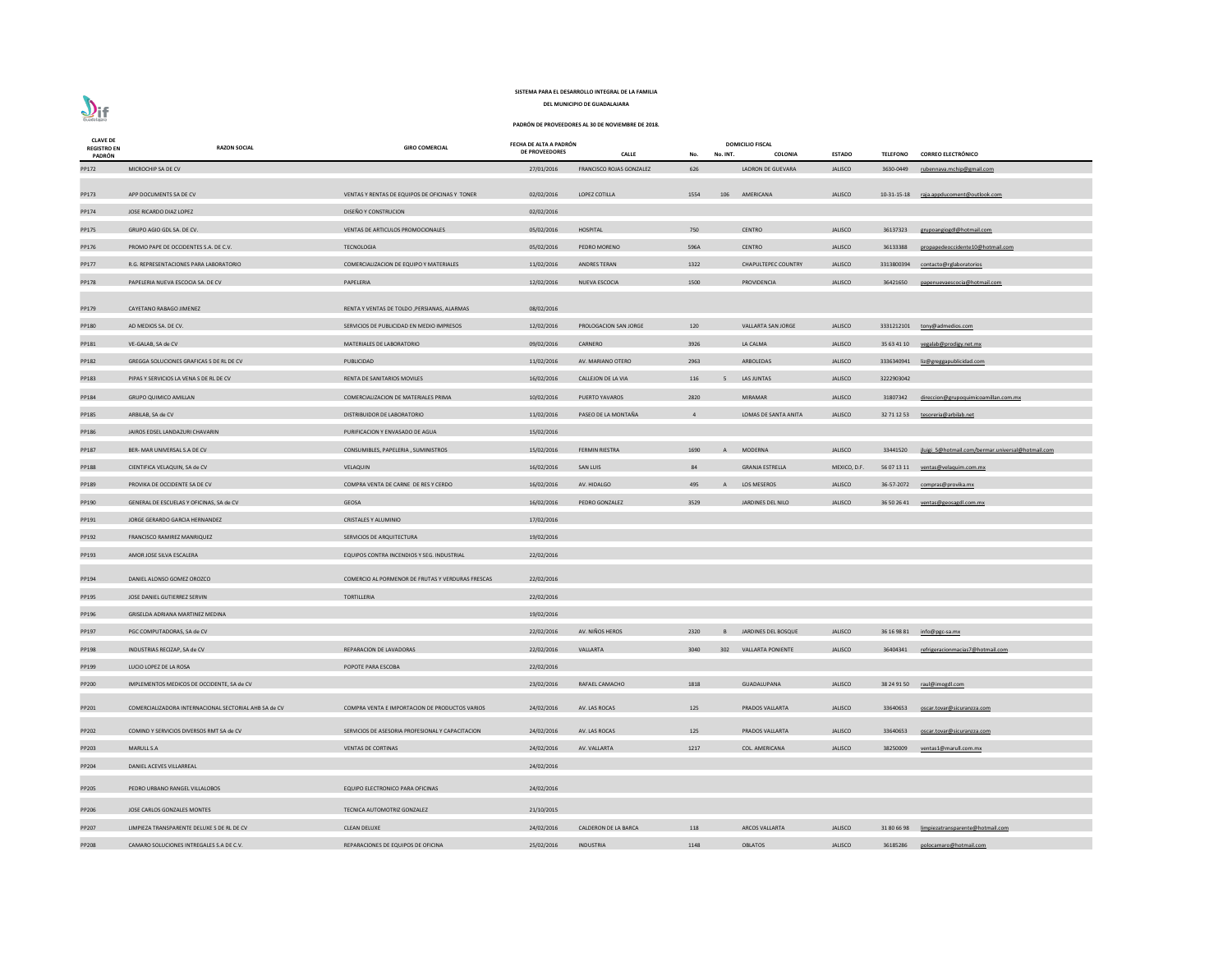| <b>CLAVE DE</b><br><b>REGISTRO EN</b><br>PADRÓN | <b>RAZON SOCIAL</b>                                   | <b>GIRO COMERCIAL</b>                             | FECHA DE ALTA A PADRÓN<br><b>DE PROVEEDORES</b> | <b>CALLE</b>             | No.            | No. INT. | <b>DOMICILIO FISCAL</b><br><b>COLONIA</b> | <b>ESTADO</b>  | <b>TELEFONO</b> | <b>CORREO ELECTRÓNICO</b>                         |
|-------------------------------------------------|-------------------------------------------------------|---------------------------------------------------|-------------------------------------------------|--------------------------|----------------|----------|-------------------------------------------|----------------|-----------------|---------------------------------------------------|
| PP172                                           | MICROCHIP SA DE CV                                    |                                                   | 27/01/2016                                      | FRANCISCO ROJAS GONZALEZ | 626            |          | LADRON DE GUEVARA                         | <b>JALISCO</b> | 3630-0449       | rubennava.mchip@gmail.com                         |
| PP173                                           | APP DOCUMENTS SA DE CV                                | VENTAS Y RENTAS DE EQUIPOS DE OFICINAS Y TONER    | 02/02/2016                                      | LOPEZ COTILLA            | 1554           |          | 106 AMERICANA                             | JALISCO        |                 | 10-31-15-18 raja.appducoment@outlook.com          |
| PP174                                           | JOSE RICARDO DIAZ LOPEZ                               | DISEÑO Y CONSTRUCION                              | 02/02/2016                                      |                          |                |          |                                           |                |                 |                                                   |
| PP175                                           | GRUPO AGIO GDL SA. DE CV.                             | VENTAS DE ARTICULOS PROMOCIONALES                 | 05/02/2016                                      | HOSPITAL                 | 750            |          | <b>CENTRO</b>                             | <b>JALISCO</b> | 36137323        | grupoangiogdl@hotmail.com                         |
| PP176                                           | PROMO PAPE DE OCCIDENTES S.A. DE C.V.                 | <b>TECNOLOGIA</b>                                 | 05/02/2016                                      | PEDRO MORENO             | 596A           |          | <b>CENTRO</b>                             | <b>JALISCO</b> | 36133388        | propapedeoccidente10@hotmail.com                  |
| PP177                                           | R.G. REPRESENTACIONES PARA LABORATORIO                | COMERCIALIZACION DE EQUIPO Y MATERIALES           | 11/02/2016                                      | ANDRES TERAN             | 1322           |          | <b>CHAPULTEPEC COUNTRY</b>                | <b>JALISCO</b> | 3313800394      | contacto@rglaboratorios                           |
| PP178                                           | PAPELERIA NUEVA ESCOCIA SA. DE CV                     | PAPELERIA                                         | 12/02/2016                                      | <b>NUEVA ESCOCIA</b>     | 1500           |          | PROVIDENCIA                               | <b>JALISCO</b> | 36421650        | papenuevaescocia@hotmail.com                      |
| PP179                                           | <b>CAYETANO RABAGO JIMENEZ</b>                        | RENTA Y VENTAS DE TOLDO , PERSIANAS, ALARMAS      | 08/02/2016                                      |                          |                |          |                                           |                |                 |                                                   |
| PP180                                           | AD MEDIOS SA. DE CV.                                  | SERVICIOS DE PUBLICIDAD EN MEDIO IMPRESOS         | 12/02/2016                                      | PROLOGACION SAN JORGE    | 120            |          | VALLARTA SAN JORGE                        | <b>JALISCO</b> | 3331212101      | tony@admedios.com                                 |
| PP181                                           | VE-GALAB, SA de CV                                    | MATERIALES DE LABORATORIO                         | 09/02/2016                                      | CARNERO                  | 3926           |          | LA CALMA                                  | <b>JALISCO</b> | 35 63 41 10     | yegalab@prodigy.net.mx                            |
| PP182                                           | GREGGA SOLUCIONES GRAFICAS S DE RL DE CV              | PUBLICIDAD                                        | 11/02/2016                                      | AV. MARIANO OTERO        | 2963           |          | ARBOLEDAS                                 | JALISCO        | 3336340941      | liz@greggapublicidad.com                          |
| PP183                                           | PIPAS Y SERVICIOS LA VENA S DE RL DE CV               | RENTA DE SANITARIOS MOVILES                       | 16/02/2016                                      | CALLEJON DE LA VIA       | 116            | - 5      | LAS JUNTAS                                | <b>JALISCO</b> | 3222903042      |                                                   |
| PP184                                           | <b>GRUPO QUIMICO AMILLAN</b>                          | COMERCIALIZACION DE MATERIALES PRIMA              | 10/02/2016                                      | <b>PUERTO YAVAROS</b>    | 2820           |          | MIRAMAR                                   | <b>JALISCO</b> | 31807342        | direccion@grupoquimicoamillan.com.mx              |
| PP185                                           | ARBILAB, SA de CV                                     | DISTRIBUIDOR DE LABORATORIO                       | 11/02/2016                                      | PASEO DE LA MONTAÑA      | $\overline{4}$ |          | LOMAS DE SANTA ANITA                      | <b>JALISCO</b> | 32 71 12 53     | tesoreria@arbilab.net                             |
| PP186                                           | JAIROS EDSEL LANDAZURI CHAVARIN                       | PURIFICACION Y ENVASADO DE AGUA                   | 15/02/2016                                      |                          |                |          |                                           |                |                 |                                                   |
| PP187                                           | BER- MAR UNIVERSAL S.A DE CV                          | CONSUMIBLES, PAPELERIA, SUMINISTROS               | 15/02/2016                                      | FERMIN RIESTRA           | 1690           | A        | MODERNA                                   | <b>JALISCO</b> | 33441520        | jluigi 5@hotmail.com/bermar.universal@hotmail.com |
| PP188                                           | CIENTIFICA VELAQUIN, SA de CV                         | VELAQUIN                                          | 16/02/2016                                      | SAN LUIS                 | 84             |          | <b>GRANJA ESTRELLA</b>                    | MEXICO, D.F.   |                 | 56 07 13 11 ventas@velaquim.com.mx                |
| PP189                                           | PROVIKA DE OCCIDENTE SA DE CV                         | COMPRA VENTA DE CARNE DE RES Y CERDO              | 16/02/2016                                      | AV. HIDALGO              | 495            | A        | LOS MESEROS                               | JALISCO        | 36-57-2072      | compras@provika.mx                                |
| PP190                                           | GENERAL DE ESCUELAS Y OFICINAS, SA de CV              | GEOSA                                             | 16/02/2016                                      | PEDRO GONZALEZ           | 3529           |          | JARDINES DEL NILO                         | <b>JALISCO</b> |                 | 36 50 26 41 ventas@geosagdl.com.mx                |
| PP191                                           | JORGE GERARDO GARCIA HERNANDEZ                        | <b>CRISTALES Y ALUMINIO</b>                       | 17/02/2016                                      |                          |                |          |                                           |                |                 |                                                   |
| PP192                                           | FRANCISCO RAMIREZ MANRIQUEZ                           | SERVICIOS DE ARQUITECTURA                         | 19/02/2016                                      |                          |                |          |                                           |                |                 |                                                   |
| PP193                                           | AMOR JOSE SILVA ESCALERA                              | EQUIPOS CONTRA INCENDIOS Y SEG. INDUSTRIAL        | 22/02/2016                                      |                          |                |          |                                           |                |                 |                                                   |
| PP194                                           | DANIEL ALONSO GOMEZ OROZCO                            | COMERCIO AL PORMENOR DE FRUTAS Y VERDURAS FRESCAS | 22/02/2016                                      |                          |                |          |                                           |                |                 |                                                   |
| PP195                                           | JOSE DANIEL GUTIERREZ SERVIN                          | <b>TORTILLERIA</b>                                | 22/02/2016                                      |                          |                |          |                                           |                |                 |                                                   |
| PP196                                           | GRISELDA ADRIANA MARTINEZ MEDINA                      |                                                   | 19/02/2016                                      |                          |                |          |                                           |                |                 |                                                   |
| PP197                                           | PGC COMPUTADORAS, SA de CV                            |                                                   | 22/02/2016                                      | AV. NIÑOS HEROS          | 2320           | $-B$     | JARDINES DEL BOSQUE                       | <b>JALISCO</b> | 36 16 98 81     | info@pgc-sa.mx                                    |
| PP198                                           | INDUSTRIAS RECIZAP, SA de CV                          | REPARACION DE LAVADORAS                           | 22/02/2016                                      | VALLARTA                 | 3040           |          | 302 VALLARTA PONIENTE                     | <b>JALISCO</b> | 36404341        | refrigeracionmacias7@hotmail.com                  |
| PP199                                           | LUCIO LOPEZ DE LA ROSA                                | POPOTE PARA ESCOBA                                | 22/02/2016                                      |                          |                |          |                                           |                |                 |                                                   |
| PP200                                           | IMPLEMENTOS MEDICOS DE OCCIDENTE, SA de CV            |                                                   | 23/02/2016                                      | RAFAEL CAMACHO           | 1818           |          | GUADALUPANA                               | <b>JALISCO</b> | 38 24 91 50     | raul@imogdl.com                                   |
| PP201                                           | COMERCIALIZADORA INTERNACIONAL SECTORIAL AHB SA de CV | COMPRA VENTA E IMPORTACION DE PRODUCTOS VARIOS    | 24/02/2016                                      | AV. LAS ROCAS            | 125            |          | PRADOS VALLARTA                           | <b>JALISCO</b> | 33640653        | oscar.tovar@sicuranzza.com                        |
|                                                 |                                                       |                                                   |                                                 |                          |                |          |                                           |                |                 |                                                   |
| PP202                                           | COMIND Y SERVICIOS DIVERSOS RMT SA de CV              | SERVICIOS DE ASESORIA PROFESIONAL Y CAPACITACION  | 24/02/2016                                      | AV. LAS ROCAS            | 125            |          | PRADOS VALLARTA                           | <b>JALISCO</b> | 33640653        | oscar.tovar@sicuranzza.com                        |
| PP203                                           | <b>MARULL S.A</b>                                     | <b>VENTAS DE CORTINAS</b>                         | 24/02/2016                                      | AV. VALLARTA             | 1217           |          | <b>COL. AMERICANA</b>                     | <b>JALISCO</b> | 38250009        | ventas1@marull.com.mx                             |
| PP204                                           | DANIEL ACEVES VILLARREAL                              |                                                   | 24/02/2016                                      |                          |                |          |                                           |                |                 |                                                   |
| PP205                                           | PEDRO URBANO RANGEL VILLALOBOS                        | EQUIPO ELECTRONICO PARA OFICINAS                  | 24/02/2016                                      |                          |                |          |                                           |                |                 |                                                   |
| PP206                                           | JOSE CARLOS GONZALES MONTES                           | TECNICA AUTOMOTRIZ GONZALEZ                       | 21/10/2015                                      |                          |                |          |                                           |                |                 |                                                   |
| PP207                                           | LIMPIEZA TRANSPARENTE DELUXE S DE RL DE CV            | <b>CLEAN DELUXE</b>                               | 24/02/2016                                      | CALDERON DE LA BARCA     | 118            |          | <b>ARCOS VALLARTA</b>                     | <b>JALISCO</b> | 31 80 66 98     | limpiezatransparente@hotmail.com                  |

# $\sum_{\text{Guedalajara}}$

# **SISTEMA PARA EL DESARROLLO INTEGRAL DE LA FAMILIA**

**DEL MUNICIPIO DE GUADALAJARA**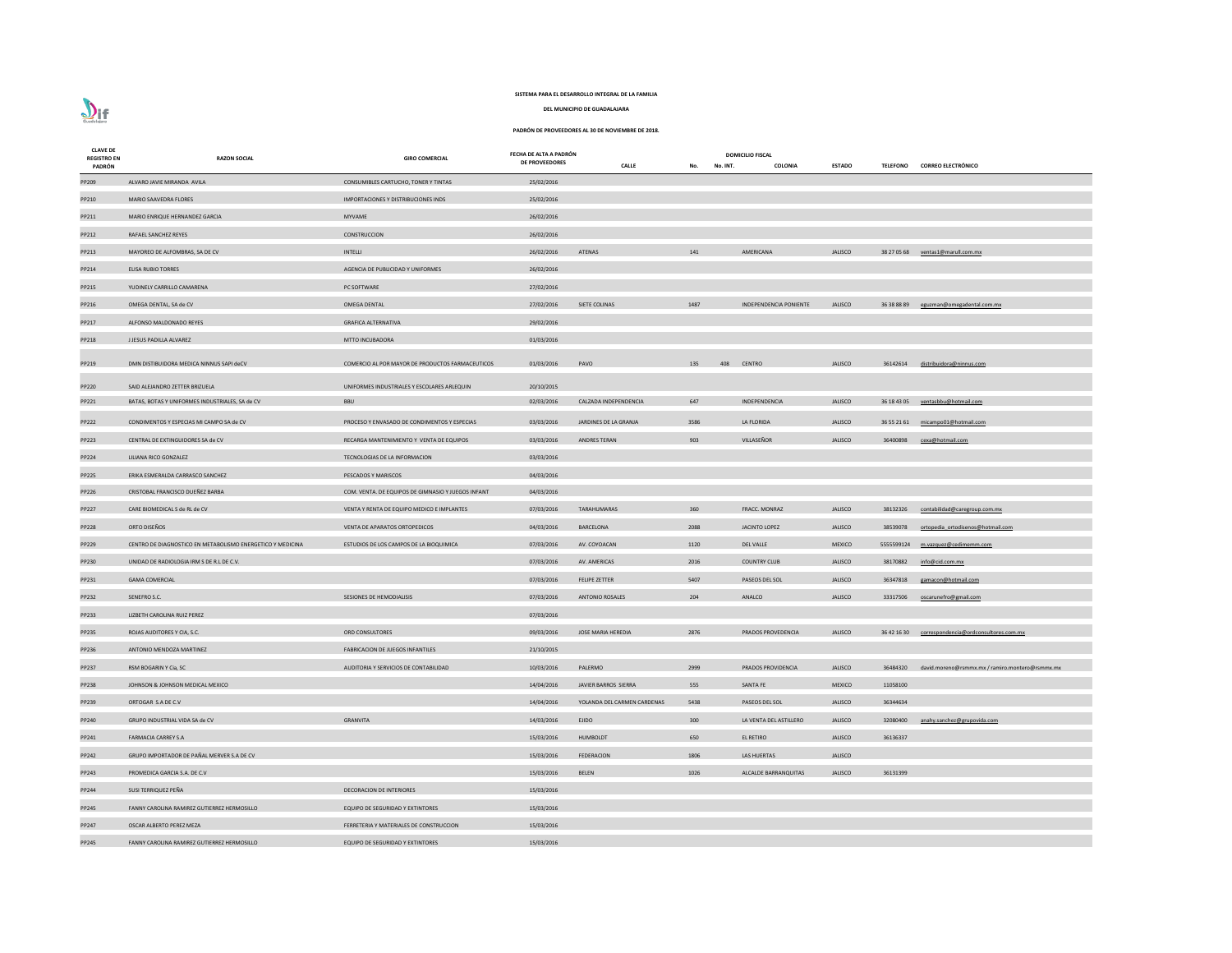# $\sum_{\text{Guedalign}}$

# **SISTEMA PARA EL DESARROLLO INTEGRAL DE LA FAMILIA**

**DEL MUNICIPIO DE GUADALAJARA**

| <b>CLAVE DE</b><br><b>REGISTRO EN</b><br>PADRÓN | <b>RAZON SOCIAL</b>                                                               | <b>GIRO COMERCIAL</b>                                     | FECHA DE ALTA A PADRÓN<br>DE PROVEEDORES | <b>CALLE</b>                | No. INT.<br>No. | <b>DOMICILIO FISCAL</b><br>COLONIA | <b>ESTADO</b>  |            | TELEFONO CORREO ELECTRÓNICO                       |
|-------------------------------------------------|-----------------------------------------------------------------------------------|-----------------------------------------------------------|------------------------------------------|-----------------------------|-----------------|------------------------------------|----------------|------------|---------------------------------------------------|
| PP209                                           | ALVARO JAVIE MIRANDA AVILA                                                        | CONSUMIBLES CARTUCHO, TONER Y TINTAS                      | 25/02/2016                               |                             |                 |                                    |                |            |                                                   |
| PP210                                           | MARIO SAAVEDRA FLORES                                                             | IMPORTACIONES Y DISTRIBUCIONES INDS                       | 25/02/2016                               |                             |                 |                                    |                |            |                                                   |
| PP211                                           | MARIO ENRIQUE HERNANDEZ GARCIA                                                    | MYVAME                                                    | 26/02/2016                               |                             |                 |                                    |                |            |                                                   |
| PP212                                           | RAFAEL SANCHEZ REYES                                                              | CONSTRUCCION                                              | 26/02/2016                               |                             |                 |                                    |                |            |                                                   |
| PP213                                           | MAYOREO DE ALFOMBRAS, SA DE CV                                                    | INTELLI                                                   | 26/02/2016                               | ATENAS                      | 141             | AMERICANA                          | JALISCO        |            | 38 27 05 68 ventas1@marull.com.mx                 |
| PP214                                           | <b>ELISA RUBIO TORRES</b>                                                         | AGENCIA DE PUBLICIDAD Y UNIFORMES                         | 26/02/2016                               |                             |                 |                                    |                |            |                                                   |
| PP215                                           | YUDINELY CARRILLO CAMARENA                                                        | PC SOFTWARE                                               | 27/02/2016                               |                             |                 |                                    |                |            |                                                   |
| PP216                                           | OMEGA DENTAL, SA de CV                                                            | <b>OMEGA DENTAL</b>                                       | 27/02/2016                               | SIETE COLINAS               | 1487            | <b>INDEPENDENCIA PONIENTE</b>      | <b>JALISCO</b> |            | 36 38 88 89 eguzman@omegadental.com.mx            |
| PP217                                           | ALFONSO MALDONADO REYES                                                           | <b>GRAFICA ALTERNATIVA</b>                                | 29/02/2016                               |                             |                 |                                    |                |            |                                                   |
| PP218                                           | J JESUS PADILLA ALVAREZ                                                           | <b>MTTO INCUBADORA</b>                                    | 01/03/2016                               |                             |                 |                                    |                |            |                                                   |
| PP219                                           | DMN DISTIBUIDORA MEDICA NINNUS SAPI deCV                                          | COMERCIO AL POR MAYOR DE PRODUCTOS FARMACEUTICOS          | 01/03/2016                               | PAVO                        | 135<br>408      | <b>CENTRO</b>                      | <b>JALISCO</b> | 36142614   | distribuidora@ninnus.com                          |
|                                                 |                                                                                   |                                                           |                                          |                             |                 |                                    |                |            |                                                   |
| PP220                                           | SAID ALEJANDRO ZETTER BRIZUELA<br>BATAS, BOTAS Y UNIFORMES INDUSTRIALES, SA de CV | UNIFORMES INDUSTRIALES Y ESCOLARES ARLEQUIN<br><b>BBU</b> | 20/10/2015<br>02/03/2016                 | CALZADA INDEPENDENCIA       | 647             | INDEPENDENCIA                      | <b>JALISCO</b> |            |                                                   |
| PP221                                           |                                                                                   |                                                           |                                          |                             |                 |                                    |                |            | 36 18 43 05 ventasbbu@hotmail.com                 |
| PP222                                           | CONDIMENTOS Y ESPECIAS MI CAMPO SA de CV                                          | PROCESO Y ENVASADO DE CONDIMENTOS Y ESPECIAS              | 03/03/2016                               | JARDINES DE LA GRANJA       | 3586            | LA FLORIDA                         | <b>JALISCO</b> |            | 36 55 21 61 micampo01@hotmail.com                 |
| PP223                                           | CENTRAL DE EXTINGUIDORES SA de CV                                                 | RECARGA MANTENIMIENTO Y VENTA DE EQUIPOS                  | 03/03/2016                               | ANDRES TERAN                | 903             | VILLASEÑOR                         | <b>JALISCO</b> | 36400898   | cexa@hotmail.com                                  |
| PP224                                           | LILIANA RICO GONZALEZ                                                             | TECNOLOGIAS DE LA INFORMACION                             | 03/03/2016                               |                             |                 |                                    |                |            |                                                   |
| PP225                                           | ERIKA ESMERALDA CARRASCO SANCHEZ                                                  | PESCADOS Y MARISCOS                                       | 04/03/2016                               |                             |                 |                                    |                |            |                                                   |
| PP226                                           | CRISTOBAL FRANCISCO DUEÑEZ BARBA                                                  | COM. VENTA. DE EQUIPOS DE GIMNASIO Y JUEGOS INFANT        | 04/03/2016                               |                             |                 |                                    |                |            |                                                   |
| PP227                                           | CARE BIOMEDICAL S de RL de CV                                                     | VENTA Y RENTA DE EQUIPO MEDICO E IMPLANTES                | 07/03/2016                               | TARAHUMARAS                 | 360             | FRACC. MONRAZ                      | <b>JALISCO</b> | 38132326   | contabilidad@caregroup.com.mx                     |
| PP228                                           | ORTO DISEÑOS                                                                      | VENTA DE APARATOS ORTOPEDICOS                             | 04/03/2016                               | BARCELONA                   | 2088            | JACINTO LOPEZ                      | <b>JALISCO</b> |            | 38539078 ortopedia ortodisenos@hotmail.com        |
| PP229                                           | CENTRO DE DIAGNOSTICO EN METABOLISMO ENERGETICO Y MEDICINA                        | ESTUDIOS DE LOS CAMPOS DE LA BIOQUIMICA                   | 07/03/2016                               | AV. COYOACAN                | 1120            | <b>DEL VALLE</b>                   | <b>MEXICO</b>  | 5555599124 | m.vazquez@cedimemm.com                            |
| PP230                                           | UNIDAD DE RADIOLOGIA IRM S DE R.L DE C.V.                                         |                                                           | 07/03/2016                               | AV. AMERICAS                | 2016            | <b>COUNTRY CLUB</b>                | <b>JALISCO</b> | 38170882   | info@cid.com.mx                                   |
| PP231                                           | <b>GAMA COMERCIAL</b>                                                             |                                                           | 07/03/2016                               | <b>FELIPE ZETTER</b>        | 5407            | PASEOS DEL SOL                     | <b>JALISCO</b> | 36347818   | gamacon@hotmail.com                               |
| PP232                                           | SENEFRO S.C.                                                                      | SESIONES DE HEMODIALISIS                                  | 07/03/2016                               | <b>ANTONIO ROSALES</b>      | 204             | ANALCO                             | <b>JALISCO</b> | 33317506   | oscarunefro@gmail.com                             |
| PP233                                           | LIZBETH CAROLINA RUIZ PEREZ                                                       |                                                           | 07/03/2016                               |                             |                 |                                    |                |            |                                                   |
| PP235                                           | ROJAS AUDITORES Y CIA, S.C.                                                       | ORD CONSULTORES                                           | 09/03/2016                               | JOSE MARIA HEREDIA          | 2876            | PRADOS PROVEDENCIA                 | <b>JALISCO</b> |            | 36 42 16 30 correspondencia@ordconsultores.com.mx |
| PP236                                           | ANTONIO MENDOZA MARTINEZ                                                          | <b>FABRICACION DE JUEGOS INFANTILES</b>                   | 21/10/2015                               |                             |                 |                                    |                |            |                                                   |
| PP237                                           | RSM BOGARIN Y Cia, SC                                                             | AUDITORIA Y SERVICIOS DE CONTABILIDAD                     | 10/03/2016                               | PALERMO                     | 2999            | PRADOS PROVIDENCIA                 | <b>JALISCO</b> | 36484320   | david.moreno@rsmmx.mx / ramiro.montero@rsmmx.mx   |
| <b>PP238</b>                                    | JOHNSON & JOHNSON MEDICAL MEXICO                                                  |                                                           | 14/04/2016                               | JAVIER BARROS SIERRA        | 555             | <b>SANTA FE</b>                    | <b>MEXICO</b>  | 11058100   |                                                   |
| PP239                                           | ORTOGAR S.A DE C.V                                                                |                                                           | 14/04/2016                               | YOLANDA DEL CARMEN CARDENAS | 5438            | PASEOS DEL SOL                     | <b>JALISCO</b> | 36344634   |                                                   |
| PP240                                           | GRUPO INDUSTRIAL VIDA SA de CV                                                    | <b>GRANVITA</b>                                           | 14/03/2016                               | <b>EJIDO</b>                | 300             | LA VENTA DEL ASTILLERO             | <b>JALISCO</b> | 32080400   | anahy.sanchez@grupovida.com                       |
| PP241                                           | <b>FARMACIA CARREY S.A</b>                                                        |                                                           | 15/03/2016                               | <b>HUMBOLDT</b>             | 650             | EL RETIRO                          | <b>JALISCO</b> | 36136337   |                                                   |
| PP242                                           | GRUPO IMPORTADOR DE PAÑAL MERVER S.A DE CV                                        |                                                           | 15/03/2016                               | <b>FEDERACION</b>           | 1806            | LAS HUERTAS                        | <b>JALISCO</b> |            |                                                   |
| PP243                                           | PROMEDICA GARCIA S.A. DE C.V                                                      |                                                           | 15/03/2016                               | <b>BELEN</b>                | 1026            | ALCALDE BARRANQUITAS               | <b>JALISCO</b> | 36131399   |                                                   |
| PP244                                           | SUSI TERRIQUEZ PEÑA                                                               | DECORACION DE INTERIORES                                  | 15/03/2016                               |                             |                 |                                    |                |            |                                                   |
| PP245                                           | FANNY CAROLINA RAMIREZ GUTIERREZ HERMOSILLO                                       | <b>EQUIPO DE SEGURIDAD Y EXTINTORES</b>                   | 15/03/2016                               |                             |                 |                                    |                |            |                                                   |
| PP247                                           | OSCAR ALBERTO PEREZ MEZA                                                          | FERRETERIA Y MATERIALES DE CONSTRUCCION                   | 15/03/2016                               |                             |                 |                                    |                |            |                                                   |
| PP245                                           | FANNY CAROLINA RAMIREZ GUTIERREZ HERMOSILLO                                       | EQUIPO DE SEGURIDAD Y EXTINTORES                          | 15/03/2016                               |                             |                 |                                    |                |            |                                                   |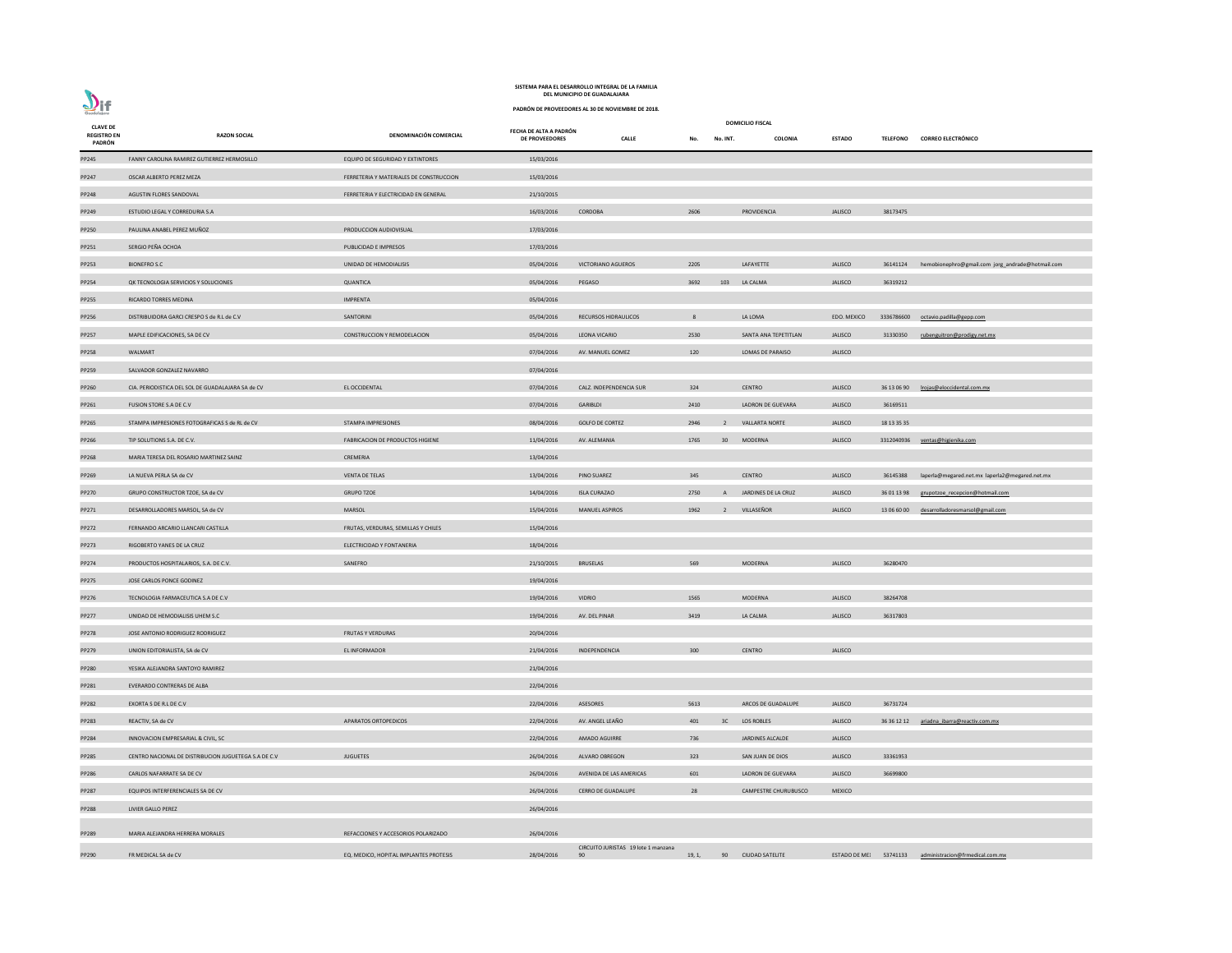| <b>CLAVE DE</b>              |                                                      |                                         |                                                 |                                           |        |                 | <b>DOMICILIO FISCAL</b>     |                        |                 |
|------------------------------|------------------------------------------------------|-----------------------------------------|-------------------------------------------------|-------------------------------------------|--------|-----------------|-----------------------------|------------------------|-----------------|
| <b>REGISTRO EN</b><br>PADRÓN | <b>RAZON SOCIAL</b>                                  | DENOMINACIÓN COMERCIAL                  | FECHA DE ALTA A PADRÓN<br><b>DE PROVEEDORES</b> | <b>CALLE</b>                              | No.    | No. INT.        | <b>COLONIA</b>              | <b>ESTADO</b>          | <b>TELEFONO</b> |
| PP245                        | FANNY CAROLINA RAMIREZ GUTIERREZ HERMOSILLO          | EQUIPO DE SEGURIDAD Y EXTINTORES        | 15/03/2016                                      |                                           |        |                 |                             |                        |                 |
| PP247                        | OSCAR ALBERTO PEREZ MEZA                             | FERRETERIA Y MATERIALES DE CONSTRUCCION | 15/03/2016                                      |                                           |        |                 |                             |                        |                 |
| PP248                        | AGUSTIN FLORES SANDOVAL                              | FERRETERIA Y ELECTRICIDAD EN GENERAL    | 21/10/2015                                      |                                           |        |                 |                             |                        |                 |
| PP249                        | ESTUDIO LEGAL Y CORREDURIA S.A                       |                                         | 16/03/2016                                      | CORDOBA                                   | 2606   |                 | PROVIDENCIA                 | <b>JALISCO</b>         | 38173475        |
| PP250                        | PAULINA ANABEL PEREZ MUÑOZ                           | PRODUCCION AUDIOVISUAL                  | 17/03/2016                                      |                                           |        |                 |                             |                        |                 |
| PP251                        | SERGIO PEÑA OCHOA                                    | PUBLICIDAD E IMPRESOS                   | 17/03/2016                                      |                                           |        |                 |                             |                        |                 |
| PP253                        | <b>BIONEFRO S.C</b>                                  | UNIDAD DE HEMODIALISIS                  | 05/04/2016                                      | <b>VICTORIANO AGUEROS</b>                 | 2205   |                 | LAFAYETTE                   | <b>JALISCO</b>         | 36141124        |
| PP254                        | QK TECNOLOGIA SERVICIOS Y SOLUCIONES                 | QUANTICA                                | 05/04/2016                                      | PEGASO                                    | 3692   | 103             | LA CALMA                    | <b>JALISCO</b>         | 36319212        |
| PP255                        | RICARDO TORRES MEDINA                                | <b>IMPRENTA</b>                         | 05/04/2016                                      |                                           |        |                 |                             |                        |                 |
| PP256                        | DISTRIBUIDORA GARCI CRESPO S de R.L de C.V           | SANTORINI                               | 05/04/2016                                      | <b>RECURSOS HIDRAULICOS</b>               | 8      |                 | LA LOMA                     | EDO. MEXICO            | 333678660       |
| PP257                        | MAPLE EDIFICACIONES, SA DE CV                        | <b>CONSTRUCCION Y REMODELACION</b>      | 05/04/2016                                      | LEONA VICARIO                             | 2530   |                 | SANTA ANA TEPETITLAN        | <b>JALISCO</b>         | 31330350        |
| <b>PP258</b>                 | WALMART                                              |                                         | 07/04/2016                                      | AV. MANUEL GOMEZ                          | 120    |                 | LOMAS DE PARAISO            | <b>JALISCO</b>         |                 |
| PP259                        | SALVADOR GONZALEZ NAVARRO                            |                                         | 07/04/2016                                      |                                           |        |                 |                             |                        |                 |
| PP260                        | CIA. PERIODISTICA DEL SOL DE GUADALAJARA SA de CV    | EL OCCIDENTAL                           | 07/04/2016                                      | CALZ. INDEPENDENCIA SUR                   | 324    |                 | <b>CENTRO</b>               | <b>JALISCO</b>         | 36 13 06 90     |
| PP261                        | FUSION STORE S.A DE C.V                              |                                         | 07/04/2016                                      | GARIBLDI                                  | 2410   |                 | LADRON DE GUEVARA           | <b>JALISCO</b>         | 36169511        |
| PP265                        | STAMPA IMPRESIONES FOTOGRAFICAS S de RL de CV        | <b>STAMPA IMPRESIONES</b>               | 08/04/2016                                      | <b>GOLFO DE CORTEZ</b>                    | 2946   | $\overline{2}$  | <b>VALLARTA NORTE</b>       | <b>JALISCO</b>         | 18 13 35 35     |
| PP266                        | TIP SOLUTIONS S.A. DE C.V.                           | FABRICACION DE PRODUCTOS HIGIENE        | 11/04/2016                                      | AV. ALEMANIA                              | 1765   | 30 <sup>°</sup> | <b>MODERNA</b>              | <b>JALISCO</b>         | 331204093       |
| PP268                        | MARIA TERESA DEL ROSARIO MARTINEZ SAINZ              | CREMERIA                                | 13/04/2016                                      |                                           |        |                 |                             |                        |                 |
| PP269                        | LA NUEVA PERLA SA de CV                              | <b>VENTA DE TELAS</b>                   | 13/04/2016                                      | <b>PINO SUAREZ</b>                        | 345    |                 | <b>CENTRO</b>               | <b>JALISCO</b>         | 36145388        |
| PP270                        | GRUPO CONSTRUCTOR TZOE, SA de CV                     | <b>GRUPO TZOE</b>                       | 14/04/2016                                      | <b>ISLA CURAZAO</b>                       | 2750   | $\mathsf{A}$    | JARDINES DE LA CRUZ         | <b>JALISCO</b>         | 36 01 13 98     |
| PP271                        | DESARROLLADORES MARSOL, SA de CV                     | MARSOL                                  | 15/04/2016                                      | <b>MANUEL ASPIROS</b>                     | 1962   | $\overline{2}$  | VILLASEÑOR                  | <b>JALISCO</b>         | 13 06 60 00     |
| PP272                        | FERNANDO ARCARIO LLANCARI CASTILLA                   | FRUTAS, VERDURAS, SEMILLAS Y CHILES     | 15/04/2016                                      |                                           |        |                 |                             |                        |                 |
| PP273                        | RIGOBERTO YANES DE LA CRUZ                           | ELECTRICIDAD Y FONTANERIA               | 18/04/2016                                      |                                           |        |                 |                             |                        |                 |
| PP274                        | PRODUCTOS HOSPITALARIOS, S.A. DE C.V.                | SANEFRO                                 | 21/10/2015                                      | <b>BRUSELAS</b>                           | 569    |                 | <b>MODERNA</b>              | <b>JALISCO</b>         | 36280470        |
| PP275                        | JOSE CARLOS PONCE GODINEZ                            |                                         | 19/04/2016                                      |                                           |        |                 |                             |                        |                 |
| PP276                        | TECNOLOGIA FARMACEUTICA S.A DE C.V                   |                                         | 19/04/2016                                      | <b>VIDRIO</b>                             | 1565   |                 | <b>MODERNA</b>              | <b>JALISCO</b>         | 38264708        |
| PP277                        | UNIDAD DE HEMODIALISIS UHEM S.C                      |                                         | 19/04/2016                                      | AV. DEL PINAR                             | 3419   |                 | LA CALMA                    | <b>JALISCO</b>         | 36317803        |
| <b>PP278</b>                 | JOSE ANTONIO RODRIGUEZ RODRIGUEZ                     | <b>FRUTAS Y VERDURAS</b>                | 20/04/2016                                      |                                           |        |                 |                             |                        |                 |
| PP279                        | UNION EDITORIALISTA, SA de CV                        | EL INFORMADOR                           | 21/04/2016                                      | INDEPENDENCIA                             | 300    |                 | <b>CENTRO</b>               | <b>JALISCO</b>         |                 |
| <b>PP280</b>                 | YESIKA ALEJANDRA SANTOYO RAMIREZ                     |                                         | 21/04/2016                                      |                                           |        |                 |                             |                        |                 |
| PP281                        | EVERARDO CONTRERAS DE ALBA                           |                                         | 22/04/2016                                      |                                           |        |                 |                             |                        |                 |
| PP282                        | EXORTA S DE R.L DE C.V                               |                                         | 22/04/2016                                      | ASESORES                                  | 5613   |                 | ARCOS DE GUADALUPE          | <b>JALISCO</b>         | 36731724        |
| PP283                        | REACTIV, SA de CV                                    | APARATOS ORTOPEDICOS                    | 22/04/2016                                      | AV. ANGEL LEAÑO                           | 401    | 3C              | LOS ROBLES                  | <b>JALISCO</b>         | 36 36 12 12     |
| PP284                        | INNOVACION EMPRESARIAL & CIVIL, SC                   |                                         | 22/04/2016                                      | <b>AMADO AGUIRRE</b>                      | 736    |                 | JARDINES ALCALDE            | <b>JALISCO</b>         |                 |
| PP285                        | CENTRO NACIONAL DE DISTRIBUCION JUGUETEGA S.A DE C.V | <b>JUGUETES</b>                         | 26/04/2016                                      | ALVARO OBREGON                            | 323    |                 | SAN JUAN DE DIOS            | <b>JALISCO</b>         | 33361953        |
| PP286                        | CARLOS NAFARRATE SA DE CV                            |                                         | 26/04/2016                                      | AVENIDA DE LAS AMERICAS                   | 601    |                 | LADRON DE GUEVARA           | <b>JALISCO</b>         | 36699800        |
| PP287                        | EQUIPOS INTERFERENCIALES SA DE CV                    |                                         | 26/04/2016                                      | <b>CERRO DE GUADALUPE</b>                 | 28     |                 | <b>CAMPESTRE CHURUBUSCO</b> | <b>MEXICO</b>          |                 |
| <b>PP288</b>                 | LIVIER GALLO PEREZ                                   |                                         | 26/04/2016                                      |                                           |        |                 |                             |                        |                 |
| PP289                        | MARIA ALEJANDRA HERRERA MORALES                      | REFACCIONES Y ACCESORIOS POLARIZADO     | 26/04/2016                                      |                                           |        |                 |                             |                        |                 |
| PP290                        | FR MEDICAL SA de CV                                  | EQ. MEDICO, HOPITAL IMPLANTES PROTESIS  | 28/04/2016                                      | CIRCUITO JURISTAS 19 lote 1 manzana<br>90 | 19, 1, | 90              | <b>CIUDAD SATELITE</b>      | ESTADO DE ME: 53741133 |                 |
|                              |                                                      |                                         |                                                 |                                           |        |                 |                             |                        |                 |

**CALLE No. No. INT. COLONIA ESTADO TELEFONO CORREO ELECTRÓNICO** JALISCO 36141124 hemobionephro@gmail.com jorg\_andrade@hotmail.com EDO. MEXICO 3336786600 [octavio.padilla@gepp.com](mailto:octavio.padilla@gepp.com) TEPETITLAN JALISCO 31330350 <u>[rubenguitron@prodigy.net.mx](mailto:rubenguitron@prodigy.net.mx)</u> PP260 CIA. PERIODISTICA DEL SOL DE GUADALAJARA SA de CV EL OCCIDENTAL 07/04/2016 CALZ. INDEPENDENCIA SUR 324 CENTRO JALISCO 36 13 06 90 [lrojas@eloccidental.com.mx](mailto:lrojas@eloccidental.com.mx) POLUS S.A. DE C.V. E. DE S.A. DE S.A. DE S.A. DE S.A. DE S.A. DE PRODUCTOS S.A. D<br>B.A. DE PRODUCTOS S.A. ALEMANIA 1765 312040936 [ventas@higienika.com](mailto:ventas@higienika.com) JALISCO 36145388 laperla@megared.net.mx laperla2@megared.net.mx PP270 E LA CRUZ CONSTRUCTOR CONSTRUCTOR TAGGES 14/04/2016 A LA CRUZ CONSTRUCTOR 14/04/2016 27:00 A JARDINES DE LA CRUZ JALISCO 2750 A JARDINES DE LA CRUZ JALISCO 2750 A JARDINES DE LA CRUZ JALISCO 27:00 A JARDINES DE LA CR PP271 DESARROLLADORES MARSOL, SA de COVID-1306 6000 [desarrolladoresmarsol@gmail.com](mailto:desarrolladoresmarsol@gmail.com) PP283 B 236 836 1212 B DRAFA ALLISCO 236 36 12 12 [ariadna\\_ibarra@reactiv.com.mx](mailto:ariadna_ibarra@reactiv.com.mx)  $E$  GUEVARA DE COV 26699800 **P**<br>PP287 EQUIPOS COMPESTED EXECUTE FELITE **190 190 190 ESTADO DE MEX** 53741133 [administracion@frmedical.com.mx](mailto:administracion@frmedical.com.mx)

**PADRÓN DE PROVEEDORES AL 30 DE NOVIEMBRE DE 2018.**



#### **DEL MUNICIPIO DE GUADALAJARA SISTEMA PARA EL DESARROLLO INTEGRAL DE LA FAMILIA**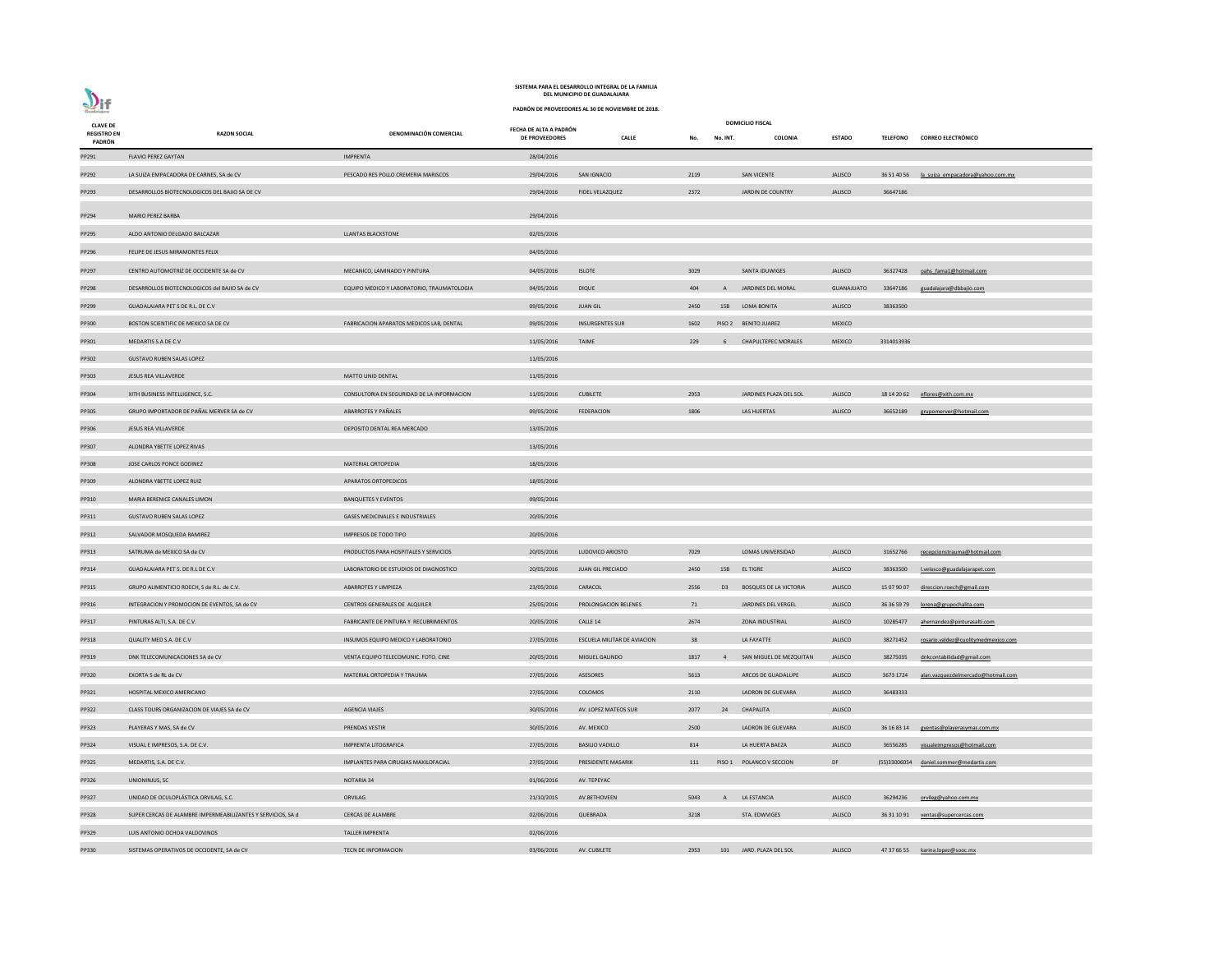| <b>CLAVE DE</b><br><b>REGISTRO EN</b> | <b>RAZON SOCIAL</b>                                          | DENOMINACIÓN COMERCIAL                     | FECHA DE ALTA A PADRÓN<br>DE PROVEEDORES | <b>CALLE</b>                       | No.  | No. INT.     | <b>DOMICILIO FISCAL</b><br>COLONIA | <b>ESTADO</b>     | <b>TELEFONO</b> | <b>CORREO ELECTRÓNICO</b>           |
|---------------------------------------|--------------------------------------------------------------|--------------------------------------------|------------------------------------------|------------------------------------|------|--------------|------------------------------------|-------------------|-----------------|-------------------------------------|
| PADRÓN                                |                                                              |                                            |                                          |                                    |      |              |                                    |                   |                 |                                     |
| PP291                                 | <b>FLAVIO PEREZ GAYTAN</b>                                   | <b>IMPRENTA</b>                            | 28/04/2016                               |                                    |      |              |                                    |                   |                 |                                     |
| PP292                                 | LA SUIZA EMPACADORA DE CARNES, SA de CV                      | PESCADO RES POLLO CREMERIA MARISCOS        | 29/04/2016                               | SAN IGNACIO                        | 2119 |              | <b>SAN VICENTE</b>                 | <b>JALISCO</b>    | 36 51 40 56     | la suiza empacadora@yahoo.com.mx    |
| PP293                                 | DESARROLLOS BIOTECNOLOGICOS DEL BAJIO SA DE CV               |                                            | 29/04/2016                               | FIDEL VELAZQUEZ                    | 2372 |              | JARDIN DE COUNTRY                  | <b>JALISCO</b>    | 36647186        |                                     |
| PP294                                 | <b>MARIO PEREZ BARBA</b>                                     |                                            | 29/04/2016                               |                                    |      |              |                                    |                   |                 |                                     |
| PP295                                 | ALDO ANTONIO DELGADO BALCAZAR                                | <b>LLANTAS BLACKSTONE</b>                  | 02/05/2016                               |                                    |      |              |                                    |                   |                 |                                     |
| PP296                                 | FELIPE DE JESUS MIRAMONTES FELIX                             |                                            | 04/05/2016                               |                                    |      |              |                                    |                   |                 |                                     |
| PP297                                 | CENTRO AUTOMOTRIZ DE OCCIDENTE SA de CV                      | MECANICO, LAMINADO Y PINTURA               | 04/05/2016                               | <b>ISLOTE</b>                      | 3029 |              | SANTA IDUWIGES                     | <b>JALISCO</b>    | 36327428        | oahs fama1@hotmail.com              |
| PP298                                 | DESARROLLOS BIOTECNOLOGICOS del BAJIO SA de CV               | EQUIPO MEDICO Y LABORATORIO, TRAUMATOLOGIA | 04/05/2016                               | <b>DIQUE</b>                       | 404  |              | A JARDINES DEL MORAL               | <b>GUANAJUATO</b> | 33647186        | guadalajara@dbbajio.com             |
| PP299                                 | GUADALAJARA PET S DE R.L. DE C.V                             |                                            | 09/05/2016                               | <b>JUAN GIL</b>                    | 2450 |              | 15B LOMA BONITA                    | <b>JALISCO</b>    | 38363500        |                                     |
| PP300                                 | BOSTON SCIENTIFIC DE MEXICO SA DE CV                         | FABRICACION APARATOS MEDICOS LAB, DENTAL   | 09/05/2016                               | <b>INSURGENTES SUR</b>             | 1602 |              | PISO 2 BENITO JUAREZ               | <b>MEXICO</b>     |                 |                                     |
| PP301                                 | MEDARTIS S.A DE C.V                                          |                                            | 11/05/2016                               | <b>TAIME</b>                       | 229  |              | 6 CHAPULTEPEC MORALES              | <b>MEXICO</b>     | 3314013936      |                                     |
| PP302                                 | <b>GUSTAVO RUBEN SALAS LOPEZ</b>                             |                                            | 11/05/2016                               |                                    |      |              |                                    |                   |                 |                                     |
| PP303                                 | JESUS REA VILLAVERDE                                         | <b>MATTO UNID DENTAL</b>                   | 11/05/2016                               |                                    |      |              |                                    |                   |                 |                                     |
| PP304                                 | XITH BUSINESS INTELLIGENCE, S.C.                             | CONSULTORIA EN SEGURIDAD DE LA INFORMACION | 11/05/2016                               | <b>CUBILETE</b>                    | 2953 |              | JARDINES PLAZA DEL SOL             | <b>JALISCO</b>    | 18 14 20 62     | <u>eflores@xith.com.mx</u>          |
| PP305                                 | GRUPO IMPORTADOR DE PAÑAL MERVER SA de CV                    | <b>ABARROTES Y PAÑALES</b>                 | 09/05/2016                               | <b>FEDERACION</b>                  | 1806 |              | LAS HUERTAS                        | <b>JALISCO</b>    | 36652189        | grupomerver@hotmail.com             |
| PP306                                 | JESUS REA VILLAVERDE                                         | DEPOSITO DENTAL REA MERCADO                | 13/05/2016                               |                                    |      |              |                                    |                   |                 |                                     |
| PP307                                 | ALONDRA YBETTE LOPEZ RIVAS                                   |                                            | 13/05/2016                               |                                    |      |              |                                    |                   |                 |                                     |
| PP308                                 | JOSE CARLOS PONCE GODINEZ                                    | MATERIAL ORTOPEDIA                         | 18/05/2016                               |                                    |      |              |                                    |                   |                 |                                     |
| PP309                                 | ALONDRA YBETTE LOPEZ RUIZ                                    | APARATOS ORTOPEDICOS                       | 18/05/2016                               |                                    |      |              |                                    |                   |                 |                                     |
| PP310                                 | MARIA BERENICE CANALES LIMON                                 | <b>BANQUETES Y EVENTOS</b>                 | 09/05/2016                               |                                    |      |              |                                    |                   |                 |                                     |
| PP311                                 | <b>GUSTAVO RUBEN SALAS LOPEZ</b>                             | <b>GASES MEDICINALES E INDUSTRIALES</b>    | 20/05/2016                               |                                    |      |              |                                    |                   |                 |                                     |
| PP312                                 | SALVADOR MOSQUEDA RAMIREZ                                    | IMPRESOS DE TODO TIPO                      | 20/05/2016                               |                                    |      |              |                                    |                   |                 |                                     |
| PP313                                 | SATRUMA de MEXICO SA de CV                                   | PRODUCTOS PARA HOSPITALES Y SERVICIOS      | 20/05/2016                               | LUDOVICO ARIOSTO                   | 7029 |              | LOMAS UNIVERSIDAD                  | <b>JALISCO</b>    | 31652766        | recepcionstrauma@hotmail.com        |
| PP314                                 | GUADALAJARA PET S. DE R.L DE C.V                             | LABORATORIO DE ESTUDIOS DE DIAGNOSTICO     | 20/05/2016                               | JUAN GIL PRECIADO                  | 2450 |              | 15B ELTIGRE                        | <b>JALISCO</b>    | 38363500        | l.velasco@guadalajarapet.com        |
| PP315                                 | GRUPO ALIMENTICIO ROECH, S de R.L. de C.V.                   | <b>ABARROTES Y LIMPIEZA</b>                | 23/05/2016                               | CARACOL                            | 2556 | D3           | <b>BOSQUES DE LA VICTORIA</b>      | <b>JALISCO</b>    | 15 07 90 07     | direccion.roech@gmail.com           |
| PP316                                 | INTEGRACION Y PROMOCION DE EVENTOS. SA de CV                 | CENTROS GENERALES DE ALQUILER              | 25/05/2016                               | PROLONGACION BELENES               | 71   |              | JARDINES DEL VERGEL                | <b>JALISCO</b>    | 36 36 59 79     | lorena@grupochalita.com             |
| PP317                                 | PINTURAS ALTI, S.A. DE C.V.                                  | FABRICANTE DE PINTURA Y RECUBRIMIENTOS     | 20/05/2016                               | CALLE 14                           | 2674 |              | <b>ZONA INDUSTRIAL</b>             | <b>JALISCO</b>    | 10285477        | ahernandez@pinturasalti.com         |
| PP318                                 | QUALITY MED S.A. DE C.V                                      | INSUMOS EQUIPO MEDICO Y LABORATORIO        | 27/05/2016                               | <b>ESCUELA MILITAR DE AVIACION</b> | 38   |              | LA FAYATTE                         | <b>JALISCO</b>    | 38271452        | rosario.valdez@cuolitymedmexico.com |
| PP319                                 | DNK TELECOMUNICACIONES SA de CV                              | VENTA EQUIPO TELECOMUNIC. FOTO. CINE       | 20/05/2016                               | MIGUEL GALINDO                     | 1817 | $\mathbf{A}$ | SAN MIGUEL DE MEZQUITAN            | <b>JALISCO</b>    | 38275035        | dnkcontabilidad@gmail.com           |
| PP320                                 | EXORTA S de RL de CV                                         | MATERIAL ORTOPEDIA Y TRAUMA                | 27/05/2016                               | ASESORES                           | 5613 |              | ARCOS DE GUADALUPE                 | <b>JALISCO</b>    | 3673 1724       | alan.vazquezdelmercado@hotmail.com  |
| PP321                                 | HOSPITAL MEXICO AMERICANO                                    |                                            | 27/05/2016                               | COLOMOS                            | 2110 |              | LADRON DE GUEVARA                  | <b>JALISCO</b>    | 36483333        |                                     |
| PP322                                 | CLASS TOURS ORGANIZACION DE VIAJES SA de CV                  | <b>AGENCIA VIAJES</b>                      | 30/05/2016                               | AV. LOPEZ MATEOS SUR               | 2077 |              | 24 CHAPALITA                       | <b>JALISCO</b>    |                 |                                     |
| PP323                                 | PLAYERAS Y MAS, SA de CV                                     | PRENDAS VESTIR                             | 30/05/2016                               | AV. MEXICO                         | 2500 |              | LADRON DE GUEVARA                  | <b>JALISCO</b>    | 36 16 83 14     | gventas@playerasymas.com.mx         |
| PP324                                 | VISUAL E IMPRESOS, S.A. DE C.V.                              | <b>IMPRENTA LITOGRAFICA</b>                | 27/05/2016                               | <b>BASILIO VADILLO</b>             | 814  |              | LA HUERTA BAEZA                    | <b>JALISCO</b>    | 36556285        | visualeimpresos@hotmail.com         |
| PP325                                 | MEDARTIS, S.A. DE C.V.                                       | IMPLANTES PARA CIRUGIAS MAXILOFACIAL       | 27/05/2016                               | PRESIDENTE MASARIK                 | 111  |              | PISO 1 POLANCO V SECCION           | DF                | (55)33006054    | daniel.sommer@medartis.com          |
| PP326                                 | UNIONINJUS, SC                                               | <b>NOTARIA 34</b>                          | 01/06/2016                               | AV. TEPEYAC                        |      |              |                                    |                   |                 |                                     |
| PP327                                 | UNIDAD DE OCULOPLÁSTICA ORVILAG, S.C.                        | ORVILAG                                    | 21/10/2015                               | AV.BETHOVEEN                       | 5043 | A            | LA ESTANCIA                        | <b>JALISCO</b>    | 36294236        | orvileg@yahoo.com.mx                |
| PP328                                 | SUPER CERCAS DE ALAMBRE IMPERMEABILIZANTES Y SERVICIOS, SA d | <b>CERCAS DE ALAMBRE</b>                   | 02/06/2016                               | QUEBRADA                           | 3218 |              | STA. EDWVIGES                      | <b>JALISCO</b>    | 36 31 10 91     | ventas@supercercas.com              |
| PP329                                 | LUIS ANTONIO OCHOA VALDOVINOS                                | <b>TALLER IMPRENTA</b>                     | 02/06/2016                               |                                    |      |              |                                    |                   |                 |                                     |
| PP330                                 | SISTEMAS OPERATIVOS DE OCCIDENTE, SA de CV                   | TECN DE INFORMACION                        | 03/06/2016                               | AV. CUBILETE                       | 2953 |              | 101 JARD. PLAZA DEL SOL            | <b>JALISCO</b>    |                 | 47 37 66 55 karina.lopez@sooc.mx    |

**PADRÓN DE PROVEEDORES AL 30 DE NOVIEMBRE DE 2018.**



#### **SISTEMA PARA EL DESARROLLO INTEGRAL DE LA FAMILIA DEL MUNICIPIO DE GUADALAJARA**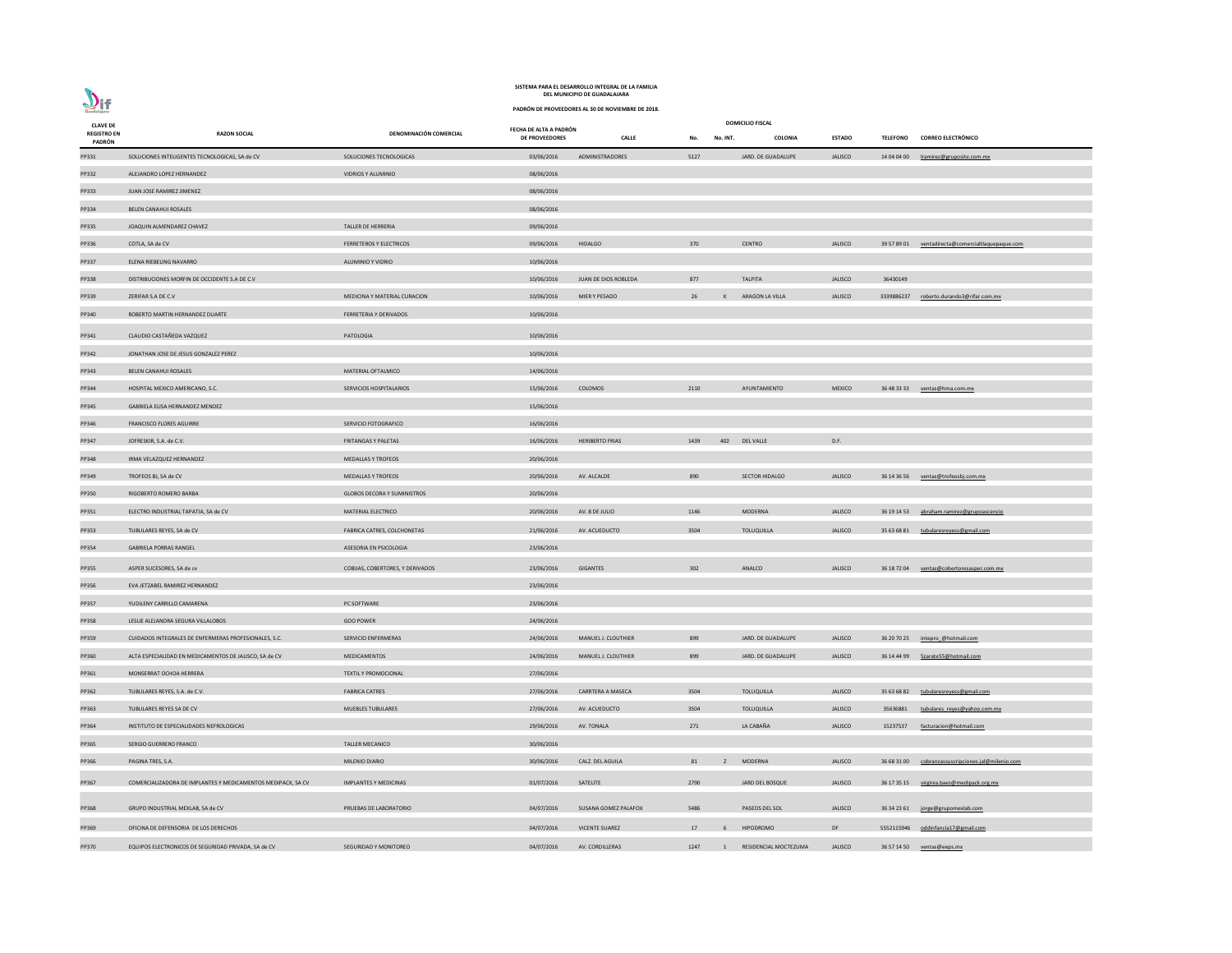| $\sum_{\text{Guedalign}}$             |                                                              |                                    |                        | PADRÓN DE PROVEEDORES AL 30 DE NOVIEMBRE DE 2018. |      |              |                         |                |                 |                                           |
|---------------------------------------|--------------------------------------------------------------|------------------------------------|------------------------|---------------------------------------------------|------|--------------|-------------------------|----------------|-----------------|-------------------------------------------|
| <b>CLAVE DE</b><br><b>REGISTRO EN</b> | <b>RAZON SOCIAL</b>                                          | DENOMINACIÓN COMERCIAL             | FECHA DE ALTA A PADRÓN |                                                   |      |              | <b>DOMICILIO FISCAL</b> |                |                 |                                           |
| PADRÓN                                |                                                              |                                    | <b>DE PROVEEDORES</b>  | <b>CALLE</b>                                      | No.  | No. INT.     | COLONIA                 | <b>ESTADO</b>  | <b>TELEFONO</b> | <b>CORREO ELECTRÓNICO</b>                 |
| PP331                                 | SOLUCIONES INTELIGENTES TECNOLOGICAS, SA de CV               | SOLUCIONES TECNOLOGICAS            | 03/06/2016             | <b>ADMINISTRADORES</b>                            | 5127 |              | JARD. DE GUADALUPE      | <b>JALISCO</b> | 14 04 04 00     | Iramirez@gruposite.com.mx                 |
| PP332                                 | ALEJANDRO LOPEZ HERNANDEZ                                    | VIDRIOS Y ALUMINIO                 | 08/06/2016             |                                                   |      |              |                         |                |                 |                                           |
| PP333                                 | JUAN JOSE RAMIREZ JIMENEZ                                    |                                    | 08/06/2016             |                                                   |      |              |                         |                |                 |                                           |
| PP334                                 | BELEN CANAHUI ROSALES                                        |                                    | 08/06/2016             |                                                   |      |              |                         |                |                 |                                           |
| PP335                                 | JOAQUIN ALMENDAREZ CHAVEZ                                    | TALLER DE HERRERIA                 | 09/06/2016             |                                                   |      |              |                         |                |                 |                                           |
| PP336                                 | COTLA, SA de CV                                              | FERRETEROS Y ELECTRICOS            | 09/06/2016             | <b>HIDALGO</b>                                    | 370  |              | <b>CENTRO</b>           | <b>JALISCO</b> | 39 57 89 01     | ventadirecta@comercialtlaquepaque.com     |
| PP337                                 | ELENA RIEBELING NAVARRO                                      | ALUMINIO Y VIDRIO                  | 10/06/2016             |                                                   |      |              |                         |                |                 |                                           |
| PP338                                 | DISTRIBUCIONES MORFIN DE OCCIDENTE S.A DE C.V                |                                    | 10/06/2016             | JUAN DE DIOS ROBLEDA                              | 877  |              | <b>TALPITA</b>          | <b>JALISCO</b> | 36430149        |                                           |
| PP339                                 | ZERIFAR S.A DE C.V                                           | MEDICINA Y MATERIAL CURACION       | 10/06/2016             | MIER Y PESADO                                     | 26   | К            | ARAGON LA VILLA         | <b>JALISCO</b> | 3339886237      | roberto.durando3@rifar.com.mx             |
| PP340                                 | ROBERTO MARTIN HERNANDEZ DUARTE                              | FERRETERIA Y DERIVADOS             | 10/06/2016             |                                                   |      |              |                         |                |                 |                                           |
| PP341                                 | CLAUDIO CASTAÑEDA VAZQUEZ                                    | PATOLOGIA                          | 10/06/2016             |                                                   |      |              |                         |                |                 |                                           |
| PP342                                 | JONATHAN JOSE DE JESUS GONZALEZ PEREZ                        |                                    | 10/06/2016             |                                                   |      |              |                         |                |                 |                                           |
| PP343                                 | BELEN CANAHUI ROSALES                                        | MATERIAL OFTALMICO                 | 14/06/2016             |                                                   |      |              |                         |                |                 |                                           |
| PP344                                 | HOSPITAL MEXICO AMERICANO, S.C.                              | SERVICIOS HOSPITALARIOS            | 15/06/2016             | COLOMOS                                           | 2110 |              | AYUNTAMIENTO            | <b>MEXICO</b>  | 36 48 33 33     | ventas@hma.com.mx                         |
| PP345                                 | GABRIELA ELISA HERNANDEZ MENDEZ                              |                                    | 15/06/2016             |                                                   |      |              |                         |                |                 |                                           |
| PP346                                 | <b>FRANCISCO FLORES AGUIRRE</b>                              | SERVICIO FOTOGRAFICO               | 16/06/2016             |                                                   |      |              |                         |                |                 |                                           |
| PP347                                 | JOFRESKIR, S.A. de C.V.                                      | <b>FRITANGAS Y PALETAS</b>         | 16/06/2016             | <b>HERIBERTO FRIAS</b>                            | 1439 | 402          | <b>DEL VALLE</b>        | D.F.           |                 |                                           |
| PP348                                 | IRMA VELAZQUEZ HERNANDEZ                                     | <b>MEDALLAS Y TROFEOS</b>          | 20/06/2016             |                                                   |      |              |                         |                |                 |                                           |
| PP349                                 | TROFEOS BJ, SA de CV                                         | <b>MEDALLAS Y TROFEOS</b>          | 20/06/2016             | AV. ALCALDE                                       | 890  |              | <b>SECTOR HIDALGO</b>   | <b>JALISCO</b> | 36 14 36 56     | ventas@trofeosbj.com.mx                   |
| PP350                                 | RIGOBERTO ROMERO BARBA                                       | <b>GLOBOS DECORA Y SUMINISTROS</b> | 20/06/2016             |                                                   |      |              |                         |                |                 |                                           |
| PP351                                 | ELECTRO INDUSTRIAL TAPATIA, SA de CV                         | MATERIAL ELECTRICO                 | 20/06/2016             | AV. 8 DE JULIO                                    | 1146 |              | MODERNA                 | <b>JALISCO</b> | 36 19 14 53     | abraham.ramirez@grupoascencio             |
| PP353                                 | TUBULARES REYES, SA de CV                                    | FABRICA CATRES, COLCHONETAS        | 21/06/2016             | AV. ACUEDUCTO                                     | 3504 |              | TOLUQUILLA              | JALISCO        | 35 63 68 81     | tubularesreyess@gmail.com                 |
| PP354                                 | <b>GABRIELA PORRAS RANGEL</b>                                | ASESORIA EN PSICOLOGIA             | 23/06/2016             |                                                   |      |              |                         |                |                 |                                           |
| PP355                                 | ASPER SUCESORES, SA de cv                                    | COBIJAS, COBERTORES, Y DERIVADOS   | 23/06/2016             | <b>GIGANTES</b>                                   | 302  |              | ANALCO                  | <b>JALISCO</b> | 36 18 72 04     | ventas@cobertoresasper.com.mx             |
| PP356                                 | EVA JETZABEL RAMIREZ HERNANDEZ                               |                                    | 23/06/2016             |                                                   |      |              |                         |                |                 |                                           |
| PP357                                 | YUDILENY CARRILLO CAMARENA                                   | PC SOFTWARE                        | 23/06/2016             |                                                   |      |              |                         |                |                 |                                           |
| PP358                                 | LESLIE ALEJANDRA SEGURA VILLALOBOS                           | <b>GOO POWER</b>                   | 24/06/2016             |                                                   |      |              |                         |                |                 |                                           |
| PP359                                 | CUIDADOS INTEGRALES DE ENFERMERAS PROFESIONALES, S.C.        | SERVICIO ENFERMERAS                | 24/06/2016             | MANUEL J. CLOUTHIER                               | 899  |              | JARD. DE GUADALUPE      | <b>JALISCO</b> | 36 20 70 25     | intepro @hotmail.com                      |
| PP360                                 | ALTA ESPECIALIDAD EN MEDICAMENTOS DE JALISCO, SA de CV       | MEDICAMENTOS                       | 24/06/2016             | MANUEL J. CLOUTHIER                               | 899  |              | JARD. DE GUADALUPE      | <b>JALISCO</b> | 36 14 44 99     | 5zarate55@hotmail.com                     |
| PP361                                 | MONSERRAT OCHOA HERRERA                                      | <b>TEXTIL Y PROMOCIONAL</b>        | 27/06/2016             |                                                   |      |              |                         |                |                 |                                           |
| PP362                                 | TUBULARES REYES, S.A. de C.V.                                | <b>FABRICA CATRES</b>              | 27/06/2016             | <b>CARRTERA A MASECA</b>                          | 3504 |              | <b>TOLUQUILLA</b>       | <b>JALISCO</b> | 35 63 68 82     | tubularesreyess@gmail.com                 |
| PP363                                 | TUBULARES REYES SA DE CV                                     | <b>MUEBLES TUBULARES</b>           | 27/06/2016             | AV. ACUEDUCTO                                     | 3504 |              | <b>TOLUQUILLA</b>       | <b>JALISCO</b> | 35636881        | tubulares reyes@yahoo.com.mx              |
| PP364                                 | INSTITUTO DE ESPECIALIDADES NEFROLOGICAS                     |                                    | 29/06/2016             | AV. TONALA                                        | 271  |              | LA CABAÑA               | <b>JALISCO</b> | 15237537        | facturacion@hotmail.com                   |
| PP365                                 | SERGIO GUERRERO FRANCO                                       | <b>TALLER MECANICO</b>             | 30/06/2016             |                                                   |      |              |                         |                |                 |                                           |
| PP366                                 | PAGINA TRES, S.A.                                            | MILENIO DIARIO                     | 30/06/2016             | CALZ. DEL AGUILA                                  | 81   | z            | <b>MODERNA</b>          | <b>JALISCO</b> | 36 68 31 00     | cobranzassuscripciones.jal@milenio.com    |
|                                       |                                                              |                                    |                        | SATELITE                                          | 2790 |              |                         |                |                 |                                           |
| PP367                                 | COMERCIALIZADORA DE IMPLANTES Y MEDICAMENTOS MEDIPACK, SA CV | <b>IMPLANTES Y MEDICINAS</b>       | 01/07/2016             |                                                   |      |              | JARD DEL BOSQUE         | JALISCO        |                 | 36 17 35 15 virginia.baez@medipack.org.mx |
| PP368                                 | GRUPO INDUSTRIAL MEXLAB, SA de CV                            | PRUEBAS DE LABORATORIO             | 04/07/2016             | SUSANA GOMEZ PALAFOX                              | 5486 |              | PASEOS DEL SOL          | JALISCO        | 36 34 23 61     | jorge@grupomexlab.com                     |
| PP369                                 | OFICINA DE DEFENSORIA DE LOS DERECHOS                        |                                    | 04/07/2016             | <b>VICENTE SUAREZ</b>                             | 17   | 6            | <b>HIPODROMO</b>        | DF             | 5552115946      | oddinfancia17@gmail.com                   |
| PP370                                 | EQUIPOS ELECTRONICOS DE SEGURIDAD PRIVADA, SA de CV          | SEGURIDAD Y MONITOREO              | 04/07/2016             | AV. CORDILLERAS                                   | 1247 | $\mathbf{1}$ | RESIDENCIAL MOCTEZUMA   | <b>JALISCO</b> | 36 57 14 50     | ventas@eeps.mx                            |

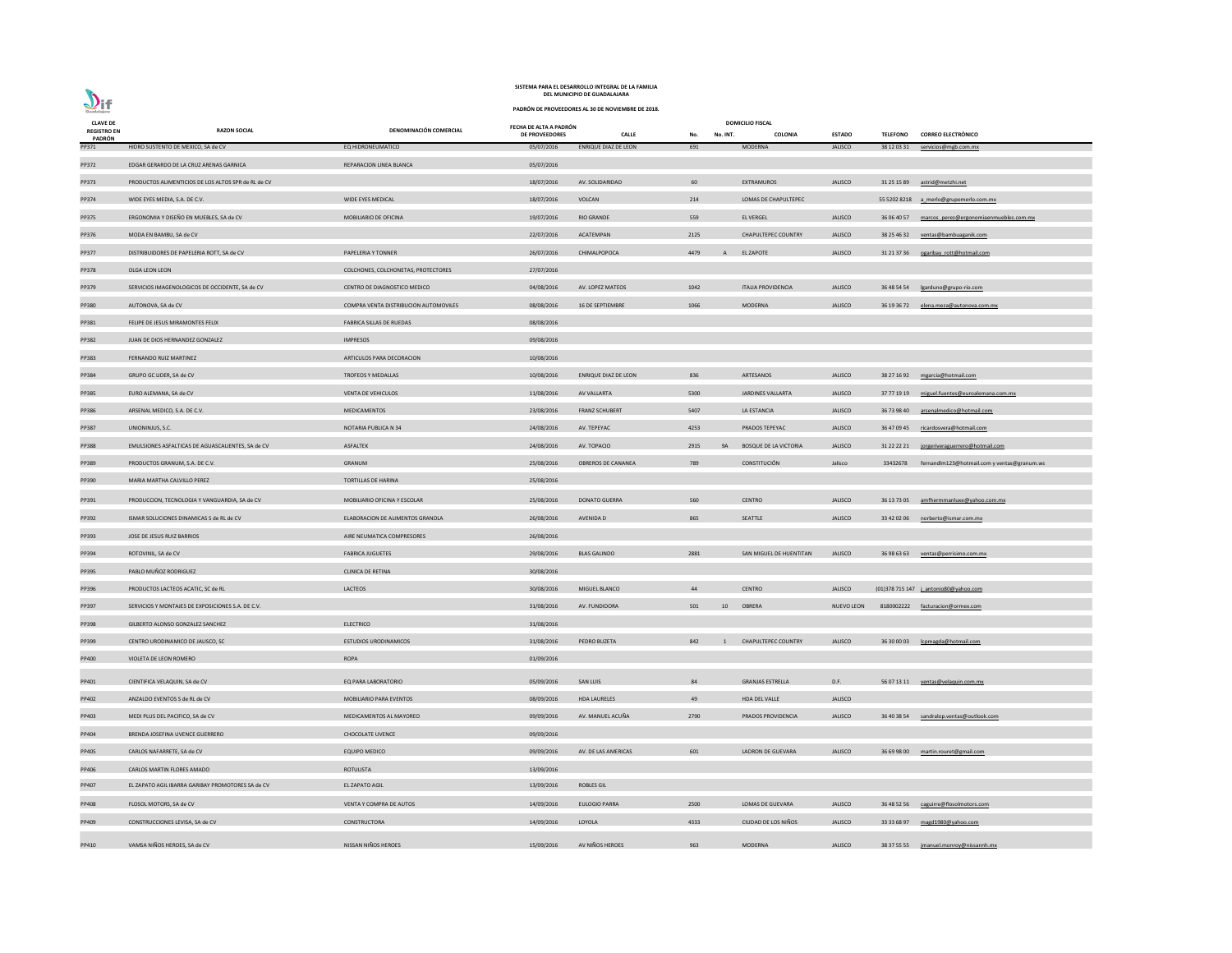| <b>CLAVE DE</b>              |                                                     |                                       | FECHA DE ALTA A PADRÓN |                             |      |                | <b>DOMICILIO FISCAL</b>      |                   |                 |                                              |
|------------------------------|-----------------------------------------------------|---------------------------------------|------------------------|-----------------------------|------|----------------|------------------------------|-------------------|-----------------|----------------------------------------------|
| <b>REGISTRO EN</b><br>PADRÓN | <b>RAZON SOCIAL</b>                                 | DENOMINACIÓN COMERCIAL                | DE PROVEEDORES         | <b>CALLE</b>                | No.  | No. INT.       | <b>COLONIA</b>               | <b>ESTADO</b>     | <b>TELEFONO</b> | <b>CORREO ELECTRÓNICO</b>                    |
| PP371                        | HIDRO SUSTENTO DE MEXICO, SA de CV                  | EQ HIDRONEUMATICO                     | 05/07/2016             | <b>ENRIQUE DIAZ DE LEON</b> | 691  |                | <b>MODERNA</b>               | <b>JALISCO</b>    | 38 12 03 31     | servicios@mgb.com.mx                         |
| PP372                        | EDGAR GERARDO DE LA CRUZ ARENAS GARNICA             | REPARACION LINEA BLANCA               | 05/07/2016             |                             |      |                |                              |                   |                 |                                              |
| PP373                        | PRODUCTOS ALIMENTICIOS DE LOS ALTOS SPR de RL de CV |                                       | 18/07/2016             | AV. SOLIDARIDAD             | 60   |                | <b>EXTRAMUROS</b>            | <b>JALISCO</b>    | 31 25 15 89     | astrid@metzhi.net                            |
| PP374                        | WIDE EYES MEDIA, S.A. DE C.V.                       | <b>WIDE EYES MEDICAL</b>              | 18/07/2016             | VOLCAN                      | 214  |                | LOMAS DE CHAPULTEPEC         |                   |                 | 55 5202 8218 a merlo@grupomerlo.com.mx       |
| PP375                        | ERGONOMIA Y DISEÑO EN MUEBLES, SA de CV             | MOBILIARIO DE OFICINA                 | 19/07/2016             | <b>RIO GRANDE</b>           | 559  |                | <b>EL VERGEL</b>             | <b>JALISCO</b>    | 36 06 40 57     | marcos_perez@ergonomiaenmuebles.com.mx       |
| PP376                        | MODA EN BAMBU, SA de CV                             |                                       | 22/07/2016             | ACATEMPAN                   | 2125 |                | <b>CHAPULTEPEC COUNTRY</b>   | JALISCO           | 38 25 46 32     | ventas@bambuaganik.com                       |
| PP377                        | DISTRIBUIDORES DE PAPELERIA ROTT, SA de CV          | PAPELERIA Y TONNER                    | 26/07/2016             | CHIMALPOPOCA                | 4479 | $\mathsf{A}$   | <b>EL ZAPOTE</b>             | <b>JALISCO</b>    |                 | 31 21 37 36 ogaribay rott@hotmail.com        |
| PP378                        | OLGA LEON LEON                                      | COLCHONES, COLCHONETAS, PROTECTORES   | 27/07/2016             |                             |      |                |                              |                   |                 |                                              |
| PP379                        | SERVICIOS IMAGENOLOGICOS DE OCCIDENTE, SA de CV     | CENTRO DE DIAGNOSTICO MEDICO          | 04/08/2016             | AV. LOPEZ MATEOS            | 1042 |                | <b>ITALIA PROVIDENCIA</b>    | JALISCO           | 36 48 54 54     | lgarduno@grupo-rio.com                       |
| PP380                        | AUTONOVA, SA de CV                                  | COMPRA VENTA DISTRIBUCION AUTOMOVILES | 08/08/2016             | 16 DE SEPTIEMBRE            | 1066 |                | <b>MODERNA</b>               | <b>JALISCO</b>    | 36 19 36 72     | elena.meza@autonova.com.mx                   |
| PP381                        | FELIPE DE JESUS MIRAMONTES FELIX                    | FABRICA SILLAS DE RUEDAS              | 08/08/2016             |                             |      |                |                              |                   |                 |                                              |
| PP382                        | JUAN DE DIOS HERNANDEZ GONZALEZ                     | <b>IMPRESOS</b>                       | 09/08/2016             |                             |      |                |                              |                   |                 |                                              |
| PP383                        | FERNANDO RUIZ MARTINEZ                              | ARTICULOS PARA DECORACION             | 10/08/2016             |                             |      |                |                              |                   |                 |                                              |
| PP384                        | GRUPO GC LIDER, SA de CV                            | TROFEOS Y MEDALLAS                    | 10/08/2016             | <b>ENRIQUE DIAZ DE LEON</b> | 836  |                | ARTESANOS                    | <b>JALISCO</b>    |                 | 38 27 16 92 mgarcia@hotmail.com              |
| PP385                        | EURO ALEMANA, SA de CV                              | <b>VENTA DE VEHICULOS</b>             | 11/08/2016             | AV VALLARTA                 | 5300 |                | JARDINES VALLARTA            | <b>JALISCO</b>    | 37 77 19 19     | miguel.fuentes@euroalemana.com.mx            |
| PP386                        | ARSENAL MEDICO, S.A. DE C.V.                        | <b>MEDICAMENTOS</b>                   | 23/08/2016             | <b>FRANZ SCHUBERT</b>       | 5407 |                | LA ESTANCIA                  | JALISCO           | 36 73 98 40     | arsenalmedico@hotmail.com                    |
| PP387                        | UNIONINJUS, S.C.                                    | NOTARIA PUBLICA N 34                  | 24/08/2016             | AV. TEPEYAC                 | 4253 |                | PRADOS TEPEYAC               | <b>JALISCO</b>    |                 | 36 47 09 45 ricardosvera@hotmail.com         |
| PP388                        | EMULSIONES ASFALTICAS DE AGUASCALIENTES, SA de CV   | ASFALTEK                              | 24/08/2016             | AV. TOPACIO                 | 2915 | <b>9A</b>      | <b>BOSQUE DE LA VICTORIA</b> | <b>JALISCO</b>    | 31 22 22 21     | jorgeriveraguerrero@hotmail.com              |
| PP389                        | PRODUCTOS GRANUM, S.A. DE C.V.                      | GRANUM                                | 25/08/2016             | <b>OBREROS DE CANANEA</b>   | 789  |                | CONSTITUCIÓN                 | Jalisco           | 33432678        | fernandlm123@hotmail.com y ventas@granum.ws  |
| PP390                        | MARIA MARTHA CALVILLO PEREZ                         | <b>TORTILLAS DE HARINA</b>            | 25/08/2016             |                             |      |                |                              |                   |                 |                                              |
| PP391                        | PRODUCCION, TECNOLOGIA Y VANGUARDIA, SA de CV       | <b>MOBILIARIO OFICINA Y ESCOLAR</b>   | 25/08/2016             | <b>DONATO GUERRA</b>        | 560  |                | <b>CENTRO</b>                | <b>JALISCO</b>    |                 | 36 13 73 05 amfhermmanluxe@vahoo.com.mx      |
| PP392                        | ISMAR SOLUCIONES DINAMICAS S de RL de CV            | ELABORACION DE ALIMENTOS GRANOLA      | 26/08/2016             | AVENIDA D                   | 865  |                | SEATTLE                      | <b>JALISCO</b>    | 33 42 02 06     | norberto@ismar.com.mx                        |
| PP393                        | JOSE DE JESUS RUIZ BARRIOS                          | AIRE NEUMATICA COMPRESORES            | 26/08/2016             |                             |      |                |                              |                   |                 |                                              |
| PP394                        | ROTOVINIL, SA de CV                                 | <b>FABRICA JUGUETES</b>               | 29/08/2016             | <b>BLAS GALINDO</b>         | 2881 |                | SAN MIGUEL DE HUENTITAN      | <b>JALISCO</b>    | 36 98 63 63     | ventas@perrisimo.com.mx                      |
| PP395                        | PABLO MUÑOZ RODRIGUEZ                               | <b>CLINICA DE RETINA</b>              | 30/08/2016             |                             |      |                |                              |                   |                 |                                              |
| PP396                        | PRODUCTOS LACTEOS ACATIC, SC de RL                  | LACTEOS                               | 30/08/2016             | MIGUEL BLANCO               | 44   |                | <b>CENTRO</b>                | <b>JALISCO</b>    |                 | (01)378 715 147 <i>j</i> antonio80@yahoo.com |
| PP397                        | SERVICIOS Y MONTAJES DE EXPOSICIONES S.A. DE C.V.   |                                       | 31/08/2016             | AV. FUNDIDORA               | 501  | 10             | OBRERA                       | <b>NUEVO LEON</b> |                 | 8180002222 facturacion@ormex.com             |
| PP398                        | GILBERTO ALONSO GONZALEZ SANCHEZ                    | <b>ELECTRICO</b>                      | 31/08/2016             |                             |      |                |                              |                   |                 |                                              |
| PP399                        | CENTRO URODINAMICO DE JALISCO, SC                   | <b>ESTUDIOS URODINAMICOS</b>          | 31/08/2016             | PEDRO BUZETA                | 842  | $\overline{1}$ | <b>CHAPULTEPEC COUNTRY</b>   | <b>JALISCO</b>    | 36 30 00 03     | lcpmagda@hotmail.com                         |
|                              | VIOLETA DE LEON ROMERO                              | <b>ROPA</b>                           | 01/09/2016             |                             |      |                |                              |                   |                 |                                              |
| PP400                        |                                                     |                                       |                        |                             |      |                |                              |                   |                 |                                              |
| PP401                        | CIENTIFICA VELAQUIN, SA de CV                       | EQ PARA LABORATORIO                   | 05/09/2016             | SAN LUIS                    | 84   |                | <b>GRANJAS ESTRELLA</b>      | D.F.              |                 | 56 07 13 11 ventas@velaquin.com.mx           |
| PP402                        | ANZALDO EVENTOS S de RL de CV                       | <b>MOBILIARIO PARA EVENTOS</b>        | 08/09/2016             | <b>HDA LAURELES</b>         | 49   |                | HDA DEL VALLE                | <b>JALISCO</b>    |                 |                                              |
| PP403                        | MEDI PLUS DEL PACIFICO, SA de CV                    | MEDICAMENTOS AL MAYOREO               | 09/09/2016             | AV. MANUEL ACUÑA            | 2790 |                | PRADOS PROVIDENCIA           | <b>JALISCO</b>    | 36 40 38 54     | sandralop.ventas@outlook.com                 |
| PP404                        | BRENDA JOSEFINA UVENCE GUERRERO                     | <b>CHOCOLATE UVENCE</b>               | 09/09/2016             |                             |      |                |                              |                   |                 |                                              |
| PP405                        | CARLOS NAFARRETE, SA de CV                          | <b>EQUIPO MEDICO</b>                  | 09/09/2016             | AV. DE LAS AMERICAS         | 601  |                | LADRON DE GUEVARA            | <b>JALISCO</b>    | 36 69 98 00     | martin.rouret@gmail.com                      |
| PP406                        | <b>CARLOS MARTIN FLORES AMADO</b>                   | ROTULISTA                             | 13/09/2016             |                             |      |                |                              |                   |                 |                                              |
| PP407                        | EL ZAPATO AGIL IBARRA GARIBAY PROMOTORES SA de CV   | <b>EL ZAPATO AGIL</b>                 | 13/09/2016             | <b>ROBLES GIL</b>           |      |                |                              |                   |                 |                                              |
| PP408                        | FLOSOL MOTORS, SA de CV                             | VENTA Y COMPRA DE AUTOS               | 14/09/2016             | <b>EULOGIO PARRA</b>        | 2500 |                | LOMAS DE GUEVARA             | <b>JALISCO</b>    | 36 48 52 56     | caguirre@flosolmotors.com                    |
| PP409                        | CONSTRUCCIONES LEVISA, SA de CV                     | CONSTRUCTORA                          | 14/09/2016             | LOYOLA                      | 4333 |                | CIUDAD DE LOS NIÑOS          | <b>JALISCO</b>    | 33 33 68 97     | magd1980@yahoo.com                           |
| PP410                        | VAMSA NIÑOS HEROES, SA de CV                        | NISSAN NIÑOS HEROES                   | 15/09/2016             | AV NIÑOS HEROES             | 963  |                | MODERNA                      | <b>JALISCO</b>    | 38 37 55 55     | jmanuel.monroy@nissannh.mx                   |

**PADRÓN DE PROVEEDORES AL 30 DE NOVIEMBRE DE 2018.**

 $\sum_{\text{Guedalajar}}$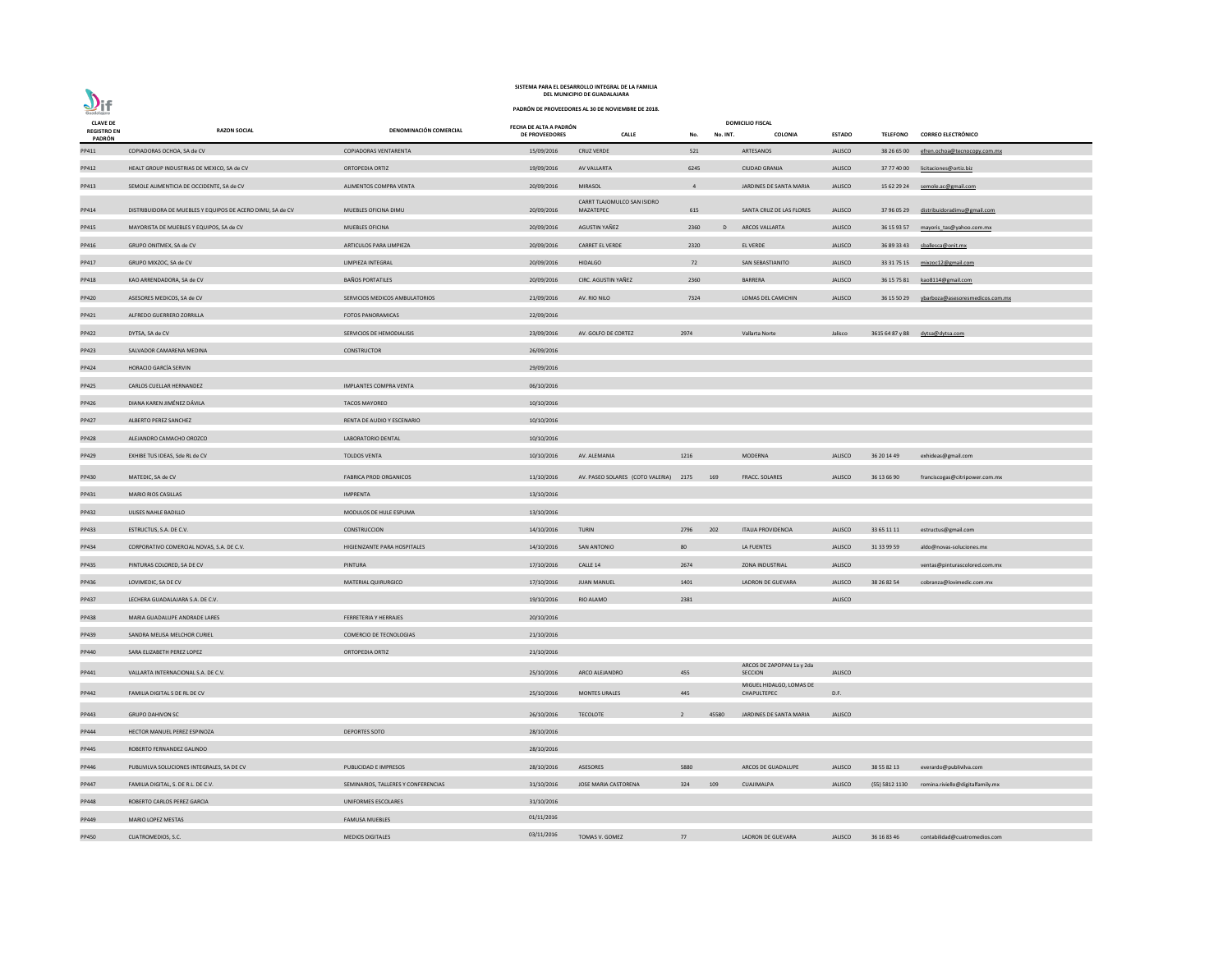|                                       | <b>SISTEIVIA PANA EL DESANNOLLO INTEGNAL DE LA FAIVILIA</b><br>DEL MUNICIPIO DE GUADALAJARA |                                     |                                                   |                                           |                |          |                                             |                |                |                                             |  |  |
|---------------------------------------|---------------------------------------------------------------------------------------------|-------------------------------------|---------------------------------------------------|-------------------------------------------|----------------|----------|---------------------------------------------|----------------|----------------|---------------------------------------------|--|--|
| $\mathbf{D}$ if<br>Guadalajara        |                                                                                             |                                     | PADRÓN DE PROVEEDORES AL 30 DE NOVIEMBRE DE 2018. |                                           |                |          |                                             |                |                |                                             |  |  |
| <b>CLAVE DE</b><br><b>REGISTRO EN</b> | <b>RAZON SOCIAL</b>                                                                         | DENOMINACIÓN COMERCIAL              | FECHA DE ALTA A PADRÓN<br><b>DE PROVEEDORES</b>   | <b>CALLE</b>                              | No.            | No. INT. | <b>DOMICILIO FISCAL</b><br>COLONIA          | <b>ESTADO</b>  |                | TELEFONO CORREO ELECTRÓNICO                 |  |  |
| PADRÓN<br>PP411                       | COPIADORAS OCHOA, SA de CV                                                                  | COPIADORAS VENTARENTA               | 15/09/2016                                        | <b>CRUZ VERDE</b>                         | 521            |          | ARTESANOS                                   | <b>JALISCO</b> | 38 26 65 00    | efren.ochoa@tecnocopy.com.mx                |  |  |
| PP412                                 | HEALT GROUP INDUSTRIAS DE MEXICO, SA de CV                                                  | ORTOPEDIA ORTIZ                     | 19/09/2016                                        | AV VALLARTA                               | 6245           |          | <b>CIUDAD GRANJA</b>                        | <b>JALISCO</b> |                | 37 77 40 00 licitaciones@ortiz.biz          |  |  |
| PP413                                 | SEMOLE ALIMENTICIA DE OCCIDENTE, SA de CV                                                   | ALIMENTOS COMPRA VENTA              | 20/09/2016                                        | <b>MIRASOL</b>                            | $\overline{4}$ |          | JARDINES DE SANTA MARIA                     | <b>JALISCO</b> |                | 15 62 29 24 semole.ac@gmail.com             |  |  |
|                                       |                                                                                             |                                     |                                                   | CARRT TLAJOMULCO SAN ISIDRO               |                |          |                                             |                |                |                                             |  |  |
| PP414                                 | DISTRIBUIDORA DE MUEBLES Y EQUIPOS DE ACERO DIMU, SA de CV                                  | MUEBLES OFICINA DIMU                | 20/09/2016                                        | MAZATEPEC                                 | 615            |          | SANTA CRUZ DE LAS FLORES                    | <b>JALISCO</b> |                | 37 96 05 29 distribuidoradimu@gmail.com     |  |  |
| PP415                                 | MAYORISTA DE MUEBLES Y EQUIPOS, SA de CV                                                    | <b>MUEBLES OFICINA</b>              | 20/09/2016                                        | AGUSTIN YAÑEZ                             | 2360           | D        | <b>ARCOS VALLARTA</b>                       | <b>JALISCO</b> |                | 36 15 93 57 mayoris_tas@yahoo.com.mx        |  |  |
| PP416                                 | GRUPO ONITMEX, SA de CV                                                                     | ARTICULOS PARA LIMPIEZA             | 20/09/2016                                        | <b>CARRET EL VERDE</b>                    | 2320           |          | <b>EL VERDE</b>                             | <b>JALISCO</b> |                | 36 89 33 43 sballesca@onit.mx               |  |  |
| PP417                                 | GRUPO MIXZOC, SA de CV                                                                      | LIMPIEZA INTEGRAL                   | 20/09/2016                                        | <b>HIDALGO</b>                            | 72             |          | SAN SEBASTIANITO                            | <b>JALISCO</b> |                | 33 31 75 15 mixzoc12@gmail.com              |  |  |
| PP418                                 | KAO ARRENDADORA, SA de CV                                                                   | <b>BAÑOS PORTATILES</b>             | 20/09/2016                                        | CIRC. AGUSTIN YAÑEZ                       | 2360           |          | BARRERA                                     | <b>JALISCO</b> |                | 36 15 75 81 kao8114@gmail.com               |  |  |
| PP420                                 | ASESORES MEDICOS, SA de CV                                                                  | SERVICIOS MEDICOS AMBULATORIOS      | 21/09/2016                                        | AV. RIO NILO                              | 7324           |          | LOMAS DEL CAMICHIN                          | <b>JALISCO</b> |                | 36 15 50 29 ybarboza@asesoresmedicos.com.mx |  |  |
| PP421                                 | ALFREDO GUERRERO ZORRILLA                                                                   | <b>FOTOS PANORAMICAS</b>            | 22/09/2016                                        |                                           |                |          |                                             |                |                |                                             |  |  |
| PP422                                 | DYTSA, SA de CV                                                                             | SERVICIOS DE HEMODIALISIS           | 23/09/2016                                        | AV. GOLFO DE CORTEZ                       | 2974           |          | Vallarta Norte                              | Jalisco        |                | 3615 64 87 y 88 dytsa@dytsa.com             |  |  |
| PP423                                 | SALVADOR CAMARENA MEDINA                                                                    | <b>CONSTRUCTOR</b>                  | 26/09/2016                                        |                                           |                |          |                                             |                |                |                                             |  |  |
| PP424                                 | HORACIO GARCÍA SERVIN                                                                       |                                     | 29/09/2016                                        |                                           |                |          |                                             |                |                |                                             |  |  |
| PP425                                 | <b>CARLOS CUELLAR HERNANDEZ</b>                                                             | <b>IMPLANTES COMPRA VENTA</b>       | 06/10/2016                                        |                                           |                |          |                                             |                |                |                                             |  |  |
| PP426                                 | DIANA KAREN JIMÉNEZ DÁVILA                                                                  | <b>TACOS MAYOREO</b>                | 10/10/2016                                        |                                           |                |          |                                             |                |                |                                             |  |  |
| PP427                                 | ALBERTO PEREZ SANCHEZ                                                                       | RENTA DE AUDIO Y ESCENARIO          | 10/10/2016                                        |                                           |                |          |                                             |                |                |                                             |  |  |
| PP428                                 | ALEJANDRO CAMACHO OROZCO                                                                    | LABORATORIO DENTAL                  | 10/10/2016                                        |                                           |                |          |                                             |                |                |                                             |  |  |
| PP429                                 | EXHIBE TUS IDEAS, Sde RL de CV                                                              | <b>TOLDOS VENTA</b>                 | 10/10/2016                                        | AV. ALEMANIA                              | 1216           |          | MODERNA                                     | <b>JALISCO</b> | 36 20 14 49    | exhideas@gmail.com                          |  |  |
| PP430                                 | MATEDIC, SA de CV                                                                           | <b>FABRICA PROD ORGANICOS</b>       | 11/10/2016                                        | AV. PASEO SOLARES (COTO VALERIA) 2175 169 |                |          | <b>FRACC. SOLARES</b>                       | <b>JALISCO</b> | 36 13 66 90    | franciscogas@citripower.com.mx              |  |  |
| PP431                                 | <b>MARIO RIOS CASILLAS</b>                                                                  | <b>IMPRENTA</b>                     | 13/10/2016                                        |                                           |                |          |                                             |                |                |                                             |  |  |
| PP432                                 | ULISES NAHLE BADILLO                                                                        | MODULOS DE HULE ESPUMA              | 13/10/2016                                        |                                           |                |          |                                             |                |                |                                             |  |  |
| PP433                                 | ESTRUCTUS, S.A. DE C.V.                                                                     | CONSTRUCCION                        | 14/10/2016                                        | <b>TURIN</b>                              | 2796           | 202      | <b>ITALIA PROVIDENCIA</b>                   | <b>JALISCO</b> | 33 65 11 11    | estructus@gmail.com                         |  |  |
| PP434                                 | CORPORATIVO COMERCIAL NOVAS, S.A. DE C.V.                                                   | HIGIENIZANTE PARA HOSPITALES        | 14/10/2016                                        | <b>SAN ANTONIO</b>                        | 80             |          | LA FUENTES                                  | <b>JALISCO</b> | 31 33 99 59    | aldo@novas-soluciones.mx                    |  |  |
| PP435                                 | PINTURAS COLORED, SA DE CV                                                                  | PINTURA                             | 17/10/2016                                        | CALLE 14                                  | 2674           |          | <b>ZONA INDUSTRIAL</b>                      | <b>JALISCO</b> |                | ventas@pinturascolored.com.mx               |  |  |
| PP436                                 | LOVIMEDIC, SA DE CV                                                                         | <b>MATERIAL QUIRURGICO</b>          | 17/10/2016                                        | <b>JUAN MANUEL</b>                        | 1401           |          | LADRON DE GUEVARA                           | <b>JALISCO</b> | 38 26 82 54    | cobranza@lovimedic.com.mx                   |  |  |
| PP437                                 | LECHERA GUADALAJARA S.A. DE C.V.                                                            |                                     | 19/10/2016                                        | <b>RIO ALAMO</b>                          | 2381           |          |                                             | <b>JALISCO</b> |                |                                             |  |  |
| PP438                                 | MARIA GUADALUPE ANDRADE LARES                                                               | FERRETERIA Y HERRAJES               | 20/10/2016                                        |                                           |                |          |                                             |                |                |                                             |  |  |
| PP439                                 | SANDRA MELISA MELCHOR CURIEL                                                                | COMERCIO DE TECNOLOGIAS             | 21/10/2016                                        |                                           |                |          |                                             |                |                |                                             |  |  |
| PP440                                 | SARA ELIZABETH PEREZ LOPEZ                                                                  | ORTOPEDIA ORTIZ                     | 21/10/2016                                        |                                           |                |          |                                             |                |                |                                             |  |  |
|                                       |                                                                                             |                                     |                                                   | ARCO ALEJANDRO                            | 455            |          | ARCOS DE ZAPOPAN 1a y 2da<br><b>SECCION</b> | <b>JALISCO</b> |                |                                             |  |  |
| PP441                                 | VALLARTA INTERNACIONAL S.A. DE C.V.                                                         |                                     | 25/10/2016                                        |                                           |                |          | MIGUEL HIDALGO, LOMAS DE                    |                |                |                                             |  |  |
| PP442                                 | FAMILIA DIGITAL S DE RL DE CV                                                               |                                     | 25/10/2016                                        | <b>MONTES URALES</b>                      | 445            |          | CHAPULTEPEC                                 | D.F.           |                |                                             |  |  |
| PP443                                 | <b>GRUPO DAHIVON SC</b>                                                                     |                                     | 26/10/2016                                        | <b>TECOLOTE</b>                           |                | 45580    | JARDINES DE SANTA MARIA                     | <b>JALISCO</b> |                |                                             |  |  |
| PP444                                 | HECTOR MANUEL PEREZ ESPINOZA                                                                | <b>DEPORTES SOTO</b>                | 28/10/2016                                        |                                           |                |          |                                             |                |                |                                             |  |  |
| PP445                                 | ROBERTO FERNANDEZ GALINDO                                                                   |                                     | 28/10/2016                                        |                                           |                |          |                                             |                |                |                                             |  |  |
| PP446                                 | PUBLIVILVA SOLUCIONES INTEGRALES, SA DE CV                                                  | PUBLICIDAD E IMPRESOS               | 28/10/2016                                        | ASESORES                                  | 5880           |          | ARCOS DE GUADALUPE                          | <b>JALISCO</b> | 38 55 82 13    | everardo@publivilva.com                     |  |  |
| PP447                                 | FAMILIA DIGITAL, S. DE R.L. DE C.V.                                                         | SEMINARIOS, TALLERES Y CONFERENCIAS | 31/10/2016                                        | JOSE MARIA CASTORENA                      | 324            | 109      | CUAJIMALPA                                  | <b>JALISCO</b> | (55) 5812 1130 | romina.riviello@digitalfamily.mx            |  |  |
| PP448                                 | ROBERTO CARLOS PEREZ GARCIA                                                                 | UNIFORMES ESCOLARES                 | 31/10/2016                                        |                                           |                |          |                                             |                |                |                                             |  |  |
| PP449                                 | MARIO LOPEZ MESTAS                                                                          | <b>FAMUSA MUEBLES</b>               | 01/11/2016                                        |                                           |                |          |                                             |                |                |                                             |  |  |
| PP450                                 | CUATROMEDIOS, S.C.                                                                          | <b>MEDIOS DIGITALES</b>             | 03/11/2016                                        | TOMAS V. GOMEZ                            | 77             |          | LADRON DE GUEVARA                           | <b>JALISCO</b> | 36 16 83 46    | contabilidad@cuatromedios.com               |  |  |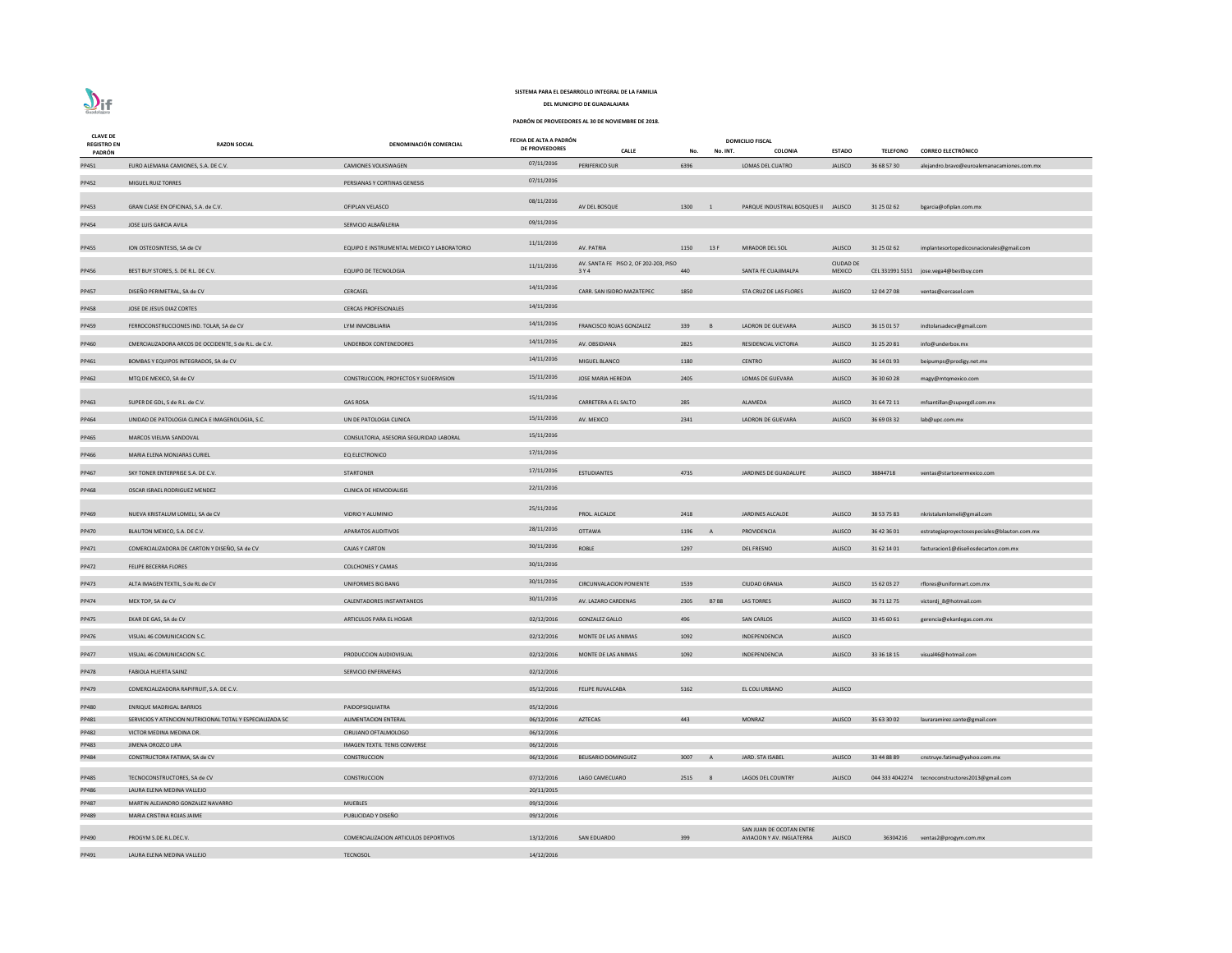| <b>CLAVE DE</b><br><b>REGISTRO EN</b> | <b>RAZON SOCIAL</b>                                       | DENOMINACIÓN COMERCIAL                     | FECHA DE ALTA A PADRÓN<br><b>DE PROVEEDORES</b> |                                                |        |                | <b>DOMICILIO FISCAL</b>              |                                   |                 |                                                  |
|---------------------------------------|-----------------------------------------------------------|--------------------------------------------|-------------------------------------------------|------------------------------------------------|--------|----------------|--------------------------------------|-----------------------------------|-----------------|--------------------------------------------------|
| PADRÓN                                |                                                           |                                            |                                                 | <b>CALLE</b>                                   | No.    | No. INT.       | <b>COLONIA</b>                       | <b>ESTADO</b>                     | <b>TELEFONO</b> | <b>CORREO ELECTRÓNICO</b>                        |
| PP451                                 | EURO ALEMANA CAMIONES, S.A. DE C.V.                       | <b>CAMIONES VOLKSWAGEN</b>                 | 07/11/2016                                      | <b>PERIFERICO SUR</b>                          | 6396   |                | LOMAS DEL CUATRO                     | <b>JALISCO</b>                    | 36 68 57 30     | alejandro.bravo@euroalemanacamiones.com.mx       |
| PP452                                 | MIGUEL RUIZ TORRES                                        | PERSIANAS Y CORTINAS GENESIS               | 07/11/2016                                      |                                                |        |                |                                      |                                   |                 |                                                  |
| PP453                                 | GRAN CLASE EN OFICINAS, S.A. de C.V.                      | OFIPLAN VELASCO                            | 08/11/2016                                      | AV DEL BOSQUE                                  | 1300   | $\overline{1}$ | PARQUE INDUSTRIAL BOSQUES II JALISCO |                                   | 31 25 02 62     | bgarcia@ofiplan.com.mx                           |
|                                       |                                                           |                                            | 09/11/2016                                      |                                                |        |                |                                      |                                   |                 |                                                  |
| PP454                                 | JOSE LUIS GARCIA AVILA                                    | SERVICIO ALBAÑILERIA                       |                                                 |                                                |        |                |                                      |                                   |                 |                                                  |
| PP455                                 | ION OSTEOSINTESIS. SA de CV                               | EQUIPO E INSTRUMENTAL MEDICO Y LABORATORIO | 11/11/2016                                      | AV. PATRIA                                     | 1150   | 13 F           | <b>MIRADOR DEL SOL</b>               | <b>JALISCO</b>                    | 31 25 02 62     | implantesortopedicosnacionales@gmail.com         |
| PP456                                 | BEST BUY STORES, S. DE R.L. DE C.V.                       | <b>EQUIPO DE TECNOLOGIA</b>                | 11/11/2016                                      | AV. SANTA FE PISO 2, OF 202-203, PISO<br>3 Y 4 | 440    |                | SANTA FE CUAJIMALPA                  | <b>CIUDAD DE</b><br><b>MEXICO</b> |                 | CEL 331991 5151 jose.vega4@bestbuy.com           |
| PP457                                 | DISEÑO PERIMETRAL, SA de CV                               | CERCASEL                                   | 14/11/2016                                      | CARR. SAN ISIDRO MAZATEPEC                     | 1850   |                | STA CRUZ DE LAS FLORES               | <b>JALISCO</b>                    | 12 04 27 08     | ventas@cercasel.com                              |
| PP458                                 | JOSE DE JESUS DIAZ CORTES                                 | <b>CERCAS PROFESIONALES</b>                | 14/11/2016                                      |                                                |        |                |                                      |                                   |                 |                                                  |
| PP459                                 | FERROCONSTRUCCIONES IND. TOLAR, SA de CV                  | LYM INMOBILIARIA                           | 14/11/2016                                      | FRANCISCO ROJAS GONZALEZ                       | 339    | $\overline{B}$ | <b>LADRON DE GUEVARA</b>             | <b>JALISCO</b>                    | 36 15 01 57     | indtolarsadecv@gmail.com                         |
| PP460                                 | CMERCIALIZADORA ARCOS DE OCCIDENTE, S de R.L. de C.V.     | UNDERBOX CONTENEDORES                      | 14/11/2016                                      | AV. OBSIDIANA                                  | 2825   |                | RESIDENCIAL VICTORIA                 | <b>JALISCO</b>                    | 31 25 20 81     | info@underbox.mx                                 |
| PP461                                 | BOMBAS Y EQUIPOS INTEGRADOS, SA de CV                     |                                            | 14/11/2016                                      | MIGUEL BLANCO                                  | 1180   |                | <b>CENTRO</b>                        | <b>JALISCO</b>                    | 36 14 01 93     | beipumps@prodigy.net.mx                          |
|                                       |                                                           |                                            | 15/11/2016                                      |                                                |        |                |                                      |                                   |                 |                                                  |
| PP462                                 | MTQ DE MEXICO, SA de CV                                   | CONSTRUCCION, PROYECTOS Y SUOERVISION      |                                                 | <b>JOSE MARIA HEREDIA</b>                      | 2405   |                | <b>LOMAS DE GUEVARA</b>              | <b>JALISCO</b>                    | 36 30 60 28     | magy@mtqmexico.com                               |
| PP463                                 | SUPER DE GDL, S de R.L. de C.V.                           | <b>GAS ROSA</b>                            | 15/11/2016                                      | CARRETERA A EL SALTO                           | 285    |                | ALAMEDA                              | <b>JALISCO</b>                    | 31 64 72 11     | mfsantillan@supergdl.com.mx                      |
| PP464                                 | UNIDAD DE PATOLOGIA CLINICA E IMAGENOLOGIA, S.C.          | UN DE PATOLOGIA CLINICA                    | 15/11/2016                                      | AV. MEXICO                                     | 2341   |                | LADRON DE GUEVARA                    | <b>JALISCO</b>                    | 36 69 03 32     | lab@upc.com.mx                                   |
| PP465                                 | MARCOS VIELMA SANDOVAL                                    | CONSULTORIA, ASESORIA SEGURIDAD LABORAL    | 15/11/2016                                      |                                                |        |                |                                      |                                   |                 |                                                  |
| PP466                                 | MARIA ELENA MONJARAS CURIEL                               | <b>EQ ELECTRONICO</b>                      | 17/11/2016                                      |                                                |        |                |                                      |                                   |                 |                                                  |
| PP467                                 | SKY TONER ENTERPRISE S.A. DE C.V.                         | <b>STARTONER</b>                           | 17/11/2016                                      | <b>ESTUDIANTES</b>                             | 4735   |                | JARDINES DE GUADALUPE                | <b>JALISCO</b>                    | 38844718        | ventas@startonermexico.com                       |
| PP468                                 | OSCAR ISRAEL RODRIGUEZ MENDEZ                             | <b>CLINICA DE HEMODIALISIS</b>             | 22/11/2016                                      |                                                |        |                |                                      |                                   |                 |                                                  |
|                                       |                                                           |                                            | 25/11/2016                                      |                                                |        |                |                                      |                                   |                 |                                                  |
| PP469                                 | NUEVA KRISTALUM LOMELI, SA de CV                          | VIDRIO Y ALUMINIO                          |                                                 | PROL. ALCALDE                                  | 2418   |                | <b>JARDINES ALCALDE</b>              | <b>JALISCO</b>                    | 38 53 75 83     | nkristalumlomeli@gmail.com                       |
| PP470                                 | BLAUTON MEXICO, S.A. DE C.V.                              | <b>APARATOS AUDITIVOS</b>                  | 28/11/2016                                      | <b>OTTAWA</b>                                  | 1196   | $\overline{A}$ | PROVIDENCIA                          | <b>JALISCO</b>                    | 36 42 36 01     | estrategiaproyectosespeciales@blauton.com.mx     |
| PP471                                 | COMERCIALIZADORA DE CARTON Y DISEÑO, SA de CV             | <b>CAJAS Y CARTON</b>                      | 30/11/2016                                      | ROBLE                                          | 1297   |                | <b>DEL FRESNO</b>                    | <b>JALISCO</b>                    | 31 62 14 01     | facturacion1@diseñosdecarton.com.mx              |
| PP472                                 | <b>FELIPE BECERRA FLORES</b>                              | <b>COLCHONES Y CAMAS</b>                   | 30/11/2016                                      |                                                |        |                |                                      |                                   |                 |                                                  |
| PP473                                 | ALTA IMAGEN TEXTIL, S de RL de CV                         | <b>UNIFORMES BIG BANG</b>                  | 30/11/2016                                      | <b>CIRCUNVALACION PONIENTE</b>                 | 1539   |                | <b>CIUDAD GRANJA</b>                 | <b>JALISCO</b>                    | 15 62 03 27     | rflores@uniformart.com.mx                        |
| PP474                                 | MEX TOP, SA de CV                                         | CALENTADORES INSTANTANEOS                  | 30/11/2016                                      | AV. LAZARO CARDENAS                            | 2305   | <b>B7B8</b>    | LAS TORRES                           | <b>JALISCO</b>                    | 36 71 12 75     | victordj_8@hotmail.com                           |
| PP475                                 | EKAR DE GAS, SA de CV                                     | ARTICULOS PARA EL HOGAR                    | 02/12/2016                                      | <b>GONZALEZ GALLO</b>                          | 496    |                | <b>SAN CARLOS</b>                    | <b>JALISCO</b>                    | 33 45 60 61     | gerencia@ekardegas.com.mx                        |
| PP476                                 | VISUAL 46 COMUNICACION S.C.                               |                                            | 02/12/2016                                      | MONTE DE LAS ANIMAS                            | 1092   |                | INDEPENDENCIA                        | <b>JALISCO</b>                    |                 |                                                  |
| PP477                                 | VISUAL 46 COMUNICACION S.C.                               | PRODUCCION AUDIOVISUAL                     | 02/12/2016                                      | MONTE DE LAS ANIMAS                            | 1092   |                | INDEPENDENCIA                        | <b>JALISCO</b>                    | 33 36 18 15     | visual46@hotmail.com                             |
| <b>PP478</b>                          | <b>FABIOLA HUERTA SAINZ</b>                               | <b>SERVICIO ENFERMERAS</b>                 | 02/12/2016                                      |                                                |        |                |                                      |                                   |                 |                                                  |
| PP479                                 | COMERCIALIZADORA RAPIFRUIT, S.A. DE C.V.                  |                                            | 05/12/2016                                      | FELIPE RUVALCABA                               | 5162   |                | EL COLI URBANO                       | <b>JALISCO</b>                    |                 |                                                  |
| PP480                                 | <b>ENRIQUE MADRIGAL BARRIOS</b>                           | PAIDOPSIQUIATRA                            | 05/12/2016                                      |                                                |        |                |                                      |                                   |                 |                                                  |
| PP481                                 | SERVICIOS Y ATENCION NUTRICIONAL TOTAL Y ESPECIALIZADA SC | <b>ALIMENTACION ENTERAL</b>                | 06/12/2016                                      | AZTECAS                                        | 443    |                | <b>MONRAZ</b>                        | <b>JALISCO</b>                    | 35 63 30 02     | lauraramirez.sante@gmail.com                     |
| PP482                                 | VICTOR MEDINA MEDINA DR.                                  | CIRUJANO OFTALMOLOGO                       | 06/12/2016                                      |                                                |        |                |                                      |                                   |                 |                                                  |
| PP483                                 | JIMENA OROZCO LIRA                                        | IMAGEN TEXTIL TENIS CONVERSE               | 06/12/2016                                      |                                                |        |                |                                      |                                   |                 |                                                  |
| PP484                                 | CONSTRUCTORA FATIMA, SA de CV                             | <b>CONSTRUCCION</b>                        | 06/12/2016                                      | BELISARIO DOMINGUEZ                            | 3007 A |                | JARD. STA ISABEL                     | <b>JALISCO</b>                    | 33 44 88 89     | cnstruye.fatima@yahoo.com.mx                     |
| PP485                                 | TECNOCONSTRUCTORES, SA de CV                              | CONSTRUCCION                               | 07/12/2016                                      | LAGO CAMECUARO                                 | 2515 8 |                | LAGOS DEL COUNTRY                    | <b>JALISCO</b>                    |                 | 044 333 4042274 tecnoconstructores2013@gmail.com |
| PP486                                 | LAURA ELENA MEDINA VALLEJO                                |                                            | 20/11/2015                                      |                                                |        |                |                                      |                                   |                 |                                                  |
| PP487                                 | MARTIN ALEJANDRO GONZALEZ NAVARRO                         | <b>MUEBLES</b>                             | 09/12/2016                                      |                                                |        |                |                                      |                                   |                 |                                                  |
| PP489                                 | MARIA CRISTINA ROJAS JAIME                                | PUBLICIDAD Y DISEÑO                        | 09/12/2016                                      |                                                |        |                |                                      |                                   |                 |                                                  |
|                                       |                                                           |                                            |                                                 |                                                |        |                | SAN JUAN DE OCOTAN ENTRE             |                                   |                 |                                                  |
| PP490                                 | PROGYM S.DE.R.L.DEC.V.                                    | COMERCIALIZACION ARTICULOS DEPORTIVOS      | 13/12/2016                                      | <b>SAN EDUARDO</b>                             | 399    |                | AVIACION Y AV. INGLATERRA            | <b>JALISCO</b>                    | 36304216        | ventas2@progym.com.mx                            |
| PP491                                 | LAURA ELENA MEDINA VALLEJO                                | <b>TECNOSOL</b>                            | 14/12/2016                                      |                                                |        |                |                                      |                                   |                 |                                                  |



# **SISTEMA PARA EL DESARROLLO INTEGRAL DE LA FAMILIA**

**DEL MUNICIPIO DE GUADALAJARA**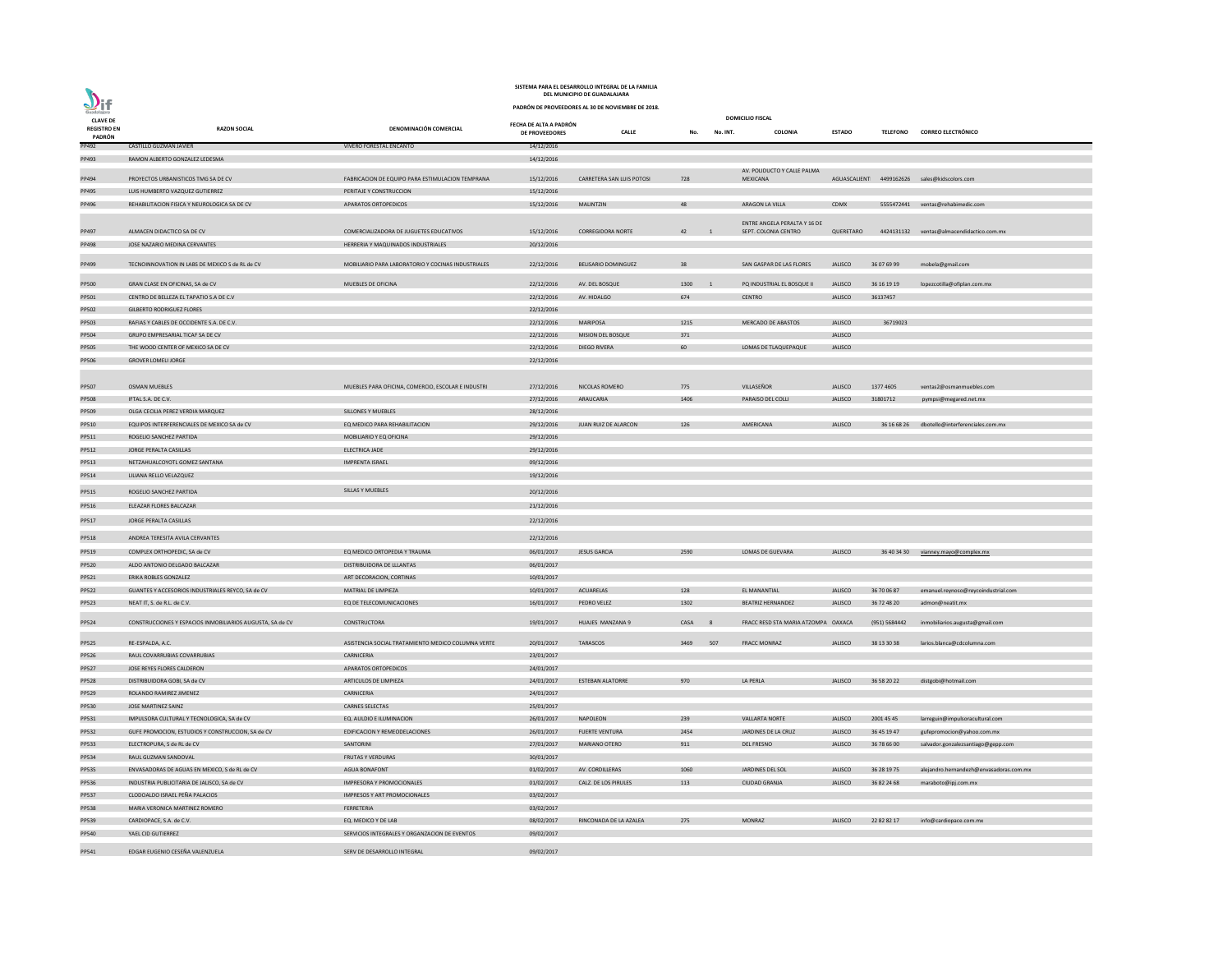|                                |                                                           |                                                    |                        | SISTEMA PARA EL DESARROLLO INTEGRAL DE LA FAMILIA<br>DEL MUNICIPIO DE GUADALAJARA |                                  |                                                      |                |                 |                                              |
|--------------------------------|-----------------------------------------------------------|----------------------------------------------------|------------------------|-----------------------------------------------------------------------------------|----------------------------------|------------------------------------------------------|----------------|-----------------|----------------------------------------------|
| 211                            |                                                           |                                                    |                        | PADRÓN DE PROVEEDORES AL 30 DE NOVIEMBRE DE 2018.                                 |                                  |                                                      |                |                 |                                              |
| Guadalajara<br><b>CLAVE DE</b> |                                                           |                                                    | FECHA DE ALTA A PADRÓN |                                                                                   |                                  | <b>DOMICILIO FISCAL</b>                              |                |                 |                                              |
| <b>REGISTRO EN</b><br>PADRÓN   | <b>RAZON SOCIAL</b>                                       | DENOMINACIÓN COMERCIAL                             | DE PROVEEDORES         | <b>CALLE</b>                                                                      | No.<br>No. INT.                  | <b>COLONIA</b>                                       | <b>ESTADO</b>  | <b>TELEFONO</b> | <b>CORREO ELECTRÓNICO</b>                    |
| PP492                          | <b>CASTILLO GUZMAN JAVIER</b>                             | <b>VIVERO FORESTAL ENCANTO</b>                     | 14/12/2016             |                                                                                   |                                  |                                                      |                |                 |                                              |
| PP493                          | RAMON ALBERTO GONZALEZ LEDESMA                            |                                                    | 14/12/2016             |                                                                                   |                                  |                                                      |                |                 |                                              |
| PP494                          | PROYECTOS URBANISTICOS TMG SA DE CV                       | FABRICACION DE EQUIPO PARA ESTIMULACION TEMPRANA   | 15/12/2016             | CARRETERA SAN LUIS POTOSI                                                         | 728                              | AV. POLIDUCTO Y CALLE PALMA<br><b>MEXICANA</b>       |                |                 | AGUASCALIENT 4499162626 sales@kidscolors.com |
| PP495                          | LUIS HUMBERTO VAZQUEZ GUTIERREZ                           | PERITAJE Y CONSTRUCCION                            | 15/12/2016             |                                                                                   |                                  |                                                      |                |                 |                                              |
| PP496                          | REHABILITACION FISICA Y NEUROLOGICA SA DE CV              | APARATOS ORTOPEDICOS                               | 15/12/2016             | <b>MALINTZIN</b>                                                                  | 48                               | ARAGON LA VILLA                                      | <b>CDMX</b>    |                 | 5555472441 ventas@rehabimedic.com            |
|                                |                                                           |                                                    |                        |                                                                                   |                                  |                                                      |                |                 |                                              |
| PP497                          | ALMACEN DIDACTICO SA DE CV                                | COMERCIALIZADORA DE JUGUETES EDUCATIVOS            | 15/12/2016             | <b>CORREGIDORA NORTE</b>                                                          | 42 1                             | ENTRE ANGELA PERALTA Y 16 DE<br>SEPT. COLONIA CENTRO | QUERETARO      |                 | 4424131132 ventas@almacendidactico.com.mx    |
|                                | JOSE NAZARIO MEDINA CERVANTES                             | HERRERIA Y MAQUINADOS INDUSTRIALES                 | 20/12/2016             |                                                                                   |                                  |                                                      |                |                 |                                              |
| PP498                          |                                                           |                                                    |                        |                                                                                   |                                  |                                                      |                |                 |                                              |
| PP499                          | TECNOINNOVATION IN LABS DE MEXICO S de RL de CV           | MOBILIARIO PARA LABORATORIO Y COCINAS INDUSTRIALES | 22/12/2016             | <b>BELISARIO DOMINGUEZ</b>                                                        | 38                               | SAN GASPAR DE LAS FLORES                             | <b>JALISCO</b> | 36 07 69 99     | mobela@gmail.com                             |
| <b>PP500</b>                   | GRAN CLASE EN OFICINAS, SA de CV                          | MUEBLES DE OFICINA                                 | 22/12/2016             | AV. DEL BOSQUE                                                                    | 1300<br>$\overline{\phantom{0}}$ | PQ INDUSTRIAL EL BOSQUE II                           | <b>JALISCO</b> | 36 16 19 19     | lopezcotilla@ofiplan.com.mx                  |
| PP501                          | CENTRO DE BELLEZA EL TAPATIO S.A DE C.V                   |                                                    | 22/12/2016             | AV. HIDALGO                                                                       | 674                              | <b>CENTRO</b>                                        | <b>JALISCO</b> | 36137457        |                                              |
| PP502                          | <b>GILBERTO RODRIGUEZ FLORES</b>                          |                                                    | 22/12/2016             |                                                                                   |                                  |                                                      |                |                 |                                              |
| PP503                          | RAFIAS Y CABLES DE OCCIDENTE S.A. DE C.V.                 |                                                    | 22/12/2016             | <b>MARIPOSA</b>                                                                   | 1215                             | MERCADO DE ABASTOS                                   | <b>JALISCO</b> | 36719023        |                                              |
| PP504                          | GRUPO EMPRESARIAL TICAF SA DE CV                          |                                                    | 22/12/2016             | MISION DEL BOSQUE                                                                 | 371                              |                                                      | <b>JALISCO</b> |                 |                                              |
| <b>PP505</b>                   | THE WOOD CENTER OF MEXICO SA DE CV                        |                                                    | 22/12/2016             | <b>DIEGO RIVERA</b>                                                               | 60                               | LOMAS DE TLAQUEPAQUE                                 | <b>JALISCO</b> |                 |                                              |
| PP506                          | <b>GROVER LOMELI JORGE</b>                                |                                                    | 22/12/2016             |                                                                                   |                                  |                                                      |                |                 |                                              |
|                                |                                                           |                                                    |                        |                                                                                   |                                  |                                                      |                |                 |                                              |
| PP507                          | <b>OSMAN MUEBLES</b>                                      | MUEBLES PARA OFICINA, COMERCIO, ESCOLAR E INDUSTRI | 27/12/2016             | NICOLAS ROMERO                                                                    | 775                              | VILLASEÑOR                                           | <b>JALISCO</b> | 1377 4605       | ventas2@osmanmuebles.com                     |
| <b>PP508</b>                   | IFTAL S.A. DE C.V.                                        |                                                    | 27/12/2016             | ARAUCARIA                                                                         | 1406                             | PARAISO DEL COLLI                                    | <b>JALISCO</b> | 31801712        |                                              |
| PP509                          | OLGA CECILIA PEREZ VERDIA MARQUEZ                         | SILLONES Y MUEBLES                                 | 28/12/2016             |                                                                                   |                                  |                                                      |                |                 | pympsi@megared.net.mx                        |
|                                | EQUIPOS INTERFERENCIALES DE MEXICO SA de CV               | EQ MEDICO PARA REHABILITACION                      |                        | JUAN RUIZ DE ALARCON                                                              | 126                              | AMERICANA                                            | <b>JALISCO</b> |                 |                                              |
| PP510                          |                                                           |                                                    | 29/12/2016             |                                                                                   |                                  |                                                      |                | 36 16 68 26     | dbotello@interferenciales.com.mx             |
| PP511                          | ROGELIO SANCHEZ PARTIDA                                   | MOBILIARIO Y EQ OFICINA                            | 29/12/2016             |                                                                                   |                                  |                                                      |                |                 |                                              |
| PP512                          | JORGE PERALTA CASILLAS                                    | ELECTRICA JADE                                     | 29/12/2016             |                                                                                   |                                  |                                                      |                |                 |                                              |
| PP513                          | NETZAHUALCOYOTL GOMEZ SANTANA                             | <b>IMPRENTA ISRAEL</b>                             | 09/12/2016             |                                                                                   |                                  |                                                      |                |                 |                                              |
| PP514                          | LILIANA RELLO VELAZQUEZ                                   |                                                    | 19/12/2016             |                                                                                   |                                  |                                                      |                |                 |                                              |
| PP515                          | ROGELIO SANCHEZ PARTIDA                                   | <b>SILLAS Y MUEBLES</b>                            | 20/12/2016             |                                                                                   |                                  |                                                      |                |                 |                                              |
| PP516                          | ELEAZAR FLORES BALCAZAR                                   |                                                    | 21/12/2016             |                                                                                   |                                  |                                                      |                |                 |                                              |
| PP517                          | JORGE PERALTA CASILLAS                                    |                                                    | 22/12/2016             |                                                                                   |                                  |                                                      |                |                 |                                              |
|                                |                                                           |                                                    |                        |                                                                                   |                                  |                                                      |                |                 |                                              |
| PP518                          | ANDREA TERESITA AVILA CERVANTES                           |                                                    | 22/12/2016             |                                                                                   |                                  |                                                      |                |                 |                                              |
| PP519                          | COMPLEX ORTHOPEDIC, SA de CV                              | EQ MEDICO ORTOPEDIA Y TRAUMA                       | 06/01/2017             | <b>JESUS GARCIA</b>                                                               | 2590                             | LOMAS DE GUEVARA                                     | <b>JALISCO</b> |                 | 36 40 34 30 vianney.mayo@complex.mx          |
| <b>PP520</b>                   | ALDO ANTONIO DELGADO BALCAZAR                             | DISTRIBUIDORA DE LLLANTAS                          | 06/01/2017             |                                                                                   |                                  |                                                      |                |                 |                                              |
| PP521                          | ERIKA ROBLES GONZALEZ                                     | ART DECORACION, CORTINAS                           | 10/01/2017             |                                                                                   |                                  |                                                      |                |                 |                                              |
| <b>PP522</b>                   | GUANTES Y ACCESORIOS INDUSTRIALES REYCO, SA de CV         | MATRIAL DE LIMPIEZA                                | 10/01/2017             | ACUARELAS                                                                         | 128                              | EL MANANTIAL                                         | <b>JALISCO</b> | 36 70 06 87     | emanuel.reynoso@reycoindustrial.com          |
| PP523                          | NEAT IT, S. de R.L. de C.V.                               | EQ DE TELECOMUNICACIONES                           | 16/01/2017             | PEDRO VELEZ                                                                       | 1302                             | <b>BEATRIZ HERNANDEZ</b>                             | <b>JALISCO</b> | 36 72 48 20     | admon@neatit.mx                              |
| PP524                          | CONSTRUCCIONES Y ESPACIOS INMOBILIARIOS AUGUSTA, SA de CV | CONSTRUCTORA                                       | 19/01/2017             | HUAJES MANZANA 9                                                                  | CASA<br>- 8                      | FRACC RESD STA MARIA ATZOMPA OAXACA                  |                | (951) 5684442   | inmobiliarios.augusta@gmail.com              |
|                                | RE-ESPALDA, A.C.                                          | ASISTENCIA SOCIAL TRATAMIENTO MEDICO COLUMNA VERTE |                        | TARASCOS                                                                          | 507<br>3469                      | <b>FRACC MONRAZ</b>                                  | <b>JALISCO</b> | 38 13 30 38     |                                              |
| PP525                          |                                                           |                                                    | 20/01/2017             |                                                                                   |                                  |                                                      |                |                 | larios.blanca@cdcolumna.com                  |
| PP526                          | RAUL COVARRUBIAS COVARRUBIAS                              | CARNICERIA                                         | 23/01/2017             |                                                                                   |                                  |                                                      |                |                 |                                              |
| <b>PP527</b>                   | JOSE REYES FLORES CALDERON                                | APARATOS ORTOPEDICOS                               | 24/01/2017             |                                                                                   |                                  |                                                      |                |                 |                                              |
| <b>PP528</b>                   | DISTRIBUIDORA GOBI, SA de CV                              | ARTICULOS DE LIMPIEZA                              | 24/01/2017             | <b>ESTEBAN ALATORRE</b>                                                           | 970                              | LA PERLA                                             | <b>JALISCO</b> | 36 58 20 22     | distgobi@hotmail.com                         |
| PP529                          | ROLANDO RAMIREZ JIMENEZ                                   | CARNICERIA                                         | 24/01/2017             |                                                                                   |                                  |                                                      |                |                 |                                              |
| PP530                          | JOSE MARTINEZ SAINZ                                       | <b>CARNES SELECTAS</b>                             | 25/01/2017             |                                                                                   |                                  |                                                      |                |                 |                                              |
| PP531                          | IMPULSORA CULTURAL Y TECNOLOGICA, SA de CV                | EQ. AULDIO E ILUMINACION                           | 26/01/2017             | NAPOLEON                                                                          | 239                              | <b>VALLARTA NORTE</b>                                | JALISCO        | 2001 45 45      | larreguin@impulsoracultural.com              |
| PP532                          | GUFE PROMOCION, ESTUDIOS Y CONSTRUCCION, SA de CV         | EDIFICACION Y REMEODELACIONES                      | 26/01/2017             | <b>FUERTE VENTURA</b>                                                             | 2454                             | JARDINES DE LA CRUZ                                  | <b>JALISCO</b> | 36 45 19 47     | gufepromocion@yahoo.com.mx                   |
| PP533                          | ELECTROPURA, S de RL de CV                                | SANTORINI                                          | 27/01/2017             | <b>MARIANO OTERO</b>                                                              | 911                              | <b>DEL FRESNO</b>                                    | <b>JALISCO</b> | 36 78 66 00     | salvador.gonzalezsantiago@gepp.com           |
| PP534                          | RAUL GUZMAN SANDOVAL                                      | <b>FRUTAS Y VERDURAS</b>                           | 30/01/2017             |                                                                                   |                                  |                                                      |                |                 |                                              |
| <b>PP535</b>                   | ENVASADORAS DE AGUAS EN MEXICO, S de RL de CV             | <b>AGUA BONAFONT</b>                               | 01/02/2017             | AV. CORDILLERAS                                                                   | 1060                             | JARDINES DEL SOL                                     | <b>JALISCO</b> | 36 28 19 75     | alejandro.hernandezh@envasadoras.com.mx      |
| PP536                          | INDUSTRIA PUBLICITARIA DE JALISCO, SA de CV               | IMPRESORA Y PROMOCIONALES                          | 01/02/2017             | CALZ. DE LOS PIRULES                                                              | 113                              | <b>CIUDAD GRANJA</b>                                 | <b>JALISCO</b> | 36 82 24 68     | maraboto@ipj.com.mx                          |
| PP537                          | CLODOALDO ISRAEL PEÑA PALACIOS                            | IMPRESOS Y ART PROMOCIONALES                       | 03/02/2017             |                                                                                   |                                  |                                                      |                |                 |                                              |
| <b>PP538</b>                   | MARIA VERONICA MARTINEZ ROMERO                            | FERRETERIA                                         | 03/02/2017             |                                                                                   |                                  |                                                      |                |                 |                                              |
| PP539                          | CARDIOPACE, S.A. de C.V.                                  | EQ. MEDICO Y DE LAB                                | 08/02/2017             | RINCONADA DE LA AZALEA                                                            | 275                              | <b>MONRAZ</b>                                        | <b>JALISCO</b> | 22 82 82 17     | info@cardiopace.com.mx                       |
| PP540                          | YAEL CID GUTIERREZ                                        | SERVICIOS INTEGRALES Y ORGANZACION DE EVENTOS      | 09/02/2017             |                                                                                   |                                  |                                                      |                |                 |                                              |
|                                |                                                           |                                                    |                        |                                                                                   |                                  |                                                      |                |                 |                                              |
| PP541                          | EDGAR EUGENIO CESEÑA VALENZUELA                           | SERV DE DESARROLLO INTEGRAL                        | 09/02/2017             |                                                                                   |                                  |                                                      |                |                 |                                              |

**DEL MUNICIPIO DE GUADALAJARA SISTEMA PARA EL DESARROLLO INTEGRAL DE LA FAMILIA**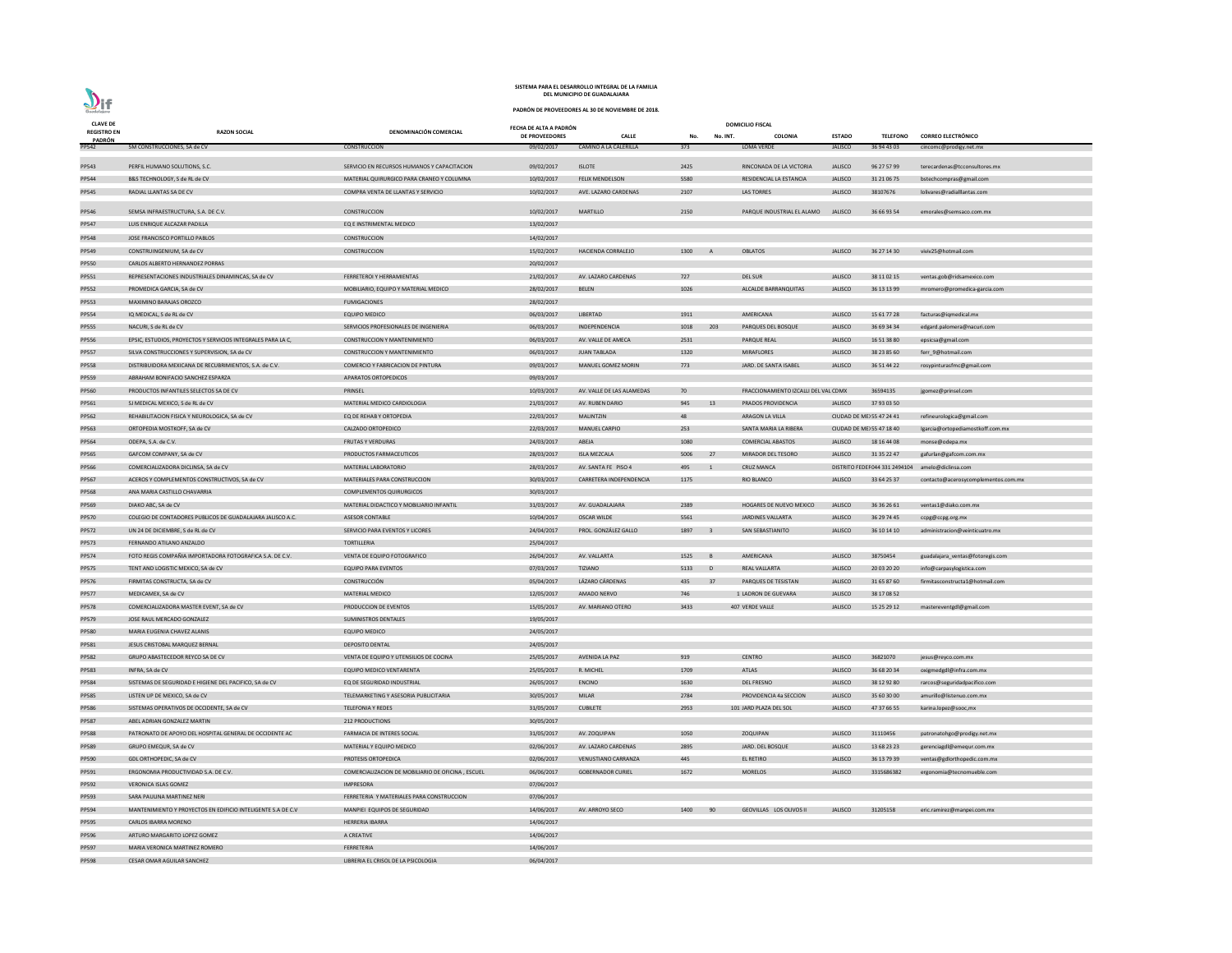| <b>CLAVE DE</b>              |                                                              |                                                   | FECHA DE ALTA A PADRÓN |                              |        |                | <b>DOMICILIO FISCAL</b>              |                |                           |                                                   |
|------------------------------|--------------------------------------------------------------|---------------------------------------------------|------------------------|------------------------------|--------|----------------|--------------------------------------|----------------|---------------------------|---------------------------------------------------|
| <b>REGISTRO EN</b><br>PADRÓN | <b>RAZON SOCIAL</b>                                          | DENOMINACIÓN COMERCIAL                            | DE PROVEEDORES         | <b>CALLE</b>                 | No.    | No. INT.       | COLONIA                              | <b>ESTADO</b>  | <b>TELEFONO</b>           | <b>CORREO ELECTRÓNICO</b>                         |
| <b>PP542</b>                 | 5M CONSTRUCCIONES, SA de CV                                  | CONSTRUCCION                                      | 09/02/2017             | <b>CAMINO A LA CALERILLA</b> | 373    |                | LOMA VERDE                           | <b>JALISCO</b> | 36 94 43 03               | cincomc@prodigy.net.mx                            |
| PP543                        | PERFIL HUMANO SOLUTIONS, S.C.                                | SERVICIO EN RECURSOS HUMANOS Y CAPACITACION       | 09/02/2017             | <b>ISLOTE</b>                | 2425   |                | RINCONADA DE LA VICTORIA             | <b>JALISCO</b> | 96 27 57 99               | terecardenas@tcconsultores.mx                     |
| PP544                        | B&S TECHNOLOGY, S de RL de CV                                | MATERIAL QUIRURGICO PARA CRANEO Y COLUMNA         | 10/02/2017             | <b>FELIX MENDELSON</b>       | 5580   |                | RESIDENCIAL LA ESTANCIA              | <b>JALISCO</b> | 31 21 06 75               | bstechcompras@gmail.com                           |
| PP545                        | RADIAL LLANTAS SA DE CV                                      | COMPRA VENTA DE LLANTAS Y SERVICIO                | 10/02/2017             | AVE. LAZARO CARDENAS         | 2107   |                | LAS TORRES                           | <b>JALISCO</b> | 38107676                  | lolivares@radialllantas.com                       |
|                              |                                                              |                                                   |                        |                              |        |                |                                      |                |                           |                                                   |
| PP546                        | SEMSA INFRAESTRUCTURA, S.A. DE C.V.                          | <b>CONSTRUCCION</b>                               | 10/02/2017             | <b>MARTILLO</b>              | 2150   |                | PARQUE INDUSTRIAL EL ALAMO           | <b>JALISCO</b> | 36 66 93 54               | emorales@semsaco.com.mx                           |
| PP547                        | LUIS ENRIQUE ALCAZAR PADILLA                                 | EQ E INSTRIMENTAL MEDICO                          | 13/02/2017             |                              |        |                |                                      |                |                           |                                                   |
| PP548                        | JOSE FRANCISCO PORTILLO PABLOS                               | CONSTRUCCION                                      | 14/02/2017             |                              |        |                |                                      |                |                           |                                                   |
| PP549                        | CONSTRUINGENIUM, SA de CV                                    | CONSTRUCCION                                      | 15/02/2017             | HACIENDA CORRALEJO           | 1300   | <b>A</b>       | <b>OBLATOS</b>                       | <b>JALISCO</b> | 36 27 14 30               | viviv25@hotmail.com                               |
| <b>PP550</b>                 | CARLOS ALBERTO HERNANDEZ PORRAS                              |                                                   | 20/02/2017             |                              |        |                |                                      |                |                           |                                                   |
| PP551                        | REPRESENTACIONES INDUSTRIALES DINAMINCAS, SA de CV           | FERRETEROI Y HERRAMIENTAS                         | 21/02/2017             | AV. LAZARO CARDENAS          | 727    |                | <b>DEL SUR</b>                       | <b>JALISCO</b> | 38 11 02 15               | ventas.gob@ridsamexico.com                        |
| PP552                        | PROMEDICA GARCIA, SA de CV                                   | MOBILIARIO, EQUIPO Y MATERIAL MEDICO              | 28/02/2017             | <b>BELEN</b>                 | 1026   |                | ALCALDE BARRANQUITAS                 | <b>JALISCO</b> | 36 13 13 99               | mromero@promedica-garcia.com                      |
| PP553                        | MAXIMINO BARAJAS OROZCO                                      | <b>FUMIGACIONES</b>                               | 28/02/2017             |                              |        |                |                                      |                |                           |                                                   |
| PP554                        | IQ MEDICAL, S de RL de CV                                    | <b>EQUIPO MEDICO</b>                              | 06/03/2017             | LIBERTAD                     | 1911   |                | AMERICANA                            | <b>JALISCO</b> | 15 61 77 28               | facturas@iqmedical.mx                             |
| <b>PP555</b>                 | NACURI, S de RL de CV                                        | SERVICIOS PROFESIONALES DE INGENIERIA             | 06/03/2017             | INDEPENDENCIA                | 1018   | 203            | PARQUES DEL BOSQUE                   | <b>JALISCO</b> | 36 69 34 34               | edgard.palomera@nacuri.com                        |
| <b>PP556</b>                 | EPSIC, ESTUDIOS, PROYECTOS Y SERVICIOS INTEGRALES PARA LA C, | CONSTRUCCION Y MANTENIMIENTO                      | 06/03/2017             | AV. VALLE DE AMECA           | 2531   |                | <b>PARQUE REAL</b>                   | <b>JALISCO</b> | 16 51 38 80               | epsicsa@gmail.com                                 |
| <b>PP557</b>                 | SILVA CONSTRUCCIONES Y SUPERVISION, SA de CV                 | <b>CONSTRUCCION Y MANTENIMIENTO</b>               | 06/03/2017             | <b>JUAN TABLADA</b>          | 1320   |                | <b>MIRAFLORES</b>                    | <b>JALISCO</b> | 38 23 85 60               | ferr_9@hotmail.com                                |
| <b>PP558</b>                 | DISTRIBUIDORA MEXICANA DE RECUBRIMIENTOS, S.A. de C.V.       | COMERCIO Y FABRICACION DE PINTURA                 | 09/03/2017             | MANUEL GOMEZ MORIN           | 773    |                | JARD. DE SANTA ISABEL                | <b>JALISCO</b> | 36 51 44 22               | rosypinturasfmc@gmail.com                         |
| PP559                        | ABRAHAM BONIFACIO SANCHEZ ESPARZA                            | APARATOS ORTOPEDICOS                              | 09/03/2017             |                              |        |                |                                      |                |                           |                                                   |
|                              | PRODUCTOS INFANTILES SELECTOS SA DE CV                       | PRINSEL                                           |                        | AV. VALLE DE LAS ALAMEDAS    | 70     |                | FRACCIONAMIENTO IZCALLI DEL VAL CDMX |                | 36594135                  |                                                   |
| <b>PP560</b>                 |                                                              |                                                   | 10/03/2017             |                              |        |                |                                      |                |                           | jgomez@prinsel.com                                |
| PP561                        | SJ MEDICAL MEXICO, S de RL de CV                             | MATERIAL MEDICO CARDIOLOGIA                       | 21/03/2017             | AV. RUBEN DARIO              | 945 13 |                | PRADOS PROVIDENCIA                   | <b>JALISCO</b> | 37 93 03 50               |                                                   |
| PP562                        | REHABILITACION FISICA Y NEUROLOGICA, SA de CV                | EQ DE REHAB Y ORTOPEDIA                           | 22/03/2017             | <b>MALINTZIN</b>             | 48     |                | ARAGON LA VILLA                      |                | CIUDAD DE ME: 55 47 24 41 | refineurologica@gmail.com                         |
| PP563                        | ORTOPEDIA MOSTKOFF, SA de CV                                 | CALZADO ORTOPEDICO                                | 22/03/2017             | <b>MANUEL CARPIO</b>         | 253    |                | SANTA MARIA LA RIBERA                |                | CIUDAD DE ME 55 47 18 40  | Igarcia@ortopediamostkoff.com.mx                  |
| PP564                        | ODEPA, S.A. de C.V.                                          | <b>FRUTAS Y VERDURAS</b>                          | 24/03/2017             | ABEJA                        | 1080   |                | <b>COMERCIAL ABASTOS</b>             | <b>JALISCO</b> | 18 16 44 08               | monse@odepa.mx                                    |
| <b>PP565</b>                 | GAFCOM COMPANY, SA de CV                                     | PRODUCTOS FARMACEUTICOS                           | 28/03/2017             | <b>ISLA MEZCALA</b>          | 5006   | 27             | MIRADOR DEL TESORO                   | <b>JALISCO</b> | 31 35 22 47               | gafurlan@gafcom.com.mx                            |
| PP566                        | COMERCIALIZADORA DICLINSA, SA de CV                          | MATERIAL LABORATORIO                              | 28/03/2017             | AV. SANTA FE PISO 4          | 495    |                | <b>CRUZ MANCA</b>                    |                |                           | DISTRITO FEDEF 044 331 2494104 amelo@diclinsa.com |
| PP567                        | ACEROS Y COMPLEMENTOS CONSTRUCTIVOS, SA de CV                | MATERIALES PARA CONSTRUCCION                      | 30/03/2017             | CARRETERA INDEPENDENCIA      | 1175   |                | <b>RIO BLANCO</b>                    | <b>JALISCO</b> | 33 64 25 37               | contacto@acerosycomplementos.com.mx               |
| <b>PP568</b>                 | ANA MARIA CASTILLO CHAVARRIA                                 | <b>COMPLEMENTOS QUIRURGICOS</b>                   | 30/03/2017             |                              |        |                |                                      |                |                           |                                                   |
| PP569                        | DIAKO ABC, SA de CV                                          | MATERIAL DIDACTICO Y MOBILIARIO INFANTIL          | 31/03/2017             | AV. GUADALAJARA              | 2389   |                | HOGARES DE NUEVO MEXICO              | <b>JALISCO</b> | 36 36 26 61               | ventas1@diako.com.mx                              |
| <b>PP570</b>                 | COLEGIO DE CONTADORES PUBLICOS DE GUADALAJARA JALISCO A.C.   | <b>ASESOR CONTABLE</b>                            | 10/04/2017             | <b>OSCAR WILDE</b>           | 5561   |                | JARDINES VALLARTA                    | <b>JALISCO</b> | 36 29 74 45               | ccpg@ccpg.org.mx                                  |
| <b>PP572</b>                 | UN 24 DE DICIEMBRE, S de RL de CV                            | SERVICIO PARA EVENTOS Y LICORES                   | 24/04/2017             | PROL. GONZÁLEZ GALLO         | 1897 3 |                | SAN SEBASTIANITO                     | <b>JALISCO</b> | 36 10 14 10               | administracion@veinticuatro.mx                    |
| <b>PP573</b>                 | FERNANDO ATILANO ANZALDO                                     | <b>TORTILLERIA</b>                                | 25/04/2017             |                              |        |                |                                      |                |                           |                                                   |
| <b>PP574</b>                 | FOTO REGIS COMPAÑIA IMPORTADORA FOTOGRAFICA S.A. DE C.V.     | VENTA DE EQUIPO FOTOGRAFICO                       | 26/04/2017             | AV. VALLARTA                 | 1525   | $\overline{B}$ | AMERICANA                            | <b>JALISCO</b> | 38750454                  | guadalajara_ventas@fotoregis.com                  |
| <b>PP575</b>                 | TENT AND LOGISTIC MEXICO, SA de CV                           | <b>EQUIPO PARA EVENTOS</b>                        | 07/03/2017             | TIZIANO                      | 5133   | $\Box$         | <b>REAL VALLARTA</b>                 | <b>JALISCO</b> | 20 03 20 20               | info@carpasylogistica.com                         |
| PP576                        | FIRMITAS CONSTRUCTA, SA de CV                                | <b>CONSTRUCCIÓN</b>                               | 05/04/2017             | LÁZARO CÁRDENAS              | 435 37 |                | PARQUES DE TESISTAN                  | <b>JALISCO</b> | 31 65 87 60               | firmitasconstructa1@hotmail.com                   |
| <b>PP577</b>                 | MEDICAMEX, SA de CV                                          | MATERIAL MEDICO                                   | 12/05/2017             | AMADO NERVO                  | 746    |                | 1 LADRON DE GUEVARA                  | <b>JALISCO</b> | 38 17 08 52               |                                                   |
| <b>PP578</b>                 | COMERCIALIZADORA MASTER EVENT, SA de CV                      | PRODUCCION DE EVENTOS                             | 15/05/2017             | AV. MARIANO OTERO            | 3433   |                | 407 VERDE VALLE                      | <b>JALISCO</b> | 15 25 29 12               | mastereventgdl@gmail.com                          |
| PP579                        | JOSE RAUL MERCADO GONZALEZ                                   | <b>SUMINISTROS DENTALES</b>                       | 19/05/2017             |                              |        |                |                                      |                |                           |                                                   |
| <b>PP580</b>                 | MARIA EUGENIA CHAVEZ ALANIS                                  | <b>EQUIPO MEDICO</b>                              | 24/05/2017             |                              |        |                |                                      |                |                           |                                                   |
| PP581                        | JESUS CRISTOBAL MARQUEZ BERNAL                               | <b>DEPOSITO DENTAL</b>                            | 24/05/2017             |                              |        |                |                                      |                |                           |                                                   |
| PP582                        | GRUPO ABASTECEDOR REYCO SA DE CV                             | VENTA DE EQUIPO Y UTENSILIOS DE COCINA            | 25/05/2017             | AVENIDA LA PAZ               | 919    |                | <b>CENTRO</b>                        | <b>JALISCO</b> | 36821070                  | jesus@reyco.com.mx                                |
| PP583                        | INFRA, SA de CV                                              | EQUIPO MEDICO VENTARENTA                          | 25/05/2017             | R. MICHEL                    | 1709   |                | ATLAS                                | <b>JALISCO</b> | 36 68 20 34               | oxigmedgdl@infra.com.mx                           |
| PP584                        | SISTEMAS DE SEGURIDAD E HIGIENE DEL PACIFICO, SA de CV       | EQ DE SEGURIDAD INDUSTRIAL                        | 26/05/2017             | <b>ENCINO</b>                | 1630   |                | <b>DEL FRESNO</b>                    | <b>JALISCO</b> | 38 12 92 80               | rarcos@seguridadpacifico.com                      |
| <b>PP585</b>                 | LISTEN UP DE MEXICO, SA de CV                                | TELEMARKETING Y ASESORIA PUBLICITARIA             | 30/05/2017             | <b>MILAR</b>                 | 2784   |                | PROVIDENCIA 4a SECCION               | <b>JALISCO</b> | 35 60 30 00               | amurillo@listenuo.com.mx                          |
| PP586                        | SISTEMAS OPERATIVOS DE OCCIDENTE, SA de CV                   | <b>TELEFONIA Y REDES</b>                          | 31/05/2017             | <b>CUBILETE</b>              | 2953   |                | 101 JARD PLAZA DEL SOL               | <b>JALISCO</b> | 47 37 66 55               |                                                   |
|                              |                                                              |                                                   |                        |                              |        |                |                                      |                |                           | karina.lopez@sooc,mx                              |
| <b>PP587</b>                 | ABEL ADRIAN GONZALEZ MARTIN                                  | 212 PRODUCTIONS                                   | 30/05/2017             |                              |        |                |                                      |                |                           |                                                   |
| <b>PP588</b>                 | PATRONATO DE APOYO DEL HOSPITAL GENERAL DE OCCIDENTE AC      | FARMACIA DE INTERES SOCIAL                        | 31/05/2017             | AV. ZOQUIPAN                 | 1050   |                | <b>ZOQUIPAN</b>                      | <b>JALISCO</b> | 31110456                  | patronatohgo@prodigy.net.mx                       |
| PP589                        | GRUPO EMEQUR, SA de CV                                       | MATERIAL Y EQUIPO MEDICO                          | 02/06/2017             | AV. LAZARO CARDENAS          | 2895   |                | JARD. DEL BOSQUE                     | JALISCO        | 13 68 23 23               | gerenciagdl@emequr.com.mx                         |
| PP590                        | GDL ORTHOPEDIC, SA de CV                                     | PROTESIS ORTOPEDICA                               | 02/06/2017             | VENUSTIANO CARRANZA          | 445    |                | EL RETIRO                            | <b>JALISCO</b> | 36 13 79 39               | ventas@gdlorthopedic.com.mx                       |
| PP591                        | ERGONOMIA PRODUCTIVIDAD S.A. DE C.V.                         | COMERCIALIZACION DE MOBILIARIO DE OFICINA, ESCUEL | 06/06/2017             | <b>GOBERNADOR CURIEL</b>     | 1672   |                | <b>MORELOS</b>                       | <b>JALISCO</b> | 3315686382                | ergonomia@tecnomueble.com                         |
| PP592                        | <b>VERONICA ISLAS GOMEZ</b>                                  | IMPRESORA                                         | 07/06/2017             |                              |        |                |                                      |                |                           |                                                   |
| PP593                        | SARA PAULINA MARTINEZ NERI                                   | FERRETERIA Y MATERIALES PARA CONSTRUCCION         | 07/06/2017             |                              |        |                |                                      |                |                           |                                                   |
| PP594                        | MANTENIMIENTO Y PROYECTOS EN EDIFICIO INTELIGENTE S.A DE C.V | MANPIEI EQUIPOS DE SEGURIDAD                      | 14/06/2017             | AV. ARROYO SECO              | 1400   | 90             | GEOVILLAS LOS OLIVOS II              | <b>JALISCO</b> | 31205158                  | eric.ramirez@manpei.com.mx                        |
| <b>PP595</b>                 | CARLOS IBARRA MORENO                                         | HERRERIA IBARRA                                   | 14/06/2017             |                              |        |                |                                      |                |                           |                                                   |
| PP596                        | ARTURO MARGARITO LOPEZ GOMEZ                                 | A CREATIVE                                        | 14/06/2017             |                              |        |                |                                      |                |                           |                                                   |
| PP597                        | MARIA VERONICA MARTINEZ ROMERO                               | FERRETERIA                                        | 14/06/2017             |                              |        |                |                                      |                |                           |                                                   |
| <b>PP598</b>                 | CESAR OMAR AGUILAR SANCHEZ                                   | LIBRERIA EL CRISOL DE LA PSICOLOGIA               | 06/04/2017             |                              |        |                |                                      |                |                           |                                                   |

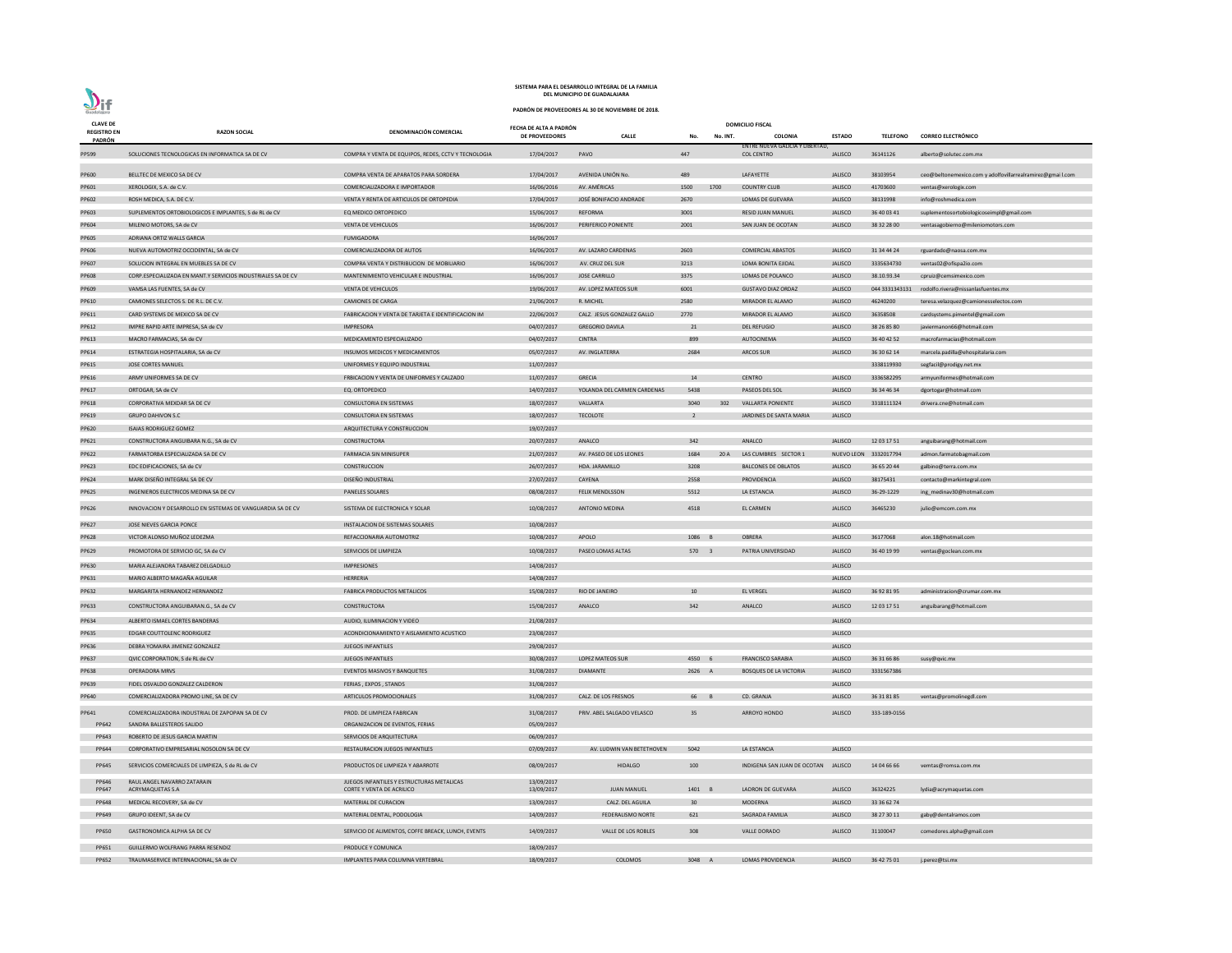| <b>CLAVE DE</b>              |                                                              |                                                     | FECHA DE ALTA A PADRÓN |                             | <b>DOMICILIO FISCAL</b> |          |                                                             |                |                       |                                                            |
|------------------------------|--------------------------------------------------------------|-----------------------------------------------------|------------------------|-----------------------------|-------------------------|----------|-------------------------------------------------------------|----------------|-----------------------|------------------------------------------------------------|
| <b>REGISTRO EN</b><br>PADRÓN | <b>RAZON SOCIAL</b>                                          | DENOMINACIÓN COMERCIAL                              | DE PROVEEDORES         | <b>CALLE</b>                | No.                     | No. INT. | <b>COLONIA</b>                                              | <b>ESTADO</b>  | <b>TELEFONO</b>       | <b>CORREO ELECTRÓNICO</b>                                  |
| PP599                        | SOLUCIONES TECNOLOGICAS EN INFORMATICA SA DE CV              | COMPRA Y VENTA DE EQUIPOS, REDES, CCTV Y TECNOLOGIA | 17/04/2017             | PAVO                        | 447                     |          | <b>ENTRE NUEVA GALICIA Y LIBERTAD,</b><br><b>COL CENTRO</b> | <b>JALISCO</b> | 36141126              | alberto@solutec.com.mx                                     |
|                              |                                                              |                                                     |                        |                             |                         |          |                                                             |                |                       |                                                            |
| PP600                        | BELLTEC DE MEXICO SA DE CV                                   | COMPRA VENTA DE APARATOS PARA SORDERA               | 17/04/2017             | AVENIDA UNIÓN No.           | 489                     |          | LAFAYETTE                                                   | <b>JALISCO</b> | 38103954              | ceo@beltonemexico.com y adolfovillarrealramirez@gmai l.com |
| PP601                        | XEROLOGIX, S.A. de C.V.                                      | COMERCIALIZADORA E IMPORTADOR                       | 16/06/2016             | AV. AMÉRICAS                | 1500                    | 1700     | <b>COUNTRY CLUB</b>                                         | <b>JALISCO</b> | 41703600              | ventas@xerologix.com                                       |
| PP602                        | ROSH MEDICA, S.A. DE C.V.                                    | VENTA Y RENTA DE ARTICULOS DE ORTOPEDIA             | 17/04/2017             | JOSÉ BONIFACIO ANDRADE      | 2670                    |          | LOMAS DE GUEVARA                                            | <b>JALISCO</b> | 38131998              | info@roshmedica.com                                        |
| PP603                        | SUPLEMENTOS ORTOBIOLOGICOS E IMPLANTES, S de RL de CV        | EQ MEDICO ORTOPEDICO                                | 15/06/2017             | REFORMA                     | 3001                    |          | RESID JUAN MANUEL                                           | <b>JALISCO</b> | 36 40 03 41           | suplementosortobiologicoseimpl@gmail.com                   |
| PP604                        | MILENIO MOTORS, SA de CV                                     | <b>VENTA DE VEHICULOS</b>                           | 16/06/2017             | PERIFERICO PONIENTE         | 2001                    |          | SAN JUAN DE OCOTAN                                          | <b>JALISCO</b> | 38 32 28 00           | ventasagobierno@mileniomotors.com                          |
| PP605                        | ADRIANA ORTIZ WALLS GARCIA                                   | <b>FUMIGADORA</b>                                   | 16/06/2017             |                             |                         |          |                                                             |                |                       |                                                            |
| PP606                        | NUEVA AUTOMOTRIZ OCCIDENTAL, SA de CV                        | COMERCIALIZADORA DE AUTOS                           | 16/06/2017             | AV. LAZARO CARDENAS         | 2603                    |          | <b>COMERCIAL ABASTOS</b>                                    | <b>JALISCO</b> | 31 34 44 24           | rguardado@naosa.com.mx                                     |
| PP607                        | SOLUCION INTEGRAL EN MUEBLES SA DE CV                        | COMPRA VENTA Y DISTRIBUCION DE MOBILIARIO           | 16/06/2017             | AV. CRUZ DEL SUR            | 3213                    |          | LOMA BONITA EJIDAL                                          | <b>JALISCO</b> | 3335634730            | ventas02@ofispa2io.com                                     |
| <b>PP608</b>                 | CORP ESPECIALIZADA EN MANT Y SERVICIOS INDUSTRIALES SA DE CV | MANTENIMIENTO VEHICULAR E INDUSTRIAL                | 16/06/2017             | <b>JOSE CARRILLO</b>        | 3375                    |          | LOMAS DE POLANCO                                            | <b>JALISCO</b> | 38.10.93.34           | cpruiz@cemsimexico.com                                     |
| PP609                        | VAMSA LAS FUENTES, SA de CV                                  | <b>VENTA DE VEHICULOS</b>                           | 19/06/2017             | AV. LOPEZ MATEOS SUR        | 6001                    |          | <b>GUSTAVO DIAZ ORDAZ</b>                                   | <b>JALISCO</b> | 044 3331343131        | rodolfo.rivera@nissanlasfuentes.mx                         |
| PP610                        | CAMIONES SELECTOS S. DE R.L. DE C.V.                         | <b>CAMIONES DE CARGA</b>                            | 21/06/2017             | R. MICHEL                   | 2580                    |          | MIRADOR EL ALAMO                                            | <b>JALISCO</b> | 46240200              | teresa.velazquez@camionesselectos.com                      |
| PP611                        | CARD SYSTEMS DE MEXICO SA DE CV                              | FABRICACION Y VENTA DE TARJETA E IDENTIFICACION IM  | 22/06/2017             | CALZ. JESUS GONZALEZ GALLO  | 2770                    |          | MIRADOR EL ALAMO                                            | <b>JALISCO</b> | 36358508              | cardsystems.pimentel@gmail.com                             |
| PP612                        | IMPRE RAPID ARTE IMPRESA, SA de CV                           | <b>IMPRESORA</b>                                    | 04/07/2017             | <b>GREGORIO DAVILA</b>      | 21                      |          | <b>DEL REFUGIO</b>                                          | <b>JALISCO</b> | 38 26 85 80           | javiermanon66@hotmail.com                                  |
| PP613                        | MACRO FARMACIAS, SA de CV                                    | MEDICAMENTO ESPECIALIZADO                           | 04/07/2017             | <b>CINTRA</b>               | 899                     |          | AUTOCINEMA                                                  | <b>JALISCO</b> | 36 40 42 52           | macrofarmacias@hotmail.com                                 |
| PP614                        | ESTRATEGIA HOSPITALARIA, SA de CV                            | INSUMOS MEDICOS Y MEDICAMENTOS                      | 05/07/2017             | AV. INGLATERRA              | 2684                    |          | ARCOS SUR                                                   | <b>JALISCO</b> | 36 30 62 14           | marcela.padilla@ehospitalaria.com                          |
| PP615                        | JOSE CORTES MANUEL                                           | UNIFORMES Y EQUIPO INDUSTRIAL                       | 11/07/2017             |                             |                         |          |                                                             |                | 3338119930            | segfacil@prodigy.net.mx                                    |
| PP616                        | ARMY UNIFORMES SA DE CV                                      | FRBICACION Y VENTA DE UNIFORMES Y CALZADO           | 11/07/2017             | <b>GRECIA</b>               | 14                      |          | <b>CENTRO</b>                                               | <b>JALISCO</b> | 3336582295            | armyuniformes@hotmail.com                                  |
| PP617                        | ORTOGAR, SA de CV                                            | EQ. ORTOPEDICO                                      | 14/07/2017             | YOLANDA DEL CARMEN CARDENAS | 5438                    |          | PASEOS DEL SOL                                              | <b>JALISCO</b> | 36 34 46 34           | dgortogar@hotmail.com                                      |
| PP618                        | CORPORATIVA MEXDAR SA DE CV                                  | <b>CONSULTORIA EN SISTEMAS</b>                      | 18/07/2017             | VALLARTA                    | 3040                    | 302      | <b>VALLARTA PONIENTE</b>                                    | <b>JALISCO</b> | 3318111324            | drivera.cne@hotmail.com                                    |
| PP619                        | <b>GRUPO DAHIVON S.C</b>                                     | CONSULTORIA EN SISTEMAS                             | 18/07/2017             | <b>TECOLOTE</b>             | 2                       |          | JARDINES DE SANTA MARIA                                     | <b>JALISCO</b> |                       |                                                            |
| PP620                        | <b>ISAIAS RODRIGUEZ GOMEZ</b>                                | ARQUITECTURA Y CONSTRUCCION                         | 19/07/2017             |                             |                         |          |                                                             |                |                       |                                                            |
| PP621                        | CONSTRUCTORA ANGUIBARA N.G., SA de CV                        | CONSTRUCTORA                                        | 20/07/2017             | ANALCO                      | 342                     |          | ANALCO                                                      | <b>JALISCO</b> | 12 03 17 51           | anguibarang@hotmail.com                                    |
| PP622                        | FARMATORBA ESPECIALIZADA SA DE CV                            | FARMACIA SIN MINISUPER                              | 21/07/2017             | AV. PASEO DE LOS LEONES     | 1684                    |          | 20 A LAS CUMBRES SECTOR 1                                   |                | NUEVO LEON 3332017794 | admon.farmatobagmail.com                                   |
| PP623                        | EDC EDIFICACIONES, SA de CV                                  | <b>CONSTRUCCION</b>                                 | 26/07/2017             | HDA. JARAMILLO              | 3208                    |          | <b>BALCONES DE OBLATOS</b>                                  | <b>JALISCO</b> | 36 65 20 44           | galbino@terra.com.mx                                       |
| PP624                        | MARK DISEÑO INTEGRAL SA DE CV                                | DISEÑO INDUSTRIAL                                   | 27/07/2017             | CAYENA                      | 2558                    |          | <b>PROVIDENCIA</b>                                          | <b>JALISCO</b> | 38175431              | contacto@markintegral.com                                  |
| <b>PP625</b>                 | INGENIEROS ELECTRICOS MEDINA SA DE CV                        | <b>PANELES SOLARES</b>                              | 08/08/2017             | <b>FELIX MENDLSSON</b>      | 5512                    |          | LA ESTANCIA                                                 | <b>JALISCO</b> | 36-29-1229            | ing_medinav30@hotmail.com                                  |
| PP626                        | INNOVACION Y DESARROLLO EN SISTEMAS DE VANGUARDIA SA DE CV   | SISTEMA DE ELECTRONICA Y SOLAR                      | 10/08/2017             | <b>ANTONIO MEDINA</b>       | 4518                    |          | EL CARMEN                                                   | <b>JALISCO</b> | 36465230              | julio@emcom.com.mx                                         |
| PP627                        | JOSE NIEVES GARCIA PONCE                                     | INSTALACION DE SISTEMAS SOLARES                     | 10/08/2017             |                             |                         |          |                                                             | <b>JALISCO</b> |                       |                                                            |
| PP628                        | VICTOR ALONSO MUÑOZ LEDEZMA                                  | REFACCIONARIA AUTOMOTRIZ                            | 10/08/2017             | APOLO                       | 1086 B                  |          | <b>OBRERA</b>                                               | <b>JALISCO</b> | 36177068              | alon.18@hotmail.com                                        |
| PP629                        | PROMOTORA DE SERVICIO GC, SA de CV                           | SERVICIOS DE LIMPIEZA                               | 10/08/2017             | PASEO LOMAS ALTAS           | 570 3                   |          | PATRIA UNIVERSIDAD                                          | <b>JALISCO</b> | 36 40 19 99           | ventas@goclean.com.mx                                      |
| PP630                        | MARIA ALEJANDRA TABAREZ DELGADILLO                           | <b>IMPRESIONES</b>                                  | 14/08/2017             |                             |                         |          |                                                             | <b>JALISCO</b> |                       |                                                            |
| PP631                        | MARIO ALBERTO MAGAÑA AGUILAR                                 | <b>HERRERIA</b>                                     | 14/08/2017             |                             |                         |          |                                                             | <b>JALISCO</b> |                       |                                                            |
| PP632                        | MARGARITA HERNANDEZ HERNANDEZ                                | FABRICA PRODUCTOS METALICOS                         | 15/08/2017             | RIO DE JANEIRO              | 10                      |          | <b>EL VERGEL</b>                                            | <b>JALISCO</b> | 36 92 81 95           | administracion@crumar.com.mx                               |
|                              |                                                              |                                                     |                        |                             |                         |          |                                                             |                |                       |                                                            |
| PP633                        | CONSTRUCTORA ANGUIBARAN.G., SA de CV                         | CONSTRUCTORA                                        | 15/08/2017             | ANALCO                      | 342                     |          | ANALCO                                                      | <b>JALISCO</b> | 12 03 17 51           | anguibarang@hotmail.com                                    |
| PP634                        | ALBERTO ISMAEL CORTES BANDERAS                               | AUDIO, ILUMINACION Y VIDEO                          | 21/08/2017             |                             |                         |          |                                                             | <b>JALISCO</b> |                       |                                                            |
| PP635                        | EDGAR COUTTOLENC RODRIGUEZ                                   | ACONDICIONAMIENTO Y AISLAMIENTO ACUSTICO            | 23/08/2017             |                             |                         |          |                                                             | <b>JALISCO</b> |                       |                                                            |
| PP636                        | DEBRA YOMAIRA JIMENEZ GONZALEZ                               | <b>JUEGOS INFANTILES</b>                            | 29/08/2017             |                             |                         |          |                                                             | <b>JALISCO</b> |                       |                                                            |
| PP637                        | QVIC CORPORATION, S de RL de CV                              | <b>JUEGOS INFANTILES</b>                            | 30/08/2017             | <b>LOPEZ MATEOS SUR</b>     | 4550 6                  |          | <b>FRANCISCO SARABIA</b>                                    | <b>JALISCO</b> | 36 31 66 86           | susy@qvic.mx                                               |
| PP638                        | <b>OPERADORA MRVS</b>                                        | EVENTOS MASIVOS Y BANQUETES                         | 31/08/2017             | <b>DIAMANTE</b>             | 2626 A                  |          | <b>BOSQUES DE LA VICTORIA</b>                               | <b>JALISCO</b> | 3331567386            |                                                            |
| PP639                        | FIDEL OSVALDO GONZALEZ CALDERON                              | FERIAS, EXPOS, STANDS                               | 31/08/2017             |                             |                         |          |                                                             | <b>JALISCO</b> |                       |                                                            |
| PP640                        | COMERCIALIZADORA PROMO LINE, SA DE CV                        | ARTICULOS PROMOCIONALES                             | 31/08/2017             | CALZ. DE LOS FRESNOS        | 66 B                    |          | CD. GRANJA                                                  | <b>JALISCO</b> | 36 31 81 85           | ventas@promolinegdl.com                                    |
| PP641                        | COMERCIALIZADORA INDUSTRIAL DE ZAPOPAN SA DE CV              | PROD. DE LIMPIEZA FABRICAN                          | 31/08/2017             | PRIV. ABEL SALGADO VELASCO  | 35                      |          | ARROYO HONDO                                                | <b>JALISCO</b> | 333-189-0156          |                                                            |
| PP642                        | SANDRA BALLESTEROS SALIDO                                    | ORGANIZACION DE EVENTOS, FERIAS                     | 05/09/2017             |                             |                         |          |                                                             |                |                       |                                                            |
| PP643                        | ROBERTO DE JESUS GARCIA MARTIN                               | SERVICIOS DE ARQUITECTURA                           | 06/09/2017             |                             |                         |          |                                                             |                |                       |                                                            |
| PP644                        | CORPORATIVO EMPRESARIAL NOSOLON SA DE CV                     | RESTAURACION JUEGOS INFANTILES                      | 07/09/2017             | AV. LUDWIN VAN BETETHOVEN   | 5042                    |          | LA ESTANCIA                                                 | <b>JALISCO</b> |                       |                                                            |
| <b>PP645</b>                 | SERVICIOS COMERCIALES DE LIMPIEZA, S de RL de CV             | PRODUCTOS DE LIMPIEZA Y ABARROTE                    | 08/09/2017             | <b>HIDALGO</b>              | 100                     |          | INDIGENA SAN JUAN DE OCOTAN                                 | JALISCO        | 14 04 66 66           | vemtas@romsa.com.mx                                        |
| PP646                        | RAUL ANGEL NAVARRO ZATARAIN                                  | JUEGOS INFANTILES Y ESTRUCTURAS METALICAS           | 13/09/2017             |                             |                         |          |                                                             |                |                       |                                                            |
| PP647                        | <b>ACRYMAQUETAS S.A</b><br>MEDICAL RECOVERY, SA de CV        | CORTE Y VENTA DE ACRILICO                           | 13/09/2017             | <b>JUAN MANUEL</b>          | 1401 B                  |          | LADRON DE GUEVARA                                           | <b>JALISCO</b> | 36324225              | lydia@acrymaquetas.com                                     |
| <b>PP648</b>                 |                                                              | <b>MATERIAL DE CURACION</b>                         | 13/09/2017             | CALZ. DEL AGUILA            | 30 <sup>°</sup>         |          | <b>MODERNA</b>                                              | <b>JALISCO</b> | 33 36 62 74           |                                                            |
| PP649                        | GRUPO IDEENT, SA de CV                                       | MATERIAL DENTAL, PODOLOGIA                          | 14/09/2017             | <b>FEDERALISMO NORTE</b>    | 621                     |          | SAGRADA FAMILIA                                             | <b>JALISCO</b> | 38 27 30 11           | gaby@dentalramos.com                                       |
| <b>PP650</b>                 | GASTRONOMICA ALPHA SA DE CV                                  | SERVICIO DE ALIMENTOS, COFFE BREACK, LUNCH, EVENTS  | 14/09/2017             | VALLE DE LOS ROBLES         | 308                     |          | <b>VALLE DORADO</b>                                         | <b>JALISCO</b> | 31100047              | comedores.alpha@gmail.com                                  |
| PP651                        | GUILLERMO WOLFRANG PARRA RESENDIZ                            | PRODUCE Y COMUNICA                                  | 18/09/2017             |                             |                         |          |                                                             |                |                       |                                                            |
| PP652                        | TRAUMASERVICE INTERNACIONAL, SA de CV                        | IMPLANTES PARA COLUMNA VERTEBRAL                    | 18/09/2017             | COLOMOS                     | 3048 A                  |          | LOMAS PROVIDENCIA                                           | <b>JALISCO</b> | 36 42 75 01           | j.perez@tsi.mx                                             |

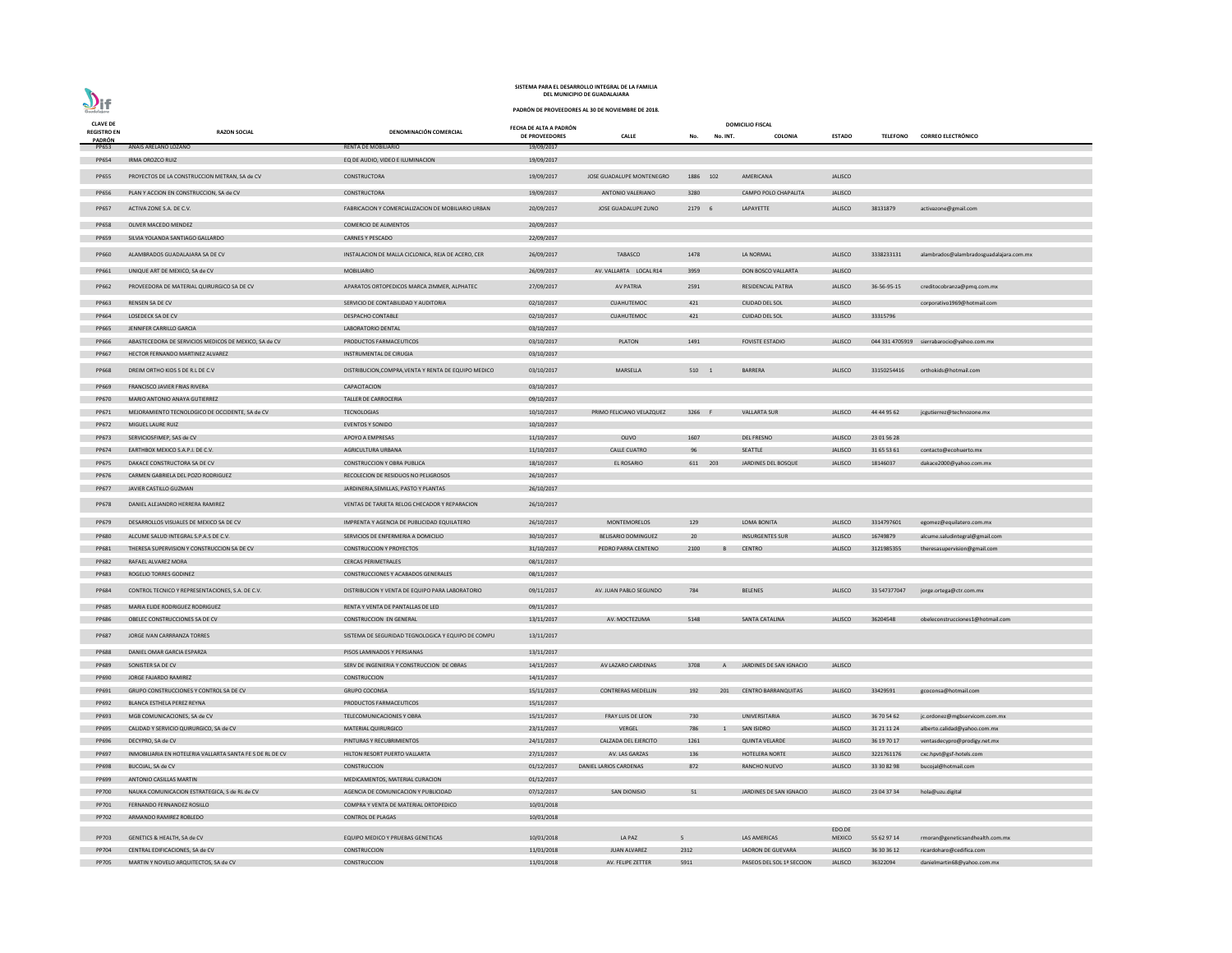# $\sum_{\text{Goodalajara}}$

### **SISTEMA PARA EL DESARROLLO INTEGRAL DE LA FAMILIA DEL MUNICIPIO DE GUADALAJARA**

| <b>CLAVE DE</b>              |                                                                                     |                                                                                      | FECHA DE ALTA A PADRÓN   |                           |                |                | <b>DOMICILIO FISCAL</b>    |                |                 |                                            |
|------------------------------|-------------------------------------------------------------------------------------|--------------------------------------------------------------------------------------|--------------------------|---------------------------|----------------|----------------|----------------------------|----------------|-----------------|--------------------------------------------|
| <b>REGISTRO EN</b><br>PADRÓN | <b>RAZON SOCIAL</b>                                                                 | DENOMINACIÓN COMERCIAL                                                               | <b>DE PROVEEDORES</b>    | <b>CALLE</b>              | No.            | No. INT.       | COLONIA                    | <b>ESTADO</b>  | <b>TELEFONO</b> | <b>CORREO ELECTRÓNICO</b>                  |
| PP653                        | ANAIS ARELANO LOZANO                                                                | <b>RENTA DE MOBILIARIO</b>                                                           | 19/09/2017               |                           |                |                |                            |                |                 |                                            |
| PP654                        | <b>IRMA OROZCO RUIZ</b>                                                             | EQ DE AUDIO, VIDEO E ILUMINACION                                                     | 19/09/2017               |                           |                |                |                            |                |                 |                                            |
| <b>PP655</b>                 | PROYECTOS DE LA CONSTRUCCION METRAN, SA de CV                                       | CONSTRUCTORA                                                                         | 19/09/2017               | JOSE GUADALUPE MONTENEGRO | 1886 102       |                | AMERICANA                  | <b>JALISCO</b> |                 |                                            |
|                              |                                                                                     |                                                                                      |                          |                           |                |                |                            |                |                 |                                            |
| <b>PP656</b>                 | PLAN Y ACCION EN CONSTRUCCION, SA de CV                                             | CONSTRUCTORA                                                                         | 19/09/2017               | ANTONIO VALERIANO         | 3280           |                | CAMPO POLO CHAPALITA       | <b>JALISCO</b> |                 |                                            |
| PP657                        | ACTIVA ZONE S.A. DE C.V.                                                            | FABRICACION Y COMERCIALIZACION DE MOBILIARIO URBAN                                   | 20/09/2017               | JOSE GUADALUPE ZUNO       | 2179 6         |                | LAPAYETTE                  | <b>JALISCO</b> | 38131879        | activazone@gmail.com                       |
| <b>PP658</b>                 | <b>OLIVER MACEDO MENDEZ</b>                                                         | <b>COMERCIO DE ALIMENTOS</b>                                                         | 20/09/2017               |                           |                |                |                            |                |                 |                                            |
| PP659                        | SILVIA YOLANDA SANTIAGO GALLARDO                                                    | <b>CARNES Y PESCADO</b>                                                              | 22/09/2017               |                           |                |                |                            |                |                 |                                            |
| PP660                        | ALAMBRADOS GUADALAJARA SA DE CV                                                     | INSTALACION DE MALLA CICLONICA, REJA DE ACERO, CER                                   | 26/09/2017               | TABASCO                   | 1478           |                | LA NORMAL                  | <b>JALISCO</b> | 3338233131      | alambrados@alambradosguadalajara.com.mx    |
| PP661                        | UNIQUE ART DE MEXICO, SA de CV                                                      | <b>MOBILIARIO</b>                                                                    | 26/09/2017               | AV. VALLARTA LOCAL R14    | 3959           |                | DON BOSCO VALLARTA         | <b>JALISCO</b> |                 |                                            |
| PP662                        | PROVEEDORA DE MATERIAL QUIRURGICO SA DE CV                                          | APARATOS ORTOPEDICOS MARCA ZIMMER, ALPHATEC                                          | 27/09/2017               | <b>AV PATRIA</b>          | 2591           |                | <b>RESIDENCIAL PATRIA</b>  | <b>JALISCO</b> | 36-56-95-15     | creditocobranza@pmq.com.mx                 |
| PP663                        | RENSEN SA DE CV                                                                     | SERVICIO DE CONTABILIDAD Y AUDITORIA                                                 | 02/10/2017               | CUAHUTEMOC                | 421            |                | CIUDAD DEL SOL             | JALISCO        |                 | corporativo1969@hotmail.com                |
| PP664                        | LOSEDECK SA DE CV                                                                   | <b>DESPACHO CONTABLE</b>                                                             | 02/10/2017               | CUAHUTEMOC                | 421            |                | <b>CUIDAD DEL SOL</b>      | <b>JALISCO</b> | 33315796        |                                            |
| <b>PP665</b>                 | JENNIFER CARRILLO GARCIA                                                            | LABORATORIO DENTAL                                                                   | 03/10/2017               |                           |                |                |                            |                |                 |                                            |
| PP666                        | ABASTECEDORA DE SERVICIOS MEDICOS DE MEXICO, SA de CV                               | PRODUCTOS FARMACEUTICOS                                                              | 03/10/2017               | <b>PLATON</b>             | 1491           |                | <b>FOVISTE ESTADIO</b>     | <b>JALISCO</b> |                 | 044 331 4705919 sierrabarocio@yahoo.com.mx |
| PP667                        | HECTOR FERNANDO MARTINEZ ALVAREZ                                                    | INSTRUMENTAL DE CIRUGIA                                                              | 03/10/2017               |                           |                |                |                            |                |                 |                                            |
| <b>PP668</b>                 | DREIM ORTHO KIDS S DE R.L DE C.V                                                    | DISTRIBUCION, COMPRA, VENTA Y RENTA DE EQUIPO MEDICO                                 | 03/10/2017               | MARSELLA                  | 510 1          |                | <b>BARRERA</b>             | <b>JALISCO</b> | 33150254416     | orthokids@hotmail.com                      |
| PP669                        | FRANCISCO JAVIER FRIAS RIVERA                                                       | CAPACITACION                                                                         | 03/10/2017               |                           |                |                |                            |                |                 |                                            |
|                              |                                                                                     |                                                                                      |                          |                           |                |                |                            |                |                 |                                            |
| PP670                        | MARIO ANTONIO ANAYA GUTIERREZ                                                       | TALLER DE CARROCERIA                                                                 | 09/10/2017               |                           |                |                |                            |                |                 |                                            |
| PP671                        | MEJORAMIENTO TECNOLOGICO DE OCCIDENTE, SA de CV                                     | <b>TECNOLOGIAS</b>                                                                   | 10/10/2017               | PRIMO FELICIANO VELAZQUEZ | 3266 F         |                | <b>VALLARTA SUR</b>        | <b>JALISCO</b> | 44 44 95 62     | jcgutierrez@technozone.mx                  |
| PP672                        | MIGUEL LAURE RUIZ                                                                   | <b>EVENTOS Y SONIDO</b>                                                              | 10/10/2017               |                           |                |                |                            |                |                 |                                            |
| PP673                        | SERVICIOSFIMEP, SAS de CV                                                           | APOYO A EMPRESAS                                                                     | 11/10/2017               | OLIVO                     | 1607           |                | <b>DEL FRESNO</b>          | <b>JALISCO</b> | 23 01 56 28     |                                            |
| PP674                        | EARTHBOX MEXICO S.A.P.I. DE C.V.                                                    | AGRICULTURA URBANA                                                                   | 11/10/2017               | <b>CALLE CUATRO</b>       | 96             |                | SEATTLE                    | <b>JALISCO</b> | 31 65 53 61     | contacto@ecohuerto.mx                      |
| <b>PP675</b>                 | DAKACE CONSTRUCTORA SA DE CV                                                        | CONSTRUCCION Y OBRA PUBLICA                                                          | 18/10/2017               | EL ROSARIO                | 611 203        |                | JARDINES DEL BOSQUE        | <b>JALISCO</b> | 18146037        | dakace2000@yahoo.com.mx                    |
| PP676                        | CARMEN GABRIELA DEL POZO RODRIGUEZ                                                  | RECOLECION DE RESIDUOS NO PELIGROSOS                                                 | 26/10/2017               |                           |                |                |                            |                |                 |                                            |
| PP677                        | JAVIER CASTILLO GUZMAN                                                              | JARDINERIA, SEMILLAS, PASTO Y PLANTAS                                                | 26/10/2017               |                           |                |                |                            |                |                 |                                            |
|                              | PP678 DANIEL ALEJANDRO HERRERA RAMIREZ                                              | VENTAS DE TARJETA RELOG CHECADOR Y REPARACION                                        | 26/10/2017               |                           |                |                |                            |                |                 |                                            |
| PP679                        | DESARROLLOS VISUALES DE MEXICO SA DE CV                                             | IMPRENTA Y AGENCIA DE PUBLICIDAD EQUILATERO                                          | 26/10/2017               | MONTEMORELOS              | 129            |                | LOMA BONITA                | <b>JALISCO</b> | 3314797601      | egomez@equilatero.com.mx                   |
| <b>PP680</b>                 | ALCUME SALUD INTEGRAL S.P.A.S DE C.V.                                               | SERVICIOS DE ENFERMERIA A DOMICILIO                                                  | 30/10/2017               | BELISARIO DOMINGUEZ       | 20             |                | <b>INSURGENTES SUR</b>     | <b>JALISCO</b> | 16749879        | alcume.saludintegral@gmail.com             |
| PP681                        | THERESA SUPERVISION Y CONSTRUCCION SA DE CV                                         | <b>CONSTRUCCION Y PROYECTOS</b>                                                      | 31/10/2017               | PEDRO PARRA CENTENO       | 2100           | B              | <b>CENTRO</b>              | <b>JALISCO</b> | 3121985355      | theresasupervision@gmail.com               |
| PP682                        | RAFAEL ALVAREZ MORA                                                                 | <b>CERCAS PERIMETRALES</b>                                                           | 08/11/2017               |                           |                |                |                            |                |                 |                                            |
| PP683                        | ROGELIO TORRES GODINEZ                                                              | CONSTRUCCIONES Y ACABADOS GENERALES                                                  | 08/11/2017               |                           |                |                |                            |                |                 |                                            |
|                              |                                                                                     |                                                                                      |                          |                           |                |                |                            |                |                 |                                            |
| PP684                        | CONTROL TECNICO Y REPRESENTACIONES, S.A. DE C.V.<br>MARIA ELIDE RODRIGUEZ RODRIGUEZ | DISTRIBUCION Y VENTA DE EQUIPO PARA LABORATORIO<br>RENTA Y VENTA DE PANTALLAS DE LED | 09/11/2017<br>09/11/2017 | AV. JUAN PABLO SEGUNDO    | 784            |                | <b>BELENES</b>             | <b>JALISCO</b> | 33 547377047    | jorge.ortega@ctr.com.mx                    |
| <b>PP685</b>                 |                                                                                     |                                                                                      |                          |                           |                |                |                            |                |                 |                                            |
| <b>PP686</b>                 | OBELEC CONSTRUCCIONES SA DE CV                                                      | <b>CONSTRUCCION EN GENERAL</b>                                                       | 13/11/2017               | AV. MOCTEZUMA             | 5148           |                | <b>SANTA CATALINA</b>      | <b>JALISCO</b> | 36204548        | obeleconstrucciones1@hotmail.com           |
| <b>PP687</b>                 | JORGE IVAN CARRRANZA TORRES                                                         | SISTEMA DE SEGURIDAD TEGNOLOGICA Y EQUIPO DE COMPU                                   | 13/11/2017               |                           |                |                |                            |                |                 |                                            |
| <b>PP688</b>                 | DANIEL OMAR GARCIA ESPARZA                                                          | PISOS LAMINADOS Y PERSIANAS                                                          | 13/11/2017               |                           |                |                |                            |                |                 |                                            |
| PP689                        | SONISTER SA DE CV                                                                   | SERV DE INGENIERIA Y CONSTRUCCION DE OBRAS                                           | 14/11/2017               | AV LAZARO CARDENAS        | 3708           | $\mathsf{A}$   | JARDINES DE SAN IGNACIO    | <b>JALISCO</b> |                 |                                            |
| PP690                        | JORGE FAJARDO RAMIREZ                                                               | <b>CONSTRUCCION</b>                                                                  | 14/11/2017               |                           |                |                |                            |                |                 |                                            |
| PP691                        | GRUPO CONSTRUCCIONES Y CONTROL SA DE CV                                             | <b>GRUPO COCONSA</b>                                                                 | 15/11/2017               | <b>CONTRERAS MEDELLIN</b> | 192            | 201            | <b>CENTRO BARRANQUITAS</b> | <b>JALISCO</b> | 33429591        | gcoconsa@hotmail.com                       |
| PP692                        | BLANCA ESTHELA PEREZ REYNA                                                          | PRODUCTOS FARMACEUTICOS                                                              | 15/11/2017               |                           |                |                |                            |                |                 |                                            |
| PP693                        | MGB COMUNICACIONES, SA de CV                                                        | TELECOMUNICACIONES Y OBRA                                                            | 15/11/2017               | FRAY LUIS DE LEON         | 730            |                | UNIVERSITARIA              | <b>JALISCO</b> | 36 70 54 62     | jc.ordonez@mgbservicom.com.mx              |
| <b>PP695</b>                 | CALIDAD Y SERVICIO QUIRURGICO, SA de CV                                             | MATERIAL QUIRURGICO                                                                  | 23/11/2017               | VERGEL                    | 786            | $\overline{1}$ | SAN ISIDRO                 | <b>JALISCO</b> | 31 21 11 24     | alberto.calidad@yahoo.com.mx               |
| PP696                        | DECYPRO, SA de CV                                                                   | PINTURAS Y RECUBRIMIENTOS                                                            | 24/11/2017               | CALZADA DEL EJERCITO      | 1261           |                | <b>QUINTA VELARDE</b>      | <b>JALISCO</b> | 36 19 70 17     | ventasdecypro@prodigy.net.mx               |
| PP697                        | INMOBILIARIA EN HOTELERIA VALLARTA SANTA FE S DE RL DE CV                           | HILTON RESORT PUERTO VALLARTA                                                        | 27/11/2017               | AV. LAS GARZAS            | 136            |                | <b>HOTELERA NORTE</b>      | <b>JALISCO</b> | 3221761176      | cxc.hpvt@gsf-hotels.com                    |
| PP698                        | BUCOJAL, SA de CV                                                                   | <b>CONSTRUCCION</b>                                                                  | 01/12/2017               | DANIEL LARIOS CARDENAS    | 872            |                | RANCHO NUEVO               | <b>JALISCO</b> | 33 30 82 98     | bucojal@hotmail.com                        |
| PP699                        | ANTONIO CASILLAS MARTIN                                                             | MEDICAMENTOS, MATERIAL CURACION                                                      | 01/12/2017               |                           |                |                |                            |                |                 |                                            |
| <b>PP700</b>                 | NAUKA COMUNICACION ESTRATEGICA, S de RL de CV                                       | AGENCIA DE COMUNICACION Y PUBLICIDAD                                                 | 07/12/2017               | <b>SAN DIONISIO</b>       | 51             |                | JARDINES DE SAN IGNACIO    | <b>JALISCO</b> | 23 04 37 34     | hola@uzu.digital                           |
| PP701                        | FERNANDO FERNANDEZ ROSILLO                                                          | COMPRA Y VENTA DE MATERIAL ORTOPEDICO                                                | 10/01/2018               |                           |                |                |                            |                |                 |                                            |
| PP702                        | ARMANDO RAMIREZ ROBLEDO                                                             | <b>CONTROL DE PLAGAS</b>                                                             | 10/01/2018               |                           |                |                |                            |                |                 |                                            |
|                              |                                                                                     |                                                                                      |                          |                           |                |                |                            | EDO.DE         |                 |                                            |
| PP703                        | GENETICS & HEALTH, SA de CV                                                         | EQUIPO MEDICO Y PRUEBAS GENETICAS                                                    | 10/01/2018               | LA PAZ                    | 5 <sup>5</sup> |                | <b>LAS AMERICAS</b>        | <b>MEXICO</b>  | 55 62 97 14     | rmoran@geneticsandhealth.com.mx            |
| PP704                        | CENTRAL EDIFICACIONES, SA de CV                                                     | <b>CONSTRUCCION</b>                                                                  | 11/01/2018               | <b>JUAN ALVAREZ</b>       | 2312           |                | LADRON DE GUEVARA          | <b>JALISCO</b> | 36 30 36 12     | ricardoharo@cedifica.com                   |
| <b>PP705</b>                 | MARTIN Y NOVELO ARQUITECTOS, SA de CV                                               | <b>CONSTRUCCION</b>                                                                  | 11/01/2018               | AV. FELIPE ZETTER         | 5911           |                | PASEOS DEL SOL 1ª SECCION  | <b>JALISCO</b> | 36322094        | danielmartin68@yahoo.com.mx                |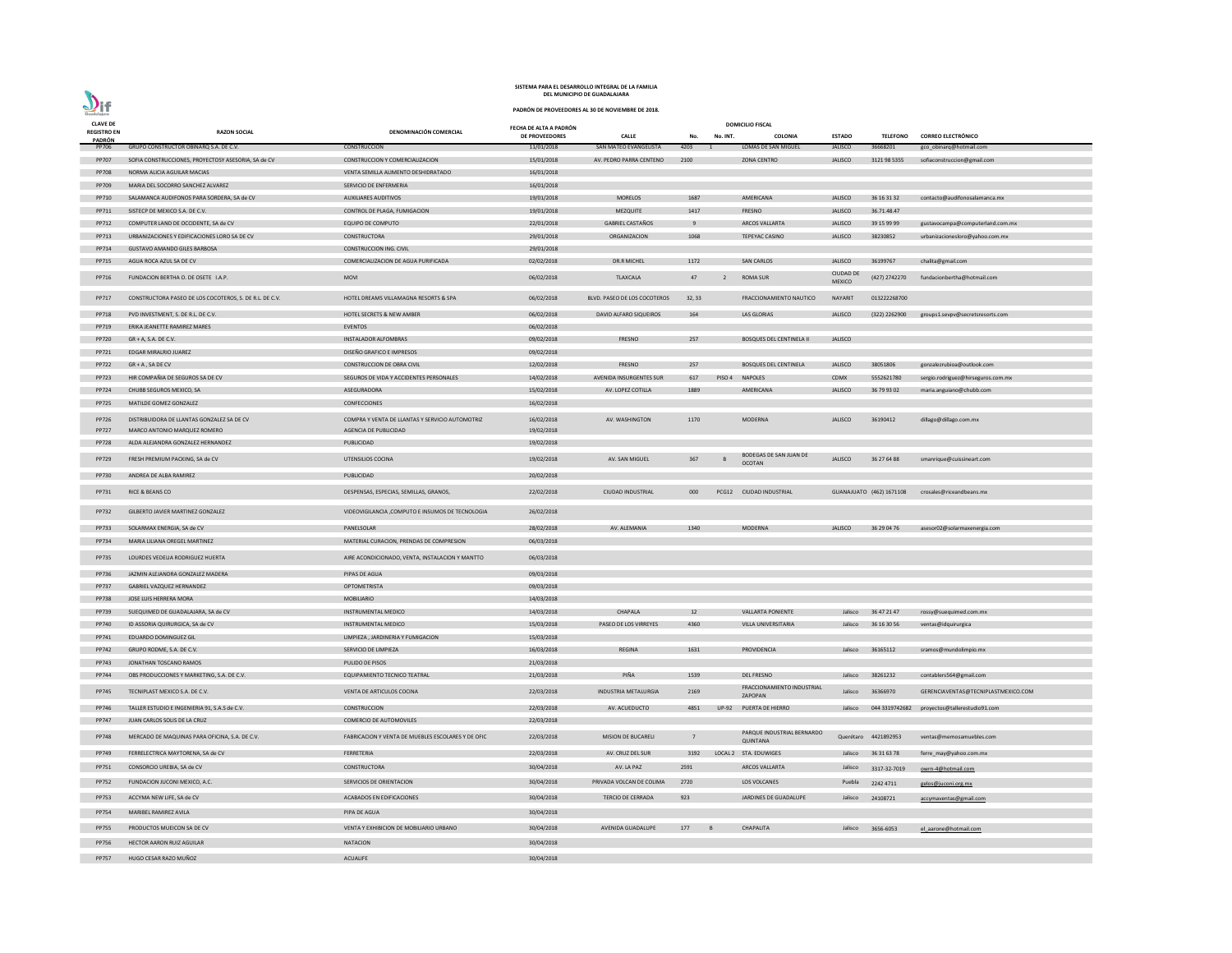| <b>CLAVE DE</b>                     |                                                         |                                                    | FECHA DE ALTA A PADRÓN |                                |                 |                | <b>DOMICILIO FISCAL</b>                 |                                    |                          |                                                 |
|-------------------------------------|---------------------------------------------------------|----------------------------------------------------|------------------------|--------------------------------|-----------------|----------------|-----------------------------------------|------------------------------------|--------------------------|-------------------------------------------------|
| <b>REGISTRO EN</b><br><b>PADRÓN</b> | <b>RAZON SOCIAL</b>                                     | DENOMINACIÓN COMERCIAL                             | <b>DE PROVEEDORES</b>  | <b>CALLE</b>                   | No.             | No. INT.       | <b>COLONIA</b>                          | <b>ESTADO</b>                      | <b>TELEFONO</b>          | <b>CORREO ELECTRÓNICO</b>                       |
| PP706                               | GRUPO CONSTRUCTOR OBINARQ S.A. DE C.V.                  | CONSTRUCCION                                       | 11/01/2018             | SAN MATEO EVANGELISTA          | 4203            |                | LOMAS DE SAN MIGUEL                     | <b>JALISCO</b>                     | 36668201                 | gco_obinarq@hotmail.com                         |
| PP707                               | SOFIA CONSTRUCCIONES, PROYECTOSY ASESORIA, SA de CV     | CONSTRUCCION Y COMERCIALIZACION                    | 15/01/2018             | AV. PEDRO PARRA CENTENO        | 2100            |                | <b>ZONA CENTRO</b>                      | <b>JALISCO</b>                     | 3121 98 5355             | sofiaconstruccion@gmail.com                     |
| <b>PP708</b>                        | NORMA ALICIA AGUILAR MACIAS                             | VENTA SEMILLA ALIMENTO DESHIDRATADO                | 16/01/2018             |                                |                 |                |                                         |                                    |                          |                                                 |
| PP709                               | MARIA DEL SOCORRO SANCHEZ ALVAREZ                       | SERVICIO DE ENFERMERIA                             | 16/01/2018             |                                |                 |                |                                         |                                    |                          |                                                 |
| PP710                               | SALAMANCA AUDIFONOS PARA SORDERA, SA de CV              | <b>AUXILIARES AUDITIVOS</b>                        | 19/01/2018             | <b>MORELOS</b>                 | 1687            |                | AMERICANA                               | <b>JALISCO</b>                     | 36 16 31 32              | contacto@audifonosalamanca.mx                   |
| PP711                               | SISTECP DE MEXICO S.A. DE C.V.                          | CONTROL DE PLAGA, FUMIGACION                       | 19/01/2018             | <b>MEZQUITE</b>                | 1417            |                | FRESNO                                  | <b>JALISCO</b>                     | 36.71.48.47              |                                                 |
| PP712                               | COMPUTER LAND DE OCCIDENTE, SA de CV                    | <b>EQUIPO DE COMPUTO</b>                           | 22/01/2018             | <b>GABRIEL CASTAÑOS</b>        | -9              |                | <b>ARCOS VALLARTA</b>                   | <b>JALISCO</b>                     | 39 15 99 99              | gustavocampa@computerland.com.mx                |
| PP713                               | URBANIZACIONES Y EDIFICACIONES LORO SA DE CV            | CONSTRUCTORA                                       | 29/01/2018             | ORGANIZACION                   | 1068            |                | <b>TEPEYAC CASINO</b>                   | <b>JALISCO</b>                     | 38230852                 | urbanizacionesloro@yahoo.com.mx                 |
| PP714                               | GUSTAVO AMANDO GILES BARBOSA                            | <b>CONSTRUCCION ING. CIVIL</b>                     | 29/01/2018             |                                |                 |                |                                         |                                    |                          |                                                 |
| PP715                               | AGUA ROCA AZUL SA DE CV                                 | COMERCIALIZACION DE AGUA PURIFICADA                | 02/02/2018             | <b>DR.R MICHEL</b>             | 1172            |                | <b>SAN CARLOS</b>                       | <b>JALISCO</b><br><b>CIUDAD DE</b> | 36199767                 | chalita@gmail.com                               |
| PP716                               | FUNDACION BERTHA O. DE OSETE I.A.P.                     | <b>MOVI</b>                                        | 06/02/2018             | <b>TLAXCALA</b>                | 47              | $\overline{2}$ | <b>ROMA SUR</b>                         | <b>MEXICO</b>                      | (427) 2742270            | fundacionbertha@hotmail.com                     |
| PP717                               | CONSTRUCTORA PASEO DE LOS COCOTEROS, S. DE R.L. DE C.V. | HOTEL DREAMS VILLAMAGNA RESORTS & SPA              | 06/02/2018             | BLVD. PASEO DE LOS COCOTEROS   | 32, 33          |                | <b>FRACCIONAMIENTO NAUTICO</b>          | <b>NAYARIT</b>                     | 013222268700             |                                                 |
| PP718                               | PVD INVESTMENT, S. DE R.L. DE C.V.                      | <b>HOTEL SECRETS &amp; NEW AMBER</b>               | 06/02/2018             | DAVID ALFARO SIQUEIROS         | 164             |                | LAS GLORIAS                             | <b>JALISCO</b>                     | (322) 2262900            | groups1.sevpv@secretsresorts.com                |
| PP719                               | ERIKA JEANETTE RAMIREZ MARES                            | EVENTOS                                            | 06/02/2018             |                                |                 |                |                                         |                                    |                          |                                                 |
| <b>PP720</b>                        | GR + A, S.A. DE C.V.                                    | <b>INSTALADOR ALFOMBRAS</b>                        | 09/02/2018             | FRESNO                         | 257             |                | <b>BOSQUES DEL CENTINELA II</b>         | <b>JALISCO</b>                     |                          |                                                 |
| PP721                               | <b>EDGAR MIRALRIO JUAREZ</b>                            | DISEÑO GRAFICO E IMPRESOS                          | 09/02/2018             |                                |                 |                |                                         |                                    |                          |                                                 |
| PP722                               | $GR + A$ , SA DE CV                                     | CONSTRUCCION DE OBRA CIVIL                         | 12/02/2018             | FRESNO                         | 257             |                | <b>BOSQUES DEL CENTINELA</b>            | <b>JALISCO</b>                     | 38051806                 | gonzalezrubioa@outlook.com                      |
| PP723                               | HIR COMPAÑIA DE SEGUROS SA DE CV                        | SEGUROS DE VIDA Y ACCIDENTES PERSONALES            | 14/02/2018             | <b>AVENIDA INSURGENTES SUR</b> | 617             | PISO 4         | <b>NAPOLES</b>                          | <b>CDMX</b>                        | 5552621780               | sergio.rodriguez@hirseguros.com.mx              |
| PP724                               | CHUBB SEGUROS MEXICO, SA                                | ASEGURADORA                                        | 15/02/2018             | AV. LOPEZ COTILLA              | 1889            |                | AMERICANA                               | <b>JALISCO</b>                     | 36 79 93 02              | maria.anguiano@chubb.com                        |
| <b>PP725</b>                        | MATILDE GOMEZ GONZALEZ                                  | CONFECCIONES                                       | 16/02/2018             |                                |                 |                |                                         |                                    |                          |                                                 |
| <b>PP726</b>                        | DISTRIBUIDORA DE LLANTAS GONZALEZ SA DE CV              | COMPRA Y VENTA DE LLANTAS Y SERVICIO AUTOMOTRIZ    | 16/02/2018             | AV. WASHINGTON                 | 1170            |                | <b>MODERNA</b>                          | <b>JALISCO</b>                     | 36190412                 | dillago@dillago.com.mx                          |
| <b>PP727</b>                        | MARCO ANTONIO MARQUEZ ROMERO                            | AGENCIA DE PUBLICIDAD                              | 19/02/2018             |                                |                 |                |                                         |                                    |                          |                                                 |
| <b>PP728</b>                        | ALDA ALEJANDRA GONZALEZ HERNANDEZ                       | PUBLICIDAD                                         | 19/02/2018             |                                |                 |                |                                         |                                    |                          |                                                 |
| PP729                               | FRESH PREMIUM PACKING, SA de CV                         | UTENSILIOS COCINA                                  | 19/02/2018             | AV. SAN MIGUEL                 | 367             |                | BODEGAS DE SAN JUAN DE<br><b>OCOTAN</b> | <b>JALISCO</b>                     | 36 27 64 88              | smanrique@cuissineart.com                       |
| PP730                               | ANDREA DE ALBA RAMIREZ                                  | PUBLICIDAD                                         | 20/02/2018             |                                |                 |                |                                         |                                    |                          |                                                 |
| PP731                               | RICE & BEANS CO                                         | DESPENSAS, ESPECIAS, SEMILLAS, GRANOS,             | 22/02/2018             | <b>CIUDAD INDUSTRIAL</b>       | 000             |                | PCG12 CIUDAD INDUSTRIAL                 |                                    | GUANAJUATO (462) 1671108 | crosales@riceandbeans.mx                        |
| PP732                               | GILBERTO JAVIER MARTINEZ GONZALEZ                       | VIDEOVIGILANCIA, COMPUTO E INSUMOS DE TECNOLOGIA   | 26/02/2018             |                                |                 |                |                                         |                                    |                          |                                                 |
| PP733                               | SOLARMAX ENERGIA, SA de CV                              | PANELSOLAR                                         | 28/02/2018             | AV. ALEMANIA                   | 1340            |                | <b>MODERNA</b>                          | <b>JALISCO</b>                     | 36 29 04 76              | asesor02@solarmaxenergia.com                    |
| PP734                               | MARIA LILIANA OREGEL MARTINEZ                           | MATERIAL CURACION, PRENDAS DE COMPRESION           | 06/03/2018             |                                |                 |                |                                         |                                    |                          |                                                 |
| <b>PP735</b>                        | LOURDES VEDELIA RODRIGUEZ HUERTA                        | AIRE ACONDICIONADO, VENTA, INSTALACION Y MANTTO    | 06/03/2018             |                                |                 |                |                                         |                                    |                          |                                                 |
| PP736                               | JAZMIN ALEJANDRA GONZALEZ MADERA                        | PIPAS DE AGUA                                      | 09/03/2018             |                                |                 |                |                                         |                                    |                          |                                                 |
| PP737                               | GABRIEL VAZQUEZ HERNANDEZ                               | OPTOMETRISTA                                       | 09/03/2018             |                                |                 |                |                                         |                                    |                          |                                                 |
| <b>PP738</b>                        | JOSE LUIS HERRERA MORA                                  | <b>MOBILIARIO</b>                                  | 14/03/2018             |                                |                 |                |                                         |                                    |                          |                                                 |
| PP739                               | SUEQUIMED DE GUADALAJARA, SA de CV                      | INSTRUMENTAL MEDICO                                | 14/03/2018             | CHAPALA                        | 12              |                | <b>VALLARTA PONIENTE</b>                | Jalisco                            | 36 47 21 47              | rossy@suequimed.com.mx                          |
| PP740                               | ID ASSORIA QUIRURGICA, SA de CV                         | INSTRUMENTAL MEDICO                                | 15/03/2018             | PASEO DE LOS VIRREYES          | 4360            |                | VILLA UNIVERSITARIA                     |                                    | Jalisco 36 16 30 56      | ventas@idquirurgica                             |
| PP741                               | EDUARDO DOMINGUEZ GIL                                   | LIMPIEZA, JARDINERIA Y FUMIGACION                  | 15/03/2018             |                                |                 |                |                                         |                                    |                          |                                                 |
| PP742                               | GRUPO RODME, S.A. DE C.V.                               | SERVICIO DE LIMPIEZA                               | 16/03/2018             | <b>REGINA</b>                  | 1631            |                | PROVIDENCIA                             | Jalisco                            | 36165112                 | sramos@mundolimpio.mx                           |
| PP743                               | JONATHAN TOSCANO RAMOS                                  | PULIDO DE PISOS                                    | 21/03/2018             |                                |                 |                |                                         |                                    |                          |                                                 |
| PP744                               | OBS PRODUCCIONES Y MARKETING, S.A. DE C.V.              | EQUIPAMIENTO TECNICO TEATRAL                       | 21/03/2018             | PIÑA                           | 1539            |                | DEL FRESNO                              | Jalisco                            | 38261232                 | contablers564@gmail.com                         |
| PP745                               | TECNIPLAST MEXICO S.A. DE C.V.                          | VENTA DE ARTICULOS COCINA                          | 22/03/2018             | INDUSTRIA METALURGIA           | 2169            |                | FRACCIONAMIENTO INDUSTRIAL<br>ZAPOPAN   | Jalisco                            | 36366970                 | GERENCIAVENTAS@TECNIPLASTMEXICO.COM             |
| PP746                               | TALLER ESTUDIO E INGENIERIA 91, S.A.S de C.V.           | CONSTRUCCION                                       | 22/03/2018             | AV. ACUEDUCTO                  | 4851            |                | UP-92 PUERTA DE HIERRO                  | Jalisco                            |                          | 044 3319742682    proyectos@tallerestudio91.com |
| PP747                               | JUAN CARLOS SOLIS DE LA CRUZ                            | COMERCIO DE AUTOMOVILES                            | 22/03/2018             |                                |                 |                |                                         |                                    |                          |                                                 |
| PP748                               | MERCADO DE MAQUINAS PARA OFICINA, S.A. DE C.V.          | FABRICACION Y VENTA DE MUEBLES ESCOLARES Y DE OFIC | 22/03/2018             | MISION DE BUCARELI             | $7\overline{ }$ |                | PARQUE INDUSTRIAL BERNARDO<br>QUINTANA  |                                    | Querétaro 4421892953     | ventas@memosamuebles.com                        |
| PP749                               | FERRELECTRICA MAYTORENA, SA de CV                       | FERRETERIA                                         | 22/03/2018             | AV. CRUZ DEL SUR               | 3192            |                | LOCAL 2 STA. EDUWIGES                   | Jalisco                            | 36 31 63 78              | ferre_may@yahoo.com.mx                          |
| PP751                               | CONSORCIO UREBIA, SA de CV                              | CONSTRUCTORA                                       | 30/04/2018             | AV. LA PAZ                     | 2591            |                | ARCOS VALLARTA                          | Jalisco                            | 3317-32-7019             | owrn-4@hotmail.com                              |
| <b>PP752</b>                        | FUNDACION JUCONI MEXICO, A.C.                           | SERVICIOS DE ORIENTACION                           | 30/04/2018             | PRIVADA VOLCAN DE COLIMA       | 2720            |                | LOS VOLCANES                            | Puebla                             | 2242 4711                | gelos@juconi.org.mx                             |
| PP753                               | ACCYMA NEW LIFE, SA de CV                               | ACABADOS EN EDIFICACIONES                          | 30/04/2018             | <b>TERCIO DE CERRADA</b>       | 923             |                | JARDINES DE GUADALUPE                   | Jalisco                            | 24108721                 | accymaventas@gmail.com                          |
| PP754                               | MARIBEL RAMIREZ AVILA                                   | PIPA DE AGUA                                       | 30/04/2018             |                                |                 |                |                                         |                                    |                          |                                                 |
| <b>PP755</b>                        | PRODUCTOS MUEICON SA DE CV                              | VENTA Y EXHIBICION DE MOBILIARIO URBANO            | 30/04/2018             | AVENIDA GUADALUPE              | 177             | $\overline{B}$ | CHAPALITA                               | Jalisco                            | 3656-6053                | el aarone@hotmail.com                           |
| <b>PP756</b>                        | HECTOR AARON RUIZ AGUILAR                               | <b>NATACION</b>                                    | 30/04/2018             |                                |                 |                |                                         |                                    |                          |                                                 |
|                                     |                                                         | <b>ACUALIFE</b>                                    | 30/04/2018             |                                |                 |                |                                         |                                    |                          |                                                 |
| <b>PP757</b>                        | HUGO CESAR RAZO MUÑOZ                                   |                                                    |                        |                                |                 |                |                                         |                                    |                          |                                                 |

**PADRÓN DE PROVEEDORES AL 30 DE NOVIEMBRE DE 2018.**

 $\sum_{\text{Guedalajar}}$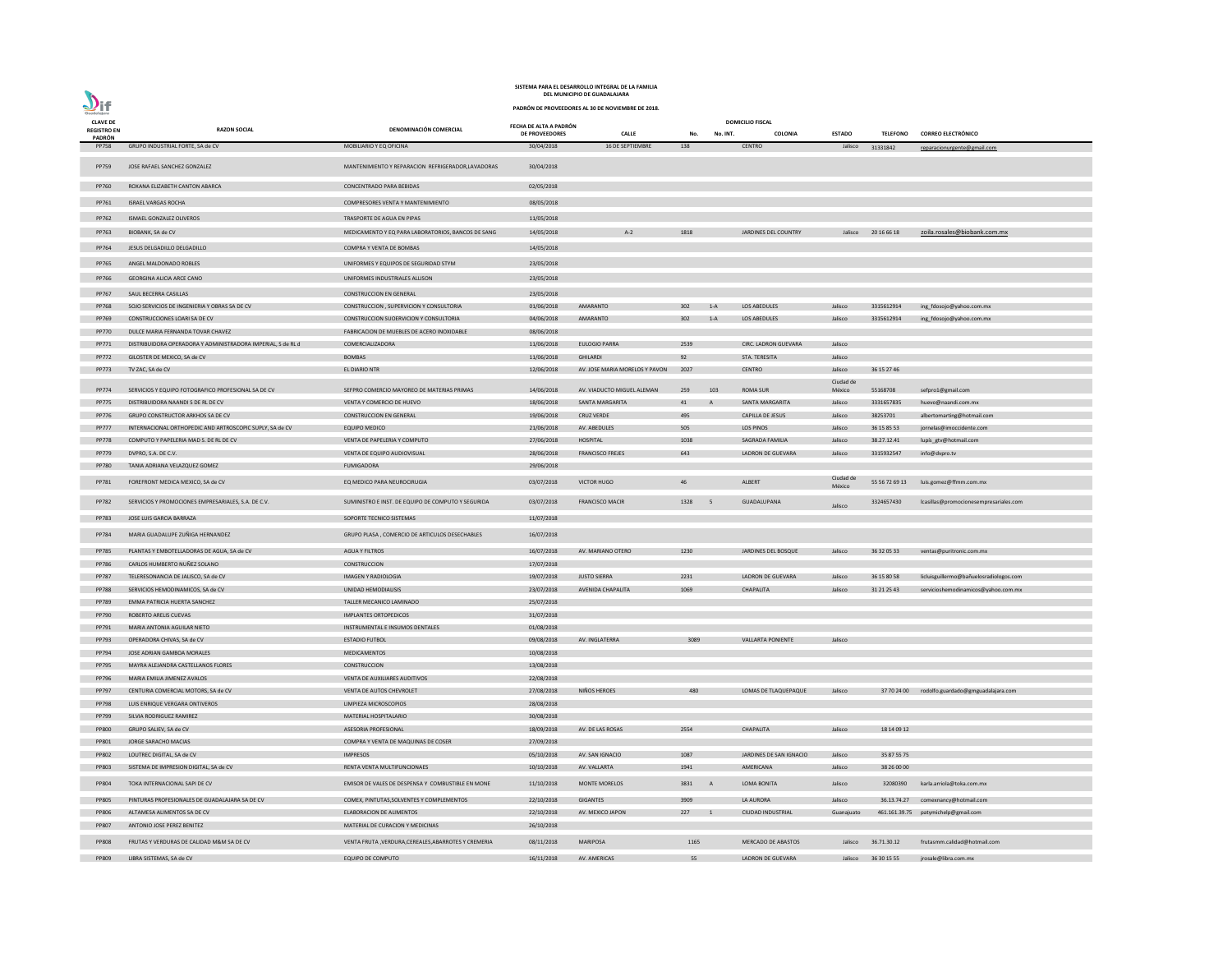| <b>CLAVE DE</b>                     |                                                              |                                                       | FECHA DE ALTA A PADRÓN |                                |        |              | <b>DOMICILIO FISCAL</b>   |                     |                 |                                                      |
|-------------------------------------|--------------------------------------------------------------|-------------------------------------------------------|------------------------|--------------------------------|--------|--------------|---------------------------|---------------------|-----------------|------------------------------------------------------|
| <b>REGISTRO EN</b><br><b>PADRÓN</b> | <b>RAZON SOCIAL</b>                                          | DENOMINACIÓN COMERCIAL                                | DE PROVEEDORES         | <b>CALLE</b>                   | No.    | No. INT.     | COLONIA                   | <b>ESTADO</b>       | <b>TELEFONO</b> | <b>CORREO ELECTRÓNICO</b>                            |
| <b>PP758</b>                        | GRUPO INDUSTRIAL FORTE, SA de CV                             | MOBILIARIO Y EQ OFICINA                               | 30/04/2018             | 16 DE SEPTIEMBRE               | 138    |              | <b>CENTRO</b>             | Jalisco             | 31331842        | reparacionurgente@gmail.com                          |
|                                     |                                                              |                                                       |                        |                                |        |              |                           |                     |                 |                                                      |
| PP759                               | JOSE RAFAEL SANCHEZ GONZALEZ                                 | MANTENIMIENTO Y REPARACION REFRIGERADOR, LAVADORAS    | 30/04/2018             |                                |        |              |                           |                     |                 |                                                      |
| <b>PP760</b>                        | ROXANA ELIZABETH CANTON ABARCA                               | <b>CONCENTRADO PARA BEBIDAS</b>                       | 02/05/2018             |                                |        |              |                           |                     |                 |                                                      |
|                                     |                                                              |                                                       |                        |                                |        |              |                           |                     |                 |                                                      |
| PP761                               | <b>ISRAEL VARGAS ROCHA</b>                                   | COMPRESORES VENTA Y MANTENIMIENTO                     | 08/05/2018             |                                |        |              |                           |                     |                 |                                                      |
| PP762                               | ISMAEL GONZALEZ OLIVEROS                                     | TRASPORTE DE AGUA EN PIPAS                            | 11/05/2018             |                                |        |              |                           |                     |                 |                                                      |
| PP763                               | BIOBANK, SA de CV                                            | MEDICAMENTO Y EQ PARA LABORATORIOS, BANCOS DE SANG    | 14/05/2018             | $A-2$                          | 1818   |              | JARDINES DEL COUNTRY      | Jalisco             | 20 16 66 18     | zoila.rosales@biobank.com.mx                         |
|                                     |                                                              |                                                       |                        |                                |        |              |                           |                     |                 |                                                      |
| PP764                               | JESUS DELGADILLO DELGADILLO                                  | COMPRA Y VENTA DE BOMBAS                              | 14/05/2018             |                                |        |              |                           |                     |                 |                                                      |
| PP765                               | ANGEL MALDONADO ROBLES                                       | UNIFORMES Y EQUIPOS DE SEGURIDAD STYM                 | 23/05/2018             |                                |        |              |                           |                     |                 |                                                      |
| PP766                               | <b>GEORGINA ALICIA ARCE CANO</b>                             | UNIFORMES INDUSTRIALES ALLISON                        | 23/05/2018             |                                |        |              |                           |                     |                 |                                                      |
| PP767                               | SAUL BECERRA CASILLAS                                        | <b>CONSTRUCCION EN GENERAL</b>                        | 23/05/2018             |                                |        |              |                           |                     |                 |                                                      |
| <b>PP768</b>                        | SOJO SERVICIOS DE INGENIERIA Y OBRAS SA DE CV                | CONSTRUCCION, SUPERVICION Y CONSULTORIA               | 01/06/2018             | AMARANTO                       | 302    | $1-A$        | LOS ABEDULES              | Jalisco             | 3315612914      | ing_fdosojo@yahoo.com.mx                             |
| PP769                               | CONSTRUCCIONES LOARI SA DE CV                                | CONSTRUCCION SUOERVICION Y CONSULTORIA                | 04/06/2018             | AMARANTO                       | 302    | $1-A$        | LOS ABEDULES              | Jalisco             | 3315612914      | ing_fdosojo@yahoo.com.mx                             |
| <b>PP770</b>                        | DULCE MARIA FERNANDA TOVAR CHAVEZ                            | FABRICACION DE MUEBLES DE ACERO INOXIDABLE            | 08/06/2018             |                                |        |              |                           |                     |                 |                                                      |
|                                     |                                                              | COMERCIALIZADORA                                      |                        |                                |        |              | CIRC. LADRON GUEVARA      |                     |                 |                                                      |
| PP771                               | DISTRIBUIDORA OPERADORA Y ADMINISTRADORA IMPERIAL, S de RL d |                                                       | 11/06/2018             | <b>EULOGIO PARRA</b>           | 2539   |              |                           | Jalisco             |                 |                                                      |
| PP772                               | GILOSTER DE MEXICO, SA de CV                                 | <b>BOMBAS</b>                                         | 11/06/2018             | <b>GHILARDI</b>                | 92     |              | STA. TERESITA             | Jalisco             |                 |                                                      |
| <b>PP773</b>                        | TV ZAC, SA de CV                                             | EL DIARIO NTR                                         | 12/06/2018             | AV. JOSE MARIA MORELOS Y PAVON | 2027   |              | <b>CENTRO</b>             | Jalisco             | 36 15 27 46     |                                                      |
| PP774                               | SERVICIOS Y EQUIPO FOTOGRAFICO PROFESIONAL SA DE CV          | SEFPRO COMERCIO MAYOREO DE MATERIAS PRIMAS            | 14/06/2018             | AV. VIADUCTO MIGUEL ALEMAN     | 259    | 103          | <b>ROMA SUR</b>           | Ciudad de<br>México | 55168708        | sefpro1@gmail.com                                    |
| <b>PP775</b>                        | DISTRIBUIDORA NAANDI S DE RL DE CV                           | VENTA Y COMERCIO DE HUEVO                             | 18/06/2018             | SANTA MARGARITA                | 41     | A            | SANTA MARGARITA           | Jalisco             | 3331657835      | huevo@naandi.com.mx                                  |
| <b>PP776</b>                        | GRUPO CONSTRUCTOR ARKHOS SA DE CV                            | <b>CONSTRUCCION EN GENERAL</b>                        | 19/06/2018             | <b>CRUZ VERDE</b>              | 495    |              | <b>CAPILLA DE JESUS</b>   | Jalisco             | 38253701        |                                                      |
|                                     |                                                              |                                                       |                        |                                |        |              |                           |                     |                 | albertomarting@hotmail.com                           |
| <b>PP777</b>                        | INTERNACIONAL ORTHOPEDIC AND ARTROSCOPIC SUPLY, SA de CV     | <b>EQUIPO MEDICO</b>                                  | 21/06/2018             | AV. ABEDULES                   | 505    |              | LOS PINOS                 | Jalisco             | 36 15 85 53     | jornelas@imoccidente.com                             |
| <b>PP778</b>                        | COMPUTO Y PAPELERIA MAD S. DE RL DE CV                       | VENTA DE PAPELERIA Y COMPUTO                          | 27/06/2018             | <b>HOSPITAL</b>                | 1038   |              | SAGRADA FAMILIA           | Jalisco             | 38.27.12.41     | lupís_gtv@hotmail.com                                |
| PP779                               | DVPRO, S.A. DE C.V.                                          | VENTA DE EQUIPO AUDIOVISUAL                           | 28/06/2018             | <b>FRANCISCO FREJES</b>        | 643    |              | LADRON DE GUEVARA         | Jalisco             | 3315932547      | info@dvpro.tv                                        |
| <b>PP780</b>                        | TANIA ADRIANA VELAZQUEZ GOMEZ                                | <b>FUMIGADORA</b>                                     | 29/06/2018             |                                |        |              |                           |                     |                 |                                                      |
| PP781                               | FOREFRONT MEDICA MEXICO, SA de CV                            | EQ MEDICO PARA NEUROCIRUGIA                           | 03/07/2018             | <b>VICTOR HUGO</b>             | 46     |              | ALBERT                    | Ciudad de<br>México |                 | 55 56 72 69 13 luis.gomez@ffmm.com.mx                |
|                                     |                                                              |                                                       |                        |                                |        |              |                           |                     |                 |                                                      |
|                                     | PP782 SERVICIOS Y PROMOCIONES EMPRESARIALES, S.A. DE C.V.    | SUMINISTRO E INST. DE EQUIPO DE COMPUTO Y SEGURIDA    |                        | 03/07/2018 FRANCISCO MACIR     | 1328 5 |              | GUADALUPANA               | Jalisco             |                 | 3324657430    lcasillas@promocionesempresariales.com |
| PP783                               | JOSE LUIS GARCIA BARRAZA                                     | SOPORTE TECNICO SISTEMAS                              | 11/07/2018             |                                |        |              |                           |                     |                 |                                                      |
| PP784                               | MARIA GUADALUPE ZUÑIGA HERNANDEZ                             | GRUPO PLASA, COMERCIO DE ARTICULOS DESECHABLES        | 16/07/2018             |                                |        |              |                           |                     |                 |                                                      |
|                                     |                                                              |                                                       |                        |                                |        |              |                           |                     |                 |                                                      |
| <b>PP785</b>                        | PLANTAS Y EMBOTELLADORAS DE AGUA, SA de CV                   | <b>AGUA Y FILTROS</b>                                 | 16/07/2018             | AV. MARIANO OTERO              | 1230   |              | JARDINES DEL BOSQUE       | Jalisco             | 36 32 05 33     | ventas@puritronic.com.mx                             |
| PP786                               | CARLOS HUMBERTO NUÑEZ SOLANO                                 | CONSTRUCCION                                          | 17/07/2018             |                                |        |              |                           |                     |                 |                                                      |
| <b>PP787</b>                        | TELERESONANCIA DE JALISCO, SA de CV                          | <b>IMAGEN Y RADIOLOGIA</b>                            | 19/07/2018             | <b>JUSTO SIERRA</b>            | 2231   |              | <b>LADRON DE GUEVARA</b>  | Jalisco             | 36 15 80 58     | licluisguillermo@bañuelosradiologos.com              |
| <b>PP788</b>                        | SERVICIOS HEMODINAMICOS, SA de CV                            | UNIDAD HEMODIALISIS                                   | 23/07/2018             | AVENIDA CHAPALITA              | 1069   |              | <b>CHAPALITA</b>          | Jalisco             | 31 21 25 43     | servicioshemodinamicos@yahoo.com.mx                  |
| PP789                               | EMMA PATRICIA HUERTA SANCHEZ                                 | TALLER MECANICO LAMINADO                              | 25/07/2018             |                                |        |              |                           |                     |                 |                                                      |
| PP790                               | ROBERTO ARELIS CUEVAS                                        | <b>IMPLANTES ORTOPEDICOS</b>                          | 31/07/2018             |                                |        |              |                           |                     |                 |                                                      |
| PP791                               | MARIA ANTONIA AGUILAR NIETO                                  | INSTRUMENTAL E INSUMOS DENTALES                       | 01/08/2018             |                                |        |              |                           |                     |                 |                                                      |
| PP793                               | OPERADORA CHIVAS, SA de CV                                   | <b>ESTADIO FUTBOL</b>                                 | 09/08/2018             | AV. INGLATERRA                 | 3089   |              | <b>VALLARTA PONIENTE</b>  | Jalisco             |                 |                                                      |
| PP794                               | JOSE ADRIAN GAMBOA MORALES                                   | <b>MEDICAMENTOS</b>                                   | 10/08/2018             |                                |        |              |                           |                     |                 |                                                      |
| PP795                               | MAYRA ALEJANDRA CASTELLANOS FLORES                           | CONSTRUCCION                                          | 13/08/2018             |                                |        |              |                           |                     |                 |                                                      |
| PP796                               | MARIA EMILIA JIMENEZ AVALOS                                  | VENTA DE AUXILIARES AUDITIVOS                         | 22/08/2018             |                                |        |              |                           |                     |                 |                                                      |
| PP797                               | CENTURIA COMERCIAL MOTORS, SA de CV                          | VENTA DE AUTOS CHEVROLET                              | 27/08/2018             | NIÑOS HEROES                   | 480    |              | LOMAS DE TLAQUEPAQUE      | Jalisco             |                 | 37 70 24 00 rodolfo.guardado@gmguadalajara.com       |
| <b>PP798</b>                        | LUIS ENRIQUE VERGARA ONTIVEROS                               | LIMPIEZA MICROSCOPIOS                                 | 28/08/2018             |                                |        |              |                           |                     |                 |                                                      |
| PP799                               | SILVIA RODRIGUEZ RAMIREZ                                     | MATERIAL HOSPITALARIO                                 | 30/08/2018             |                                |        |              |                           |                     |                 |                                                      |
| <b>PP800</b>                        | GRUPO SALIEV, SA de CV                                       | ASESORIA PROFESIONAL                                  | 18/09/2018             | AV. DE LAS ROSAS               | 2554   |              | <b>CHAPALITA</b>          | Jalisco             | 18 14 09 12     |                                                      |
|                                     |                                                              |                                                       |                        |                                |        |              |                           |                     |                 |                                                      |
| PP801                               | JORGE SARACHO MACIAS                                         | COMPRA Y VENTA DE MAQUINAS DE COSER                   | 27/09/2018             |                                |        |              |                           |                     |                 |                                                      |
| PP802                               | LOUTREC DIGITAL, SA de CV                                    | <b>IMPRESOS</b>                                       | 05/10/2018             | AV. SAN IGNACIO                | 1087   |              | JARDINES DE SAN IGNACIO   | Jalisco             | 35 87 55 75     |                                                      |
| PP803                               | SISTEMA DE IMPRESION DIGITAL, SA de CV                       | RENTA VENTA MULTIFUNCIONAES                           | 10/10/2018             | AV. VALLARTA                   | 1941   |              | AMERICANA                 | Jalisco             | 38 26 00 00     |                                                      |
| PP804                               | TOKA INTERNACIONAL SAPI DE CV                                | EMISOR DE VALES DE DESPENSA Y COMBUSTIBLE EN MONE     | 11/10/2018             | <b>MONTE MORELOS</b>           | 3831   | $\mathsf{A}$ | LOMA BONITA               | Jalisco             | 32080390        | karla.arriola@toka.com.mx                            |
| <b>PP805</b>                        | PINTURAS PROFESIONALES DE GUADALAJARA SA DE CV               | COMEX, PINTUTAS, SOLVENTES Y COMPLEMENTOS             | 22/10/2018             | <b>GIGANTES</b>                | 3909   |              | LA AURORA                 | Jalisco             | 36.13.74.27     | comexnancy@hotmail.com                               |
| PP806                               | ALTAMESA ALIMENTOS SA DE CV                                  | <b>ELABORACION DE ALIMENTOS</b>                       | 22/10/2018             | AV. MEXICO JAPON               | 227    |              | <b>CIUDAD INDUSTRIAL</b>  | Guanajuato          |                 | 461.161.39.75 patymichelp@gmail.com                  |
| <b>PP807</b>                        | ANTONIO JOSE PEREZ BENITEZ                                   | MATERIAL DE CURACION Y MEDICINAS                      | 26/10/2018             |                                |        |              |                           |                     |                 |                                                      |
|                                     |                                                              |                                                       |                        |                                |        |              |                           |                     |                 |                                                      |
| <b>PP808</b>                        | FRUTAS Y VERDURAS DE CALIDAD M&M SA DE CV                    | VENTA FRUTA , VERDURA, CEREALES, ABARROTES Y CREMERIA | 08/11/2018             | <b>MARIPOSA</b>                | 1165   |              | <b>MERCADO DE ABASTOS</b> | Jalisco             | 36.71.30.12     | frutasmm.calidad@hotmail.com                         |
| PP809                               | LIBRA SISTEMAS, SA de CV                                     | <b>EQUIPO DE COMPUTO</b>                              | 16/11/2018             | AV. AMERICAS                   | 55     |              | <b>LADRON DE GUEVARA</b>  | Jalisco             | 36 30 15 55     | jrosale@libra.com.mx                                 |

**PADRÓN DE PROVEEDORES AL 30 DE NOVIEMBRE DE 2018.**

 $\sum_{\text{Guedalajar}}$